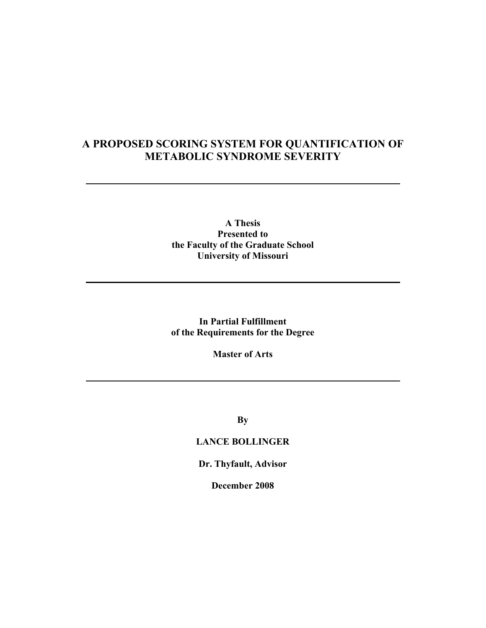# **A PROPOSED SCORING SYSTEM FOR QUANTIFICATION OF METABOLIC SYNDROME SEVERITY**

## **A Thesis Presented to the Faculty of the Graduate School University of Missouri**

**In Partial Fulfillment of the Requirements for the Degree** 

**Master of Arts** 

**By** 

## **LANCE BOLLINGER**

**Dr. Thyfault, Advisor** 

**December 2008**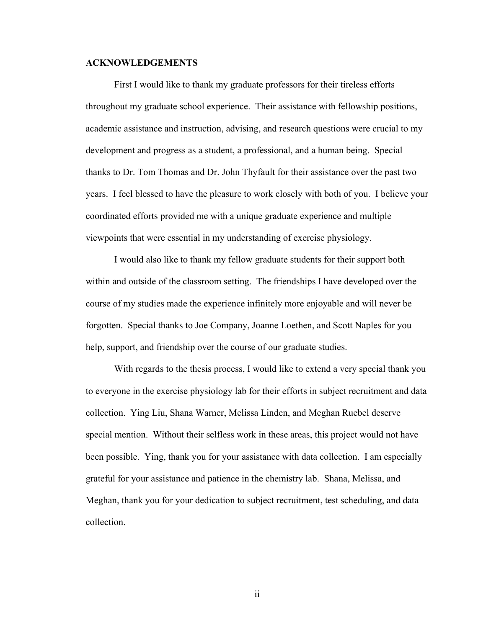### **ACKNOWLEDGEMENTS**

 First I would like to thank my graduate professors for their tireless efforts throughout my graduate school experience. Their assistance with fellowship positions, academic assistance and instruction, advising, and research questions were crucial to my development and progress as a student, a professional, and a human being. Special thanks to Dr. Tom Thomas and Dr. John Thyfault for their assistance over the past two years. I feel blessed to have the pleasure to work closely with both of you. I believe your coordinated efforts provided me with a unique graduate experience and multiple viewpoints that were essential in my understanding of exercise physiology.

 I would also like to thank my fellow graduate students for their support both within and outside of the classroom setting. The friendships I have developed over the course of my studies made the experience infinitely more enjoyable and will never be forgotten. Special thanks to Joe Company, Joanne Loethen, and Scott Naples for you help, support, and friendship over the course of our graduate studies.

 With regards to the thesis process, I would like to extend a very special thank you to everyone in the exercise physiology lab for their efforts in subject recruitment and data collection. Ying Liu, Shana Warner, Melissa Linden, and Meghan Ruebel deserve special mention. Without their selfless work in these areas, this project would not have been possible. Ying, thank you for your assistance with data collection. I am especially grateful for your assistance and patience in the chemistry lab. Shana, Melissa, and Meghan, thank you for your dedication to subject recruitment, test scheduling, and data collection.

ii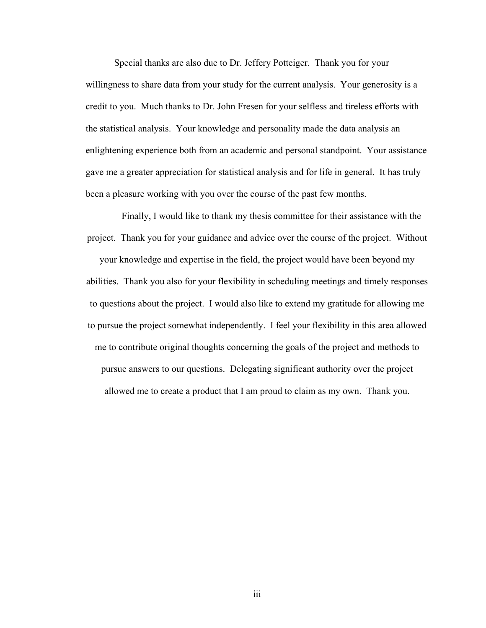Special thanks are also due to Dr. Jeffery Potteiger. Thank you for your willingness to share data from your study for the current analysis. Your generosity is a credit to you. Much thanks to Dr. John Fresen for your selfless and tireless efforts with the statistical analysis. Your knowledge and personality made the data analysis an enlightening experience both from an academic and personal standpoint. Your assistance gave me a greater appreciation for statistical analysis and for life in general. It has truly been a pleasure working with you over the course of the past few months.

 Finally, I would like to thank my thesis committee for their assistance with the project. Thank you for your guidance and advice over the course of the project. Without your knowledge and expertise in the field, the project would have been beyond my abilities. Thank you also for your flexibility in scheduling meetings and timely responses to questions about the project. I would also like to extend my gratitude for allowing me to pursue the project somewhat independently. I feel your flexibility in this area allowed me to contribute original thoughts concerning the goals of the project and methods to pursue answers to our questions. Delegating significant authority over the project allowed me to create a product that I am proud to claim as my own. Thank you.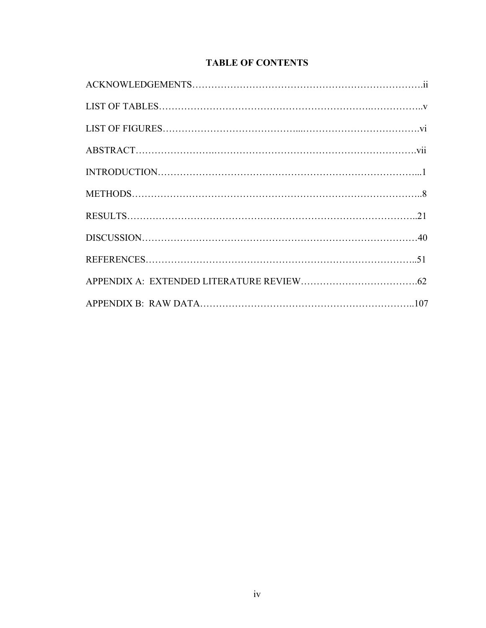# **TABLE OF CONTENTS**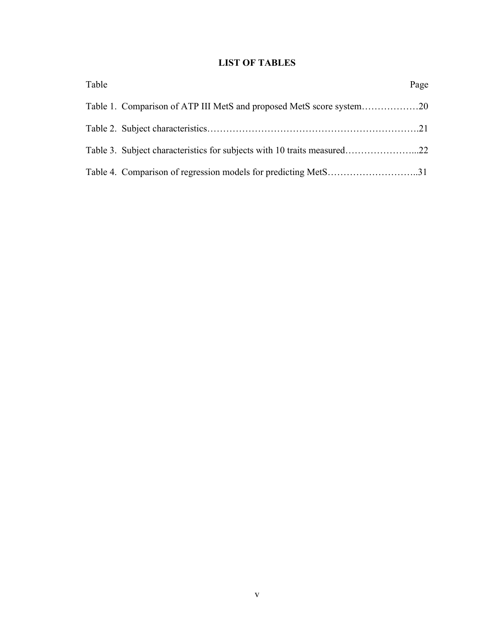# **LIST OF TABLES**

| Table |                                                                         | Page |
|-------|-------------------------------------------------------------------------|------|
|       | Table 1. Comparison of ATP III MetS and proposed MetS score system20    |      |
|       |                                                                         |      |
|       | Table 3. Subject characteristics for subjects with 10 traits measured22 |      |
|       | Table 4. Comparison of regression models for predicting MetS31          |      |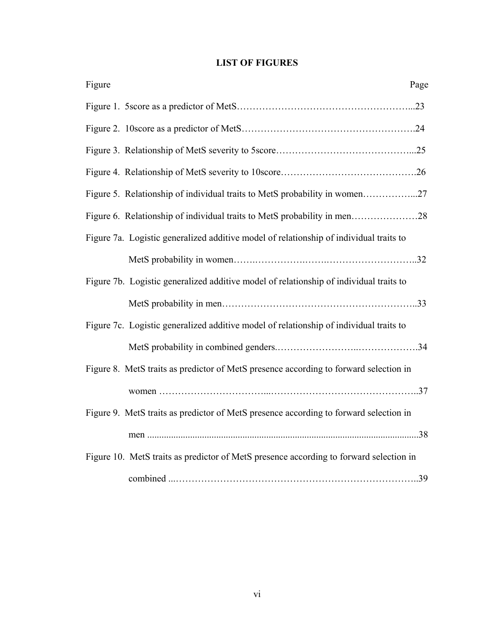# **LIST OF FIGURES**

| Figure<br>Page                                                                         |
|----------------------------------------------------------------------------------------|
|                                                                                        |
|                                                                                        |
|                                                                                        |
|                                                                                        |
| Figure 5. Relationship of individual traits to MetS probability in women27             |
| Figure 6. Relationship of individual traits to MetS probability in men28               |
| Figure 7a. Logistic generalized additive model of relationship of individual traits to |
|                                                                                        |
| Figure 7b. Logistic generalized additive model of relationship of individual traits to |
|                                                                                        |
| Figure 7c. Logistic generalized additive model of relationship of individual traits to |
|                                                                                        |
| Figure 8. MetS traits as predictor of MetS presence according to forward selection in  |
|                                                                                        |
| Figure 9. MetS traits as predictor of MetS presence according to forward selection in  |
|                                                                                        |
| Figure 10. MetS traits as predictor of MetS presence according to forward selection in |
|                                                                                        |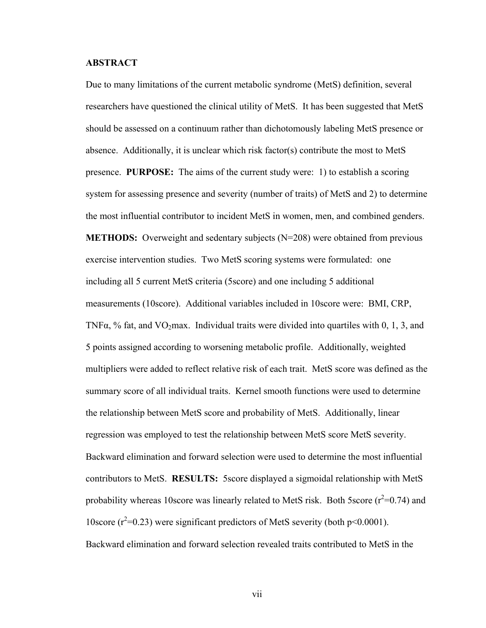### **ABSTRACT**

Due to many limitations of the current metabolic syndrome (MetS) definition, several researchers have questioned the clinical utility of MetS. It has been suggested that MetS should be assessed on a continuum rather than dichotomously labeling MetS presence or absence. Additionally, it is unclear which risk factor(s) contribute the most to MetS presence. **PURPOSE:** The aims of the current study were: 1) to establish a scoring system for assessing presence and severity (number of traits) of MetS and 2) to determine the most influential contributor to incident MetS in women, men, and combined genders. **METHODS:** Overweight and sedentary subjects (N=208) were obtained from previous exercise intervention studies. Two MetS scoring systems were formulated: one including all 5 current MetS criteria (5score) and one including 5 additional measurements (10score). Additional variables included in 10score were: BMI, CRP, TNF $\alpha$ , % fat, and VO<sub>2</sub>max. Individual traits were divided into quartiles with 0, 1, 3, and 5 points assigned according to worsening metabolic profile. Additionally, weighted multipliers were added to reflect relative risk of each trait. MetS score was defined as the summary score of all individual traits. Kernel smooth functions were used to determine the relationship between MetS score and probability of MetS. Additionally, linear regression was employed to test the relationship between MetS score MetS severity. Backward elimination and forward selection were used to determine the most influential contributors to MetS. **RESULTS:** 5score displayed a sigmoidal relationship with MetS probability whereas 10 score was linearly related to MetS risk. Both 5 score  $(r^2=0.74)$  and 10score  $(r^2=0.23)$  were significant predictors of MetS severity (both p<0.0001). Backward elimination and forward selection revealed traits contributed to MetS in the

vii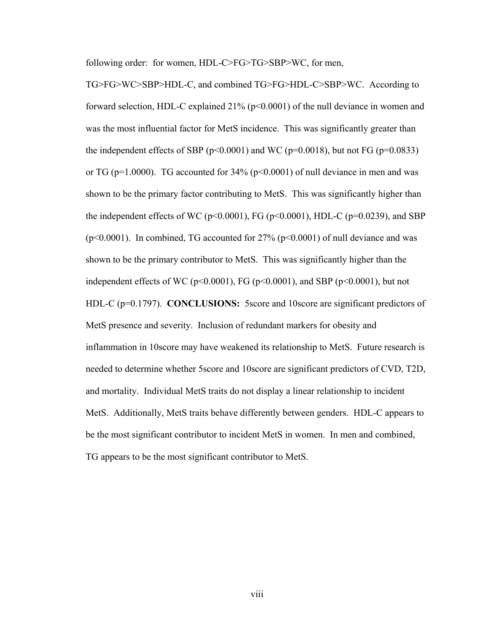following order: for women, HDL-C>FG>TG>SBP>WC, for men,

TG>FG>WC>SBP>HDL-C, and combined TG>FG>HDL-C>SBP>WC. According to forward selection, HDL-C explained 21% (p<0.0001) of the null deviance in women and was the most influential factor for MetS incidence. This was significantly greater than the independent effects of SBP ( $p<0.0001$ ) and WC ( $p=0.0018$ ), but not FG ( $p=0.0833$ ) or TG ( $p=1.0000$ ). TG accounted for 34% ( $p<0.0001$ ) of null deviance in men and was shown to be the primary factor contributing to MetS. This was significantly higher than the independent effects of WC ( $p<0.0001$ ), FG ( $p<0.0001$ ), HDL-C ( $p=0.0239$ ), and SBP ( $p<0.0001$ ). In combined, TG accounted for 27% ( $p<0.0001$ ) of null deviance and was shown to be the primary contributor to MetS. This was significantly higher than the independent effects of WC ( $p<0.0001$ ), FG ( $p<0.0001$ ), and SBP ( $p<0.0001$ ), but not HDL-C (p=0.1797). **CONCLUSIONS:** 5score and 10score are significant predictors of MetS presence and severity. Inclusion of redundant markers for obesity and inflammation in 10score may have weakened its relationship to MetS. Future research is needed to determine whether 5score and 10score are significant predictors of CVD, T2D, and mortality. Individual MetS traits do not display a linear relationship to incident MetS. Additionally, MetS traits behave differently between genders. HDL-C appears to be the most significant contributor to incident MetS in women. In men and combined, TG appears to be the most significant contributor to MetS.

viii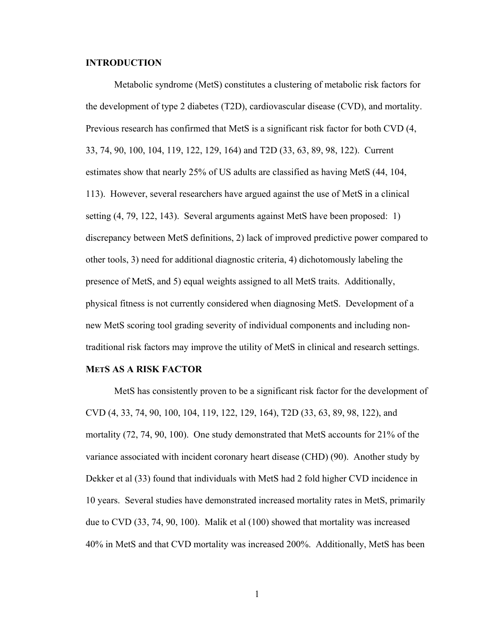### **INTRODUCTION**

 Metabolic syndrome (MetS) constitutes a clustering of metabolic risk factors for the development of type 2 diabetes (T2D), cardiovascular disease (CVD), and mortality. Previous research has confirmed that MetS is a significant risk factor for both CVD (4, 33, 74, 90, 100, 104, 119, 122, 129, 164) and T2D (33, 63, 89, 98, 122). Current estimates show that nearly 25% of US adults are classified as having MetS (44, 104, 113). However, several researchers have argued against the use of MetS in a clinical setting (4, 79, 122, 143). Several arguments against MetS have been proposed: 1) discrepancy between MetS definitions, 2) lack of improved predictive power compared to other tools, 3) need for additional diagnostic criteria, 4) dichotomously labeling the presence of MetS, and 5) equal weights assigned to all MetS traits. Additionally, physical fitness is not currently considered when diagnosing MetS. Development of a new MetS scoring tool grading severity of individual components and including nontraditional risk factors may improve the utility of MetS in clinical and research settings.

#### **METS AS A RISK FACTOR**

 MetS has consistently proven to be a significant risk factor for the development of CVD (4, 33, 74, 90, 100, 104, 119, 122, 129, 164), T2D (33, 63, 89, 98, 122), and mortality (72, 74, 90, 100). One study demonstrated that MetS accounts for 21% of the variance associated with incident coronary heart disease (CHD) (90). Another study by Dekker et al (33) found that individuals with MetS had 2 fold higher CVD incidence in 10 years. Several studies have demonstrated increased mortality rates in MetS, primarily due to CVD (33, 74, 90, 100). Malik et al (100) showed that mortality was increased 40% in MetS and that CVD mortality was increased 200%. Additionally, MetS has been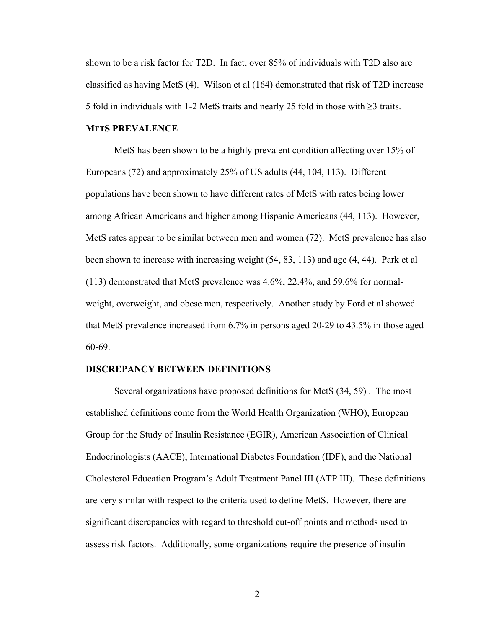shown to be a risk factor for T2D. In fact, over 85% of individuals with T2D also are classified as having MetS (4). Wilson et al (164) demonstrated that risk of T2D increase 5 fold in individuals with 1-2 MetS traits and nearly 25 fold in those with  $\geq$ 3 traits.

#### **METS PREVALENCE**

 MetS has been shown to be a highly prevalent condition affecting over 15% of Europeans (72) and approximately 25% of US adults (44, 104, 113). Different populations have been shown to have different rates of MetS with rates being lower among African Americans and higher among Hispanic Americans (44, 113). However, MetS rates appear to be similar between men and women (72). MetS prevalence has also been shown to increase with increasing weight (54, 83, 113) and age (4, 44). Park et al (113) demonstrated that MetS prevalence was 4.6%, 22.4%, and 59.6% for normalweight, overweight, and obese men, respectively. Another study by Ford et al showed that MetS prevalence increased from 6.7% in persons aged 20-29 to 43.5% in those aged 60-69.

#### **DISCREPANCY BETWEEN DEFINITIONS**

 Several organizations have proposed definitions for MetS (34, 59) . The most established definitions come from the World Health Organization (WHO), European Group for the Study of Insulin Resistance (EGIR), American Association of Clinical Endocrinologists (AACE), International Diabetes Foundation (IDF), and the National Cholesterol Education Program's Adult Treatment Panel III (ATP III). These definitions are very similar with respect to the criteria used to define MetS. However, there are significant discrepancies with regard to threshold cut-off points and methods used to assess risk factors. Additionally, some organizations require the presence of insulin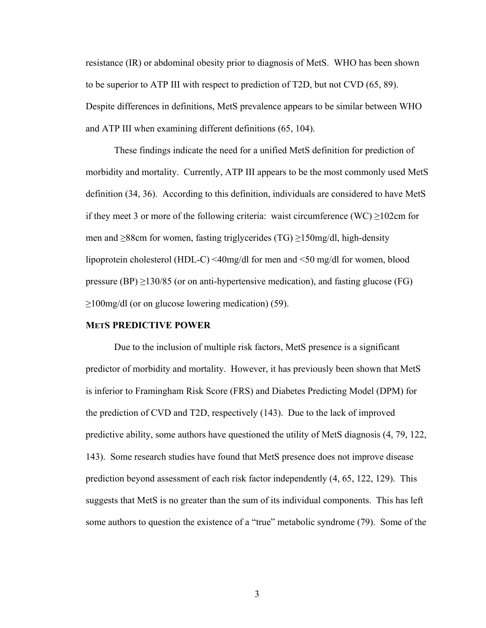resistance (IR) or abdominal obesity prior to diagnosis of MetS. WHO has been shown to be superior to ATP III with respect to prediction of T2D, but not CVD (65, 89). Despite differences in definitions, MetS prevalence appears to be similar between WHO and ATP III when examining different definitions (65, 104).

These findings indicate the need for a unified MetS definition for prediction of morbidity and mortality. Currently, ATP III appears to be the most commonly used MetS definition (34, 36). According to this definition, individuals are considered to have MetS if they meet 3 or more of the following criteria: waist circumference (WC)  $\geq$ 102cm for men and ≥88cm for women, fasting triglycerides (TG) ≥150mg/dl, high-density lipoprotein cholesterol (HDL-C) <40mg/dl for men and <50 mg/dl for women, blood pressure (BP)  $\geq$ 130/85 (or on anti-hypertensive medication), and fasting glucose (FG)  $\geq$ 100mg/dl (or on glucose lowering medication) (59).

#### **METS PREDICTIVE POWER**

 Due to the inclusion of multiple risk factors, MetS presence is a significant predictor of morbidity and mortality. However, it has previously been shown that MetS is inferior to Framingham Risk Score (FRS) and Diabetes Predicting Model (DPM) for the prediction of CVD and T2D, respectively (143). Due to the lack of improved predictive ability, some authors have questioned the utility of MetS diagnosis (4, 79, 122, 143). Some research studies have found that MetS presence does not improve disease prediction beyond assessment of each risk factor independently (4, 65, 122, 129). This suggests that MetS is no greater than the sum of its individual components. This has left some authors to question the existence of a "true" metabolic syndrome (79). Some of the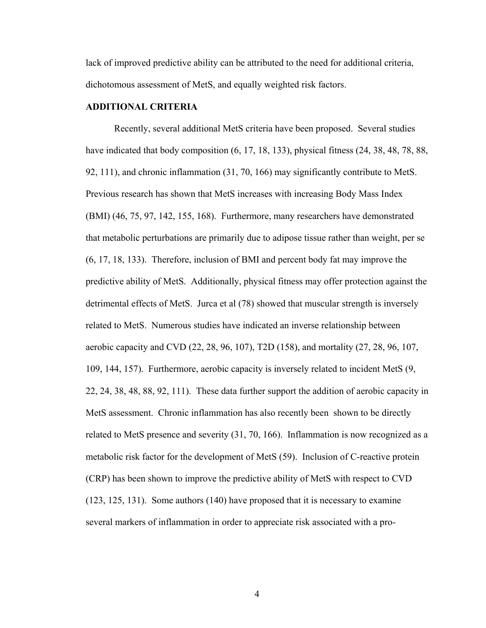lack of improved predictive ability can be attributed to the need for additional criteria, dichotomous assessment of MetS, and equally weighted risk factors.

### **ADDITIONAL CRITERIA**

 Recently, several additional MetS criteria have been proposed. Several studies have indicated that body composition  $(6, 17, 18, 133)$ , physical fitness  $(24, 38, 48, 78, 88, 18, 18)$ 92, 111), and chronic inflammation (31, 70, 166) may significantly contribute to MetS. Previous research has shown that MetS increases with increasing Body Mass Index (BMI) (46, 75, 97, 142, 155, 168). Furthermore, many researchers have demonstrated that metabolic perturbations are primarily due to adipose tissue rather than weight, per se (6, 17, 18, 133). Therefore, inclusion of BMI and percent body fat may improve the predictive ability of MetS. Additionally, physical fitness may offer protection against the detrimental effects of MetS. Jurca et al (78) showed that muscular strength is inversely related to MetS. Numerous studies have indicated an inverse relationship between aerobic capacity and CVD (22, 28, 96, 107), T2D (158), and mortality (27, 28, 96, 107, 109, 144, 157). Furthermore, aerobic capacity is inversely related to incident MetS (9, 22, 24, 38, 48, 88, 92, 111). These data further support the addition of aerobic capacity in MetS assessment. Chronic inflammation has also recently been shown to be directly related to MetS presence and severity (31, 70, 166). Inflammation is now recognized as a metabolic risk factor for the development of MetS (59). Inclusion of C-reactive protein (CRP) has been shown to improve the predictive ability of MetS with respect to CVD (123, 125, 131). Some authors (140) have proposed that it is necessary to examine several markers of inflammation in order to appreciate risk associated with a pro-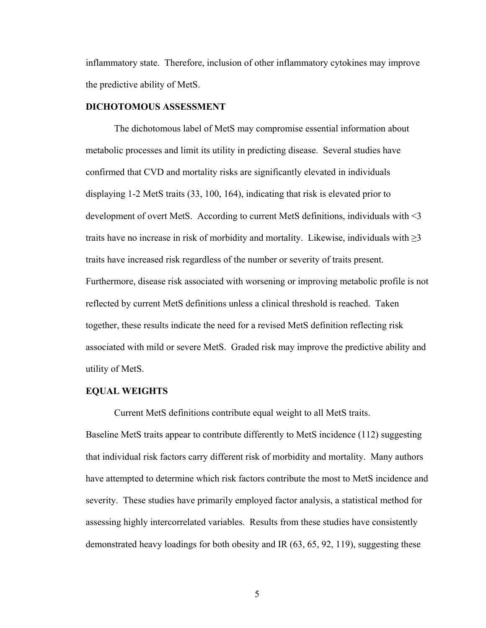inflammatory state. Therefore, inclusion of other inflammatory cytokines may improve the predictive ability of MetS.

## **DICHOTOMOUS ASSESSMENT**

The dichotomous label of MetS may compromise essential information about metabolic processes and limit its utility in predicting disease. Several studies have confirmed that CVD and mortality risks are significantly elevated in individuals displaying 1-2 MetS traits (33, 100, 164), indicating that risk is elevated prior to development of overt MetS. According to current MetS definitions, individuals with <3 traits have no increase in risk of morbidity and mortality. Likewise, individuals with  $\geq$ 3 traits have increased risk regardless of the number or severity of traits present. Furthermore, disease risk associated with worsening or improving metabolic profile is not reflected by current MetS definitions unless a clinical threshold is reached. Taken together, these results indicate the need for a revised MetS definition reflecting risk associated with mild or severe MetS. Graded risk may improve the predictive ability and utility of MetS.

#### **EQUAL WEIGHTS**

Current MetS definitions contribute equal weight to all MetS traits.

Baseline MetS traits appear to contribute differently to MetS incidence (112) suggesting that individual risk factors carry different risk of morbidity and mortality. Many authors have attempted to determine which risk factors contribute the most to MetS incidence and severity. These studies have primarily employed factor analysis, a statistical method for assessing highly intercorrelated variables. Results from these studies have consistently demonstrated heavy loadings for both obesity and IR (63, 65, 92, 119), suggesting these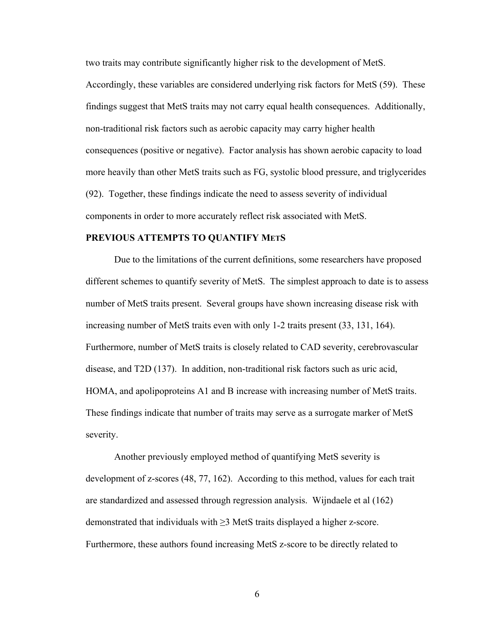two traits may contribute significantly higher risk to the development of MetS.

Accordingly, these variables are considered underlying risk factors for MetS (59). These findings suggest that MetS traits may not carry equal health consequences. Additionally, non-traditional risk factors such as aerobic capacity may carry higher health consequences (positive or negative). Factor analysis has shown aerobic capacity to load more heavily than other MetS traits such as FG, systolic blood pressure, and triglycerides (92). Together, these findings indicate the need to assess severity of individual components in order to more accurately reflect risk associated with MetS.

### **PREVIOUS ATTEMPTS TO QUANTIFY METS**

 Due to the limitations of the current definitions, some researchers have proposed different schemes to quantify severity of MetS. The simplest approach to date is to assess number of MetS traits present. Several groups have shown increasing disease risk with increasing number of MetS traits even with only 1-2 traits present (33, 131, 164). Furthermore, number of MetS traits is closely related to CAD severity, cerebrovascular disease, and T2D (137). In addition, non-traditional risk factors such as uric acid, HOMA, and apolipoproteins A1 and B increase with increasing number of MetS traits. These findings indicate that number of traits may serve as a surrogate marker of MetS severity.

Another previously employed method of quantifying MetS severity is development of z-scores (48, 77, 162). According to this method, values for each trait are standardized and assessed through regression analysis. Wijndaele et al (162) demonstrated that individuals with ≥3 MetS traits displayed a higher z-score. Furthermore, these authors found increasing MetS z-score to be directly related to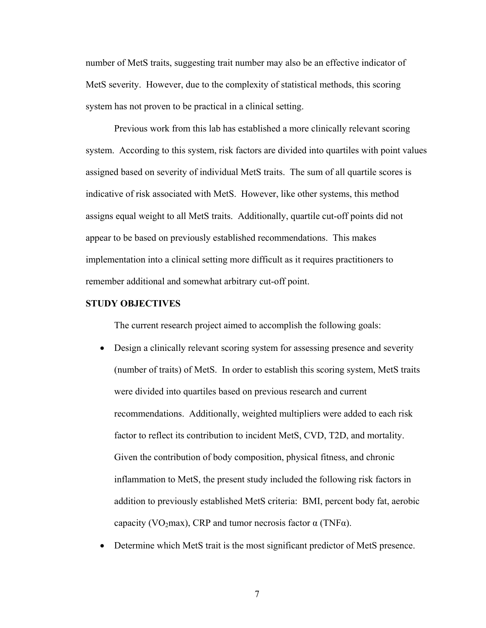number of MetS traits, suggesting trait number may also be an effective indicator of MetS severity. However, due to the complexity of statistical methods, this scoring system has not proven to be practical in a clinical setting.

Previous work from this lab has established a more clinically relevant scoring system. According to this system, risk factors are divided into quartiles with point values assigned based on severity of individual MetS traits. The sum of all quartile scores is indicative of risk associated with MetS. However, like other systems, this method assigns equal weight to all MetS traits. Additionally, quartile cut-off points did not appear to be based on previously established recommendations. This makes implementation into a clinical setting more difficult as it requires practitioners to remember additional and somewhat arbitrary cut-off point.

#### **STUDY OBJECTIVES**

The current research project aimed to accomplish the following goals:

- Design a clinically relevant scoring system for assessing presence and severity (number of traits) of MetS. In order to establish this scoring system, MetS traits were divided into quartiles based on previous research and current recommendations. Additionally, weighted multipliers were added to each risk factor to reflect its contribution to incident MetS, CVD, T2D, and mortality. Given the contribution of body composition, physical fitness, and chronic inflammation to MetS, the present study included the following risk factors in addition to previously established MetS criteria: BMI, percent body fat, aerobic capacity (VO<sub>2</sub>max), CRP and tumor necrosis factor  $\alpha$  (TNF $\alpha$ ).
- Determine which MetS trait is the most significant predictor of MetS presence.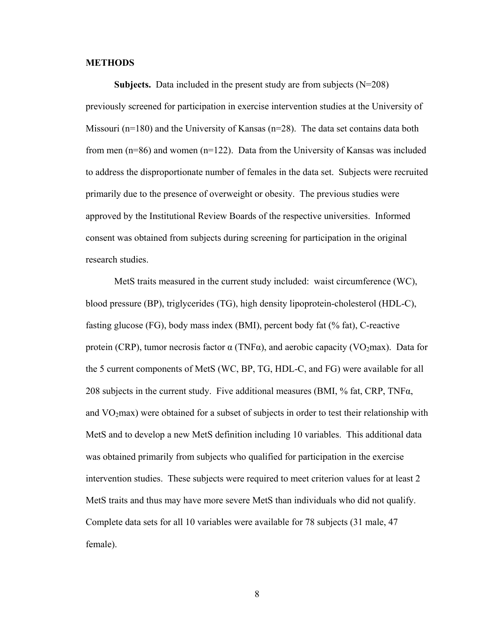#### **METHODS**

**Subjects.** Data included in the present study are from subjects  $(N=208)$ previously screened for participation in exercise intervention studies at the University of Missouri (n=180) and the University of Kansas (n=28). The data set contains data both from men (n=86) and women (n=122). Data from the University of Kansas was included to address the disproportionate number of females in the data set. Subjects were recruited primarily due to the presence of overweight or obesity. The previous studies were approved by the Institutional Review Boards of the respective universities. Informed consent was obtained from subjects during screening for participation in the original research studies.

 MetS traits measured in the current study included: waist circumference (WC), blood pressure (BP), triglycerides (TG), high density lipoprotein-cholesterol (HDL-C), fasting glucose (FG), body mass index (BMI), percent body fat (% fat), C-reactive protein (CRP), tumor necrosis factor  $\alpha$  (TNF $\alpha$ ), and aerobic capacity (VO<sub>2</sub>max). Data for the 5 current components of MetS (WC, BP, TG, HDL-C, and FG) were available for all 208 subjects in the current study. Five additional measures (BMI,  $%$  fat, CRP, TNF $\alpha$ , and  $VO<sub>2</sub>max$ ) were obtained for a subset of subjects in order to test their relationship with MetS and to develop a new MetS definition including 10 variables. This additional data was obtained primarily from subjects who qualified for participation in the exercise intervention studies. These subjects were required to meet criterion values for at least 2 MetS traits and thus may have more severe MetS than individuals who did not qualify. Complete data sets for all 10 variables were available for 78 subjects (31 male, 47 female).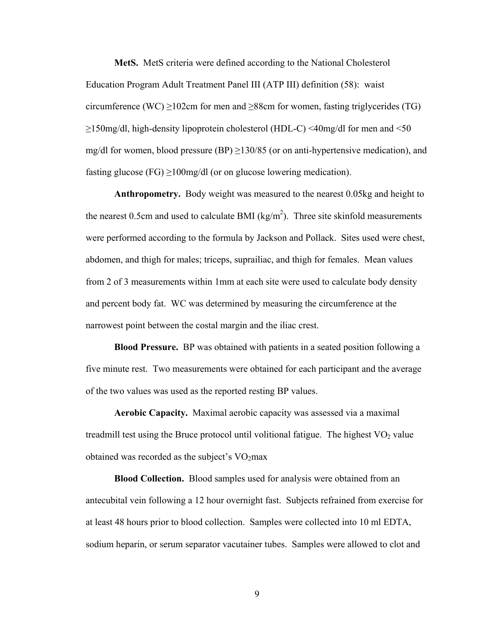**MetS.** MetS criteria were defined according to the National Cholesterol Education Program Adult Treatment Panel III (ATP III) definition (58): waist circumference (WC)  $\geq$ 102cm for men and  $\geq$ 88cm for women, fasting triglycerides (TG) ≥150mg/dl, high-density lipoprotein cholesterol (HDL-C) <40mg/dl for men and <50 mg/dl for women, blood pressure (BP)  $\geq$ 130/85 (or on anti-hypertensive medication), and fasting glucose (FG)  $\geq$ 100mg/dl (or on glucose lowering medication).

**Anthropometry.** Body weight was measured to the nearest 0.05kg and height to the nearest 0.5cm and used to calculate BMI ( $\text{kg/m}^2$ ). Three site skinfold measurements were performed according to the formula by Jackson and Pollack. Sites used were chest, abdomen, and thigh for males; triceps, suprailiac, and thigh for females. Mean values from 2 of 3 measurements within 1mm at each site were used to calculate body density and percent body fat. WC was determined by measuring the circumference at the narrowest point between the costal margin and the iliac crest.

**Blood Pressure.** BP was obtained with patients in a seated position following a five minute rest. Two measurements were obtained for each participant and the average of the two values was used as the reported resting BP values.

**Aerobic Capacity.** Maximal aerobic capacity was assessed via a maximal treadmill test using the Bruce protocol until volitional fatigue. The highest  $VO<sub>2</sub>$  value obtained was recorded as the subject's  $VO<sub>2</sub>max$ 

**Blood Collection.** Blood samples used for analysis were obtained from an antecubital vein following a 12 hour overnight fast. Subjects refrained from exercise for at least 48 hours prior to blood collection. Samples were collected into 10 ml EDTA, sodium heparin, or serum separator vacutainer tubes. Samples were allowed to clot and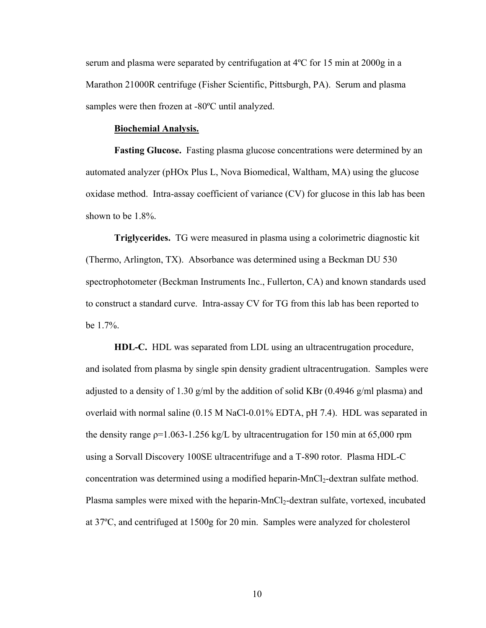serum and plasma were separated by centrifugation at 4ºC for 15 min at 2000g in a Marathon 21000R centrifuge (Fisher Scientific, Pittsburgh, PA). Serum and plasma samples were then frozen at -80ºC until analyzed.

#### **Biochemial Analysis.**

**Fasting Glucose.** Fasting plasma glucose concentrations were determined by an automated analyzer (pHOx Plus L, Nova Biomedical, Waltham, MA) using the glucose oxidase method. Intra-assay coefficient of variance (CV) for glucose in this lab has been shown to be 1.8%.

**Triglycerides.** TG were measured in plasma using a colorimetric diagnostic kit (Thermo, Arlington, TX). Absorbance was determined using a Beckman DU 530 spectrophotometer (Beckman Instruments Inc., Fullerton, CA) and known standards used to construct a standard curve. Intra-assay CV for TG from this lab has been reported to be 1.7%.

**HDL-C.** HDL was separated from LDL using an ultracentrugation procedure, and isolated from plasma by single spin density gradient ultracentrugation. Samples were adjusted to a density of 1.30 g/ml by the addition of solid KBr (0.4946 g/ml plasma) and overlaid with normal saline (0.15 M NaCl-0.01% EDTA, pH 7.4). HDL was separated in the density range  $p=1.063-1.256$  kg/L by ultracentrugation for 150 min at 65,000 rpm using a Sorvall Discovery 100SE ultracentrifuge and a T-890 rotor. Plasma HDL-C concentration was determined using a modified heparin-MnCl<sub>2</sub>-dextran sulfate method. Plasma samples were mixed with the heparin-MnCl<sub>2</sub>-dextran sulfate, vortexed, incubated at 37ºC, and centrifuged at 1500g for 20 min. Samples were analyzed for cholesterol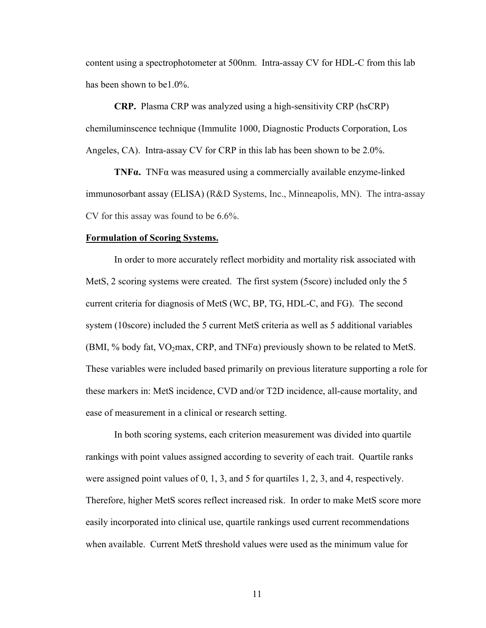content using a spectrophotometer at 500nm. Intra-assay CV for HDL-C from this lab has been shown to be1.0%.

**CRP.** Plasma CRP was analyzed using a high-sensitivity CRP (hsCRP) chemiluminscence technique (Immulite 1000, Diagnostic Products Corporation, Los Angeles, CA). Intra-assay CV for CRP in this lab has been shown to be 2.0%.

**TNFα.** TNFα was measured using a commercially available enzyme-linked immunosorbant assay (ELISA) (R&D Systems, Inc., Minneapolis, MN). The intra-assay CV for this assay was found to be 6.6%.

#### **Formulation of Scoring Systems.**

 In order to more accurately reflect morbidity and mortality risk associated with MetS, 2 scoring systems were created. The first system (5score) included only the 5 current criteria for diagnosis of MetS (WC, BP, TG, HDL-C, and FG). The second system (10score) included the 5 current MetS criteria as well as 5 additional variables (BMI, % body fat,  $VO<sub>2</sub>max$ , CRP, and TNF $\alpha$ ) previously shown to be related to MetS. These variables were included based primarily on previous literature supporting a role for these markers in: MetS incidence, CVD and/or T2D incidence, all-cause mortality, and ease of measurement in a clinical or research setting.

 In both scoring systems, each criterion measurement was divided into quartile rankings with point values assigned according to severity of each trait. Quartile ranks were assigned point values of 0, 1, 3, and 5 for quartiles 1, 2, 3, and 4, respectively. Therefore, higher MetS scores reflect increased risk. In order to make MetS score more easily incorporated into clinical use, quartile rankings used current recommendations when available. Current MetS threshold values were used as the minimum value for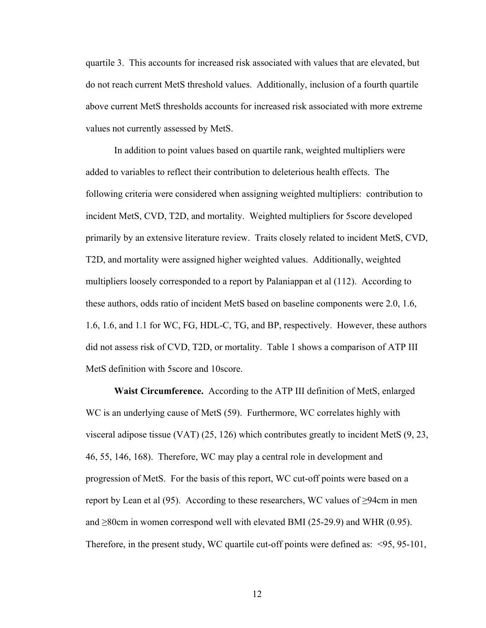quartile 3. This accounts for increased risk associated with values that are elevated, but do not reach current MetS threshold values. Additionally, inclusion of a fourth quartile above current MetS thresholds accounts for increased risk associated with more extreme values not currently assessed by MetS.

 In addition to point values based on quartile rank, weighted multipliers were added to variables to reflect their contribution to deleterious health effects. The following criteria were considered when assigning weighted multipliers: contribution to incident MetS, CVD, T2D, and mortality. Weighted multipliers for 5score developed primarily by an extensive literature review. Traits closely related to incident MetS, CVD, T2D, and mortality were assigned higher weighted values. Additionally, weighted multipliers loosely corresponded to a report by Palaniappan et al (112). According to these authors, odds ratio of incident MetS based on baseline components were 2.0, 1.6, 1.6, 1.6, and 1.1 for WC, FG, HDL-C, TG, and BP, respectively. However, these authors did not assess risk of CVD, T2D, or mortality. Table 1 shows a comparison of ATP III MetS definition with 5score and 10score.

**Waist Circumference.** According to the ATP III definition of MetS, enlarged WC is an underlying cause of MetS (59). Furthermore, WC correlates highly with visceral adipose tissue (VAT) (25, 126) which contributes greatly to incident MetS (9, 23, 46, 55, 146, 168). Therefore, WC may play a central role in development and progression of MetS. For the basis of this report, WC cut-off points were based on a report by Lean et al (95). According to these researchers, WC values of  $\geq$ 94cm in men and  $\geq$ 80cm in women correspond well with elevated BMI (25-29.9) and WHR (0.95). Therefore, in the present study, WC quartile cut-off points were defined as: <95, 95-101,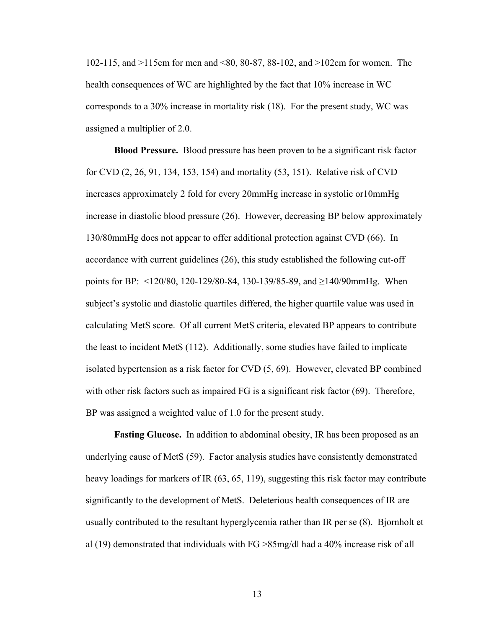102-115, and >115cm for men and <80, 80-87, 88-102, and >102cm for women. The health consequences of WC are highlighted by the fact that 10% increase in WC corresponds to a 30% increase in mortality risk (18). For the present study, WC was assigned a multiplier of 2.0.

 **Blood Pressure.** Blood pressure has been proven to be a significant risk factor for CVD (2, 26, 91, 134, 153, 154) and mortality (53, 151). Relative risk of CVD increases approximately 2 fold for every 20mmHg increase in systolic or10mmHg increase in diastolic blood pressure (26). However, decreasing BP below approximately 130/80mmHg does not appear to offer additional protection against CVD (66). In accordance with current guidelines (26), this study established the following cut-off points for BP: <120/80, 120-129/80-84, 130-139/85-89, and ≥140/90mmHg. When subject's systolic and diastolic quartiles differed, the higher quartile value was used in calculating MetS score. Of all current MetS criteria, elevated BP appears to contribute the least to incident MetS (112). Additionally, some studies have failed to implicate isolated hypertension as a risk factor for CVD (5, 69). However, elevated BP combined with other risk factors such as impaired FG is a significant risk factor (69). Therefore, BP was assigned a weighted value of 1.0 for the present study.

**Fasting Glucose.** In addition to abdominal obesity, IR has been proposed as an underlying cause of MetS (59). Factor analysis studies have consistently demonstrated heavy loadings for markers of IR (63, 65, 119), suggesting this risk factor may contribute significantly to the development of MetS. Deleterious health consequences of IR are usually contributed to the resultant hyperglycemia rather than IR per se (8). Bjornholt et al (19) demonstrated that individuals with FG >85mg/dl had a 40% increase risk of all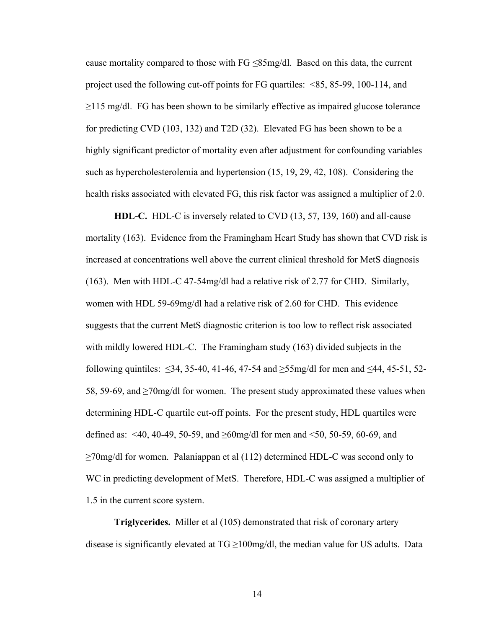cause mortality compared to those with  $FG \leq 85$  mg/dl. Based on this data, the current project used the following cut-off points for FG quartiles: <85, 85-99, 100-114, and  $\geq$ 115 mg/dl. FG has been shown to be similarly effective as impaired glucose tolerance for predicting CVD (103, 132) and T2D (32). Elevated FG has been shown to be a highly significant predictor of mortality even after adjustment for confounding variables such as hypercholesterolemia and hypertension (15, 19, 29, 42, 108). Considering the health risks associated with elevated FG, this risk factor was assigned a multiplier of 2.0.

**HDL-C.** HDL-C is inversely related to CVD (13, 57, 139, 160) and all-cause mortality (163). Evidence from the Framingham Heart Study has shown that CVD risk is increased at concentrations well above the current clinical threshold for MetS diagnosis (163). Men with HDL-C 47-54mg/dl had a relative risk of 2.77 for CHD. Similarly, women with HDL 59-69mg/dl had a relative risk of 2.60 for CHD. This evidence suggests that the current MetS diagnostic criterion is too low to reflect risk associated with mildly lowered HDL-C. The Framingham study (163) divided subjects in the following quintiles:  $\leq 34$ , 35-40, 41-46, 47-54 and  $\geq 55$ mg/dl for men and  $\leq 44$ , 45-51, 52-58, 59-69, and  $\geq$ 70mg/dl for women. The present study approximated these values when determining HDL-C quartile cut-off points. For the present study, HDL quartiles were defined as: <40, 40-49, 50-59, and  $\geq 60$  mg/dl for men and <50, 50-59, 60-69, and ≥70mg/dl for women. Palaniappan et al (112) determined HDL-C was second only to WC in predicting development of MetS. Therefore, HDL-C was assigned a multiplier of 1.5 in the current score system.

**Triglycerides.** Miller et al (105) demonstrated that risk of coronary artery disease is significantly elevated at  $TG \ge 100$  mg/dl, the median value for US adults. Data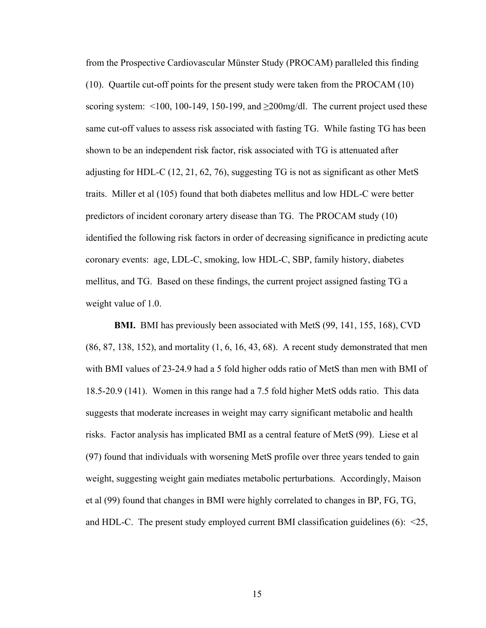from the Prospective Cardiovascular Münster Study (PROCAM) paralleled this finding (10). Quartile cut-off points for the present study were taken from the PROCAM (10) scoring system:  $\leq 100$ , 100-149, 150-199, and  $\geq 200$ mg/dl. The current project used these same cut-off values to assess risk associated with fasting TG. While fasting TG has been shown to be an independent risk factor, risk associated with TG is attenuated after adjusting for HDL-C (12, 21, 62, 76), suggesting TG is not as significant as other MetS traits. Miller et al (105) found that both diabetes mellitus and low HDL-C were better predictors of incident coronary artery disease than TG. The PROCAM study (10) identified the following risk factors in order of decreasing significance in predicting acute coronary events: age, LDL-C, smoking, low HDL-C, SBP, family history, diabetes mellitus, and TG. Based on these findings, the current project assigned fasting TG a weight value of 1.0.

**BMI.** BMI has previously been associated with MetS (99, 141, 155, 168), CVD (86, 87, 138, 152), and mortality (1, 6, 16, 43, 68). A recent study demonstrated that men with BMI values of 23-24.9 had a 5 fold higher odds ratio of MetS than men with BMI of 18.5-20.9 (141). Women in this range had a 7.5 fold higher MetS odds ratio. This data suggests that moderate increases in weight may carry significant metabolic and health risks. Factor analysis has implicated BMI as a central feature of MetS (99). Liese et al (97) found that individuals with worsening MetS profile over three years tended to gain weight, suggesting weight gain mediates metabolic perturbations. Accordingly, Maison et al (99) found that changes in BMI were highly correlated to changes in BP, FG, TG, and HDL-C. The present study employed current BMI classification guidelines  $(6)$ :  $\leq 25$ ,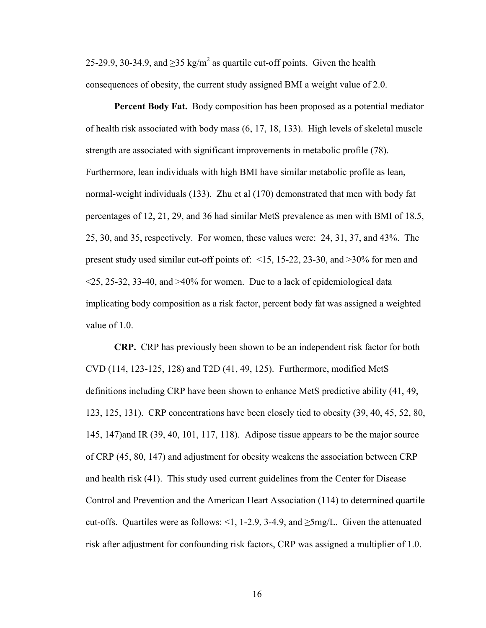25-29.9, 30-34.9, and  $\geq$ 35 kg/m<sup>2</sup> as quartile cut-off points. Given the health consequences of obesity, the current study assigned BMI a weight value of 2.0.

**Percent Body Fat.** Body composition has been proposed as a potential mediator of health risk associated with body mass (6, 17, 18, 133). High levels of skeletal muscle strength are associated with significant improvements in metabolic profile (78). Furthermore, lean individuals with high BMI have similar metabolic profile as lean, normal-weight individuals (133). Zhu et al (170) demonstrated that men with body fat percentages of 12, 21, 29, and 36 had similar MetS prevalence as men with BMI of 18.5, 25, 30, and 35, respectively. For women, these values were: 24, 31, 37, and 43%. The present study used similar cut-off points of: <15, 15-22, 23-30, and >30% for men and  $\leq$ 25, 25-32, 33-40, and  $\geq$ 40% for women. Due to a lack of epidemiological data implicating body composition as a risk factor, percent body fat was assigned a weighted value of 1.0.

**CRP.** CRP has previously been shown to be an independent risk factor for both CVD (114, 123-125, 128) and T2D (41, 49, 125). Furthermore, modified MetS definitions including CRP have been shown to enhance MetS predictive ability (41, 49, 123, 125, 131). CRP concentrations have been closely tied to obesity (39, 40, 45, 52, 80, 145, 147)and IR (39, 40, 101, 117, 118). Adipose tissue appears to be the major source of CRP (45, 80, 147) and adjustment for obesity weakens the association between CRP and health risk (41). This study used current guidelines from the Center for Disease Control and Prevention and the American Heart Association (114) to determined quartile cut-offs. Quartiles were as follows: <1, 1-2.9, 3-4.9, and  $\geq$ 5mg/L. Given the attenuated risk after adjustment for confounding risk factors, CRP was assigned a multiplier of 1.0.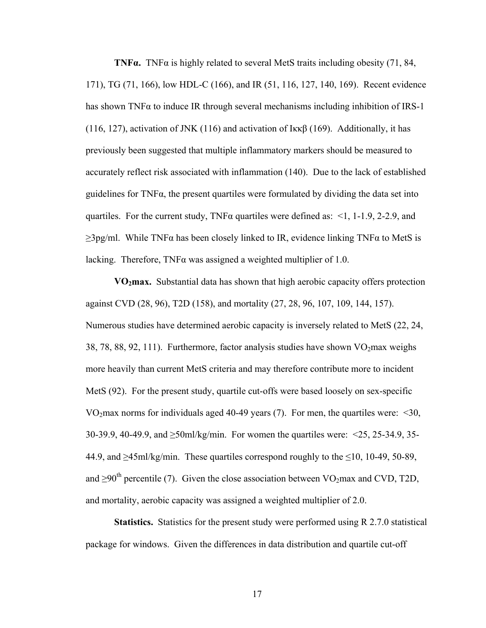**TNF** $\alpha$ . TNF $\alpha$  is highly related to several MetS traits including obesity (71, 84, 171), TG (71, 166), low HDL-C (166), and IR (51, 116, 127, 140, 169). Recent evidence has shown TNF $\alpha$  to induce IR through several mechanisms including inhibition of IRS-1 (116, 127), activation of JNK (116) and activation of I $\kappa\beta$  (169). Additionally, it has previously been suggested that multiple inflammatory markers should be measured to accurately reflect risk associated with inflammation (140). Due to the lack of established guidelines for  $TNF\alpha$ , the present quartiles were formulated by dividing the data set into quartiles. For the current study, TNF $\alpha$  quartiles were defined as: <1, 1-1.9, 2-2.9, and  $\geq$ 3pg/ml. While TNF $\alpha$  has been closely linked to IR, evidence linking TNF $\alpha$  to MetS is lacking. Therefore, TNFα was assigned a weighted multiplier of 1.0.

**VO2max.** Substantial data has shown that high aerobic capacity offers protection against CVD (28, 96), T2D (158), and mortality (27, 28, 96, 107, 109, 144, 157). Numerous studies have determined aerobic capacity is inversely related to MetS (22, 24, 38, 78, 88, 92, 111). Furthermore, factor analysis studies have shown  $VO<sub>2</sub>$ max weighs more heavily than current MetS criteria and may therefore contribute more to incident MetS (92). For the present study, quartile cut-offs were based loosely on sex-specific VO<sub>2</sub>max norms for individuals aged 40-49 years (7). For men, the quartiles were:  $\leq 30$ , 30-39.9, 40-49.9, and ≥50ml/kg/min. For women the quartiles were: <25, 25-34.9, 35- 44.9, and  $\geq$ 45ml/kg/min. These quartiles correspond roughly to the  $\leq$ 10, 10-49, 50-89, and  $\geq 90^{th}$  percentile (7). Given the close association between VO<sub>2</sub>max and CVD, T2D, and mortality, aerobic capacity was assigned a weighted multiplier of 2.0.

**Statistics.** Statistics for the present study were performed using R 2.7.0 statistical package for windows. Given the differences in data distribution and quartile cut-off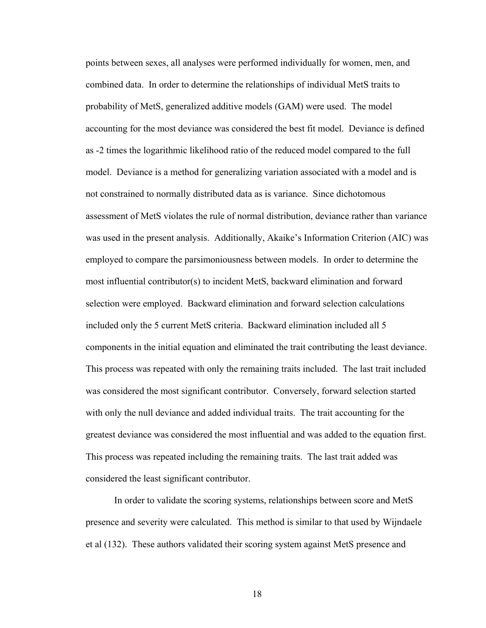points between sexes, all analyses were performed individually for women, men, and combined data. In order to determine the relationships of individual MetS traits to probability of MetS, generalized additive models (GAM) were used. The model accounting for the most deviance was considered the best fit model. Deviance is defined as -2 times the logarithmic likelihood ratio of the reduced model compared to the full model. Deviance is a method for generalizing variation associated with a model and is not constrained to normally distributed data as is variance. Since dichotomous assessment of MetS violates the rule of normal distribution, deviance rather than variance was used in the present analysis. Additionally, Akaike's Information Criterion (AIC) was employed to compare the parsimoniousness between models. In order to determine the most influential contributor(s) to incident MetS, backward elimination and forward selection were employed. Backward elimination and forward selection calculations included only the 5 current MetS criteria. Backward elimination included all 5 components in the initial equation and eliminated the trait contributing the least deviance. This process was repeated with only the remaining traits included. The last trait included was considered the most significant contributor. Conversely, forward selection started with only the null deviance and added individual traits. The trait accounting for the greatest deviance was considered the most influential and was added to the equation first. This process was repeated including the remaining traits. The last trait added was considered the least significant contributor.

In order to validate the scoring systems, relationships between score and MetS presence and severity were calculated. This method is similar to that used by Wijndaele et al (132). These authors validated their scoring system against MetS presence and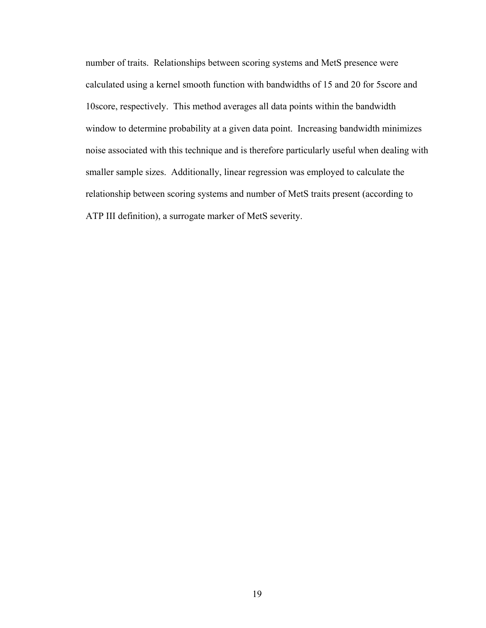number of traits. Relationships between scoring systems and MetS presence were calculated using a kernel smooth function with bandwidths of 15 and 20 for 5score and 10score, respectively. This method averages all data points within the bandwidth window to determine probability at a given data point. Increasing bandwidth minimizes noise associated with this technique and is therefore particularly useful when dealing with smaller sample sizes. Additionally, linear regression was employed to calculate the relationship between scoring systems and number of MetS traits present (according to ATP III definition), a surrogate marker of MetS severity.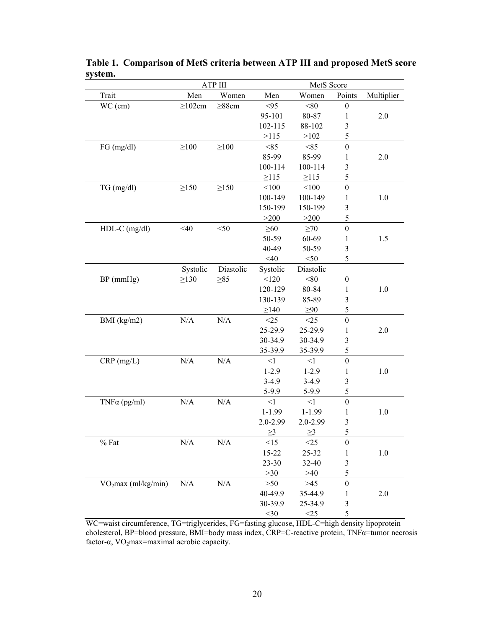|                                 |              | ATP III     | MetS Score |            |                         |            |
|---------------------------------|--------------|-------------|------------|------------|-------------------------|------------|
| Trait                           | Men          | Women       | Men        | Women      | Points                  | Multiplier |
| WC (cm)                         | $\geq$ 102cm | $\geq$ 88cm | < 95       | < 80       | $\boldsymbol{0}$        |            |
|                                 |              |             | 95-101     | 80-87      | 1                       | 2.0        |
|                                 |              |             | 102-115    | 88-102     | $\overline{\mathbf{3}}$ |            |
|                                 |              |             | >115       | >102       | 5                       |            |
| FG (mg/dl)                      | $\geq$ 100   | $\geq$ 100  | < 85       | < 85       | $\boldsymbol{0}$        |            |
|                                 |              |             | 85-99      | 85-99      | 1                       | 2.0        |
|                                 |              |             | 100-114    | 100-114    | $\mathfrak{Z}$          |            |
|                                 |              |             | $\geq$ 115 | $\geq$ 115 | 5                       |            |
| TG (mg/dl)                      | $\geq$ 150   | $\geq$ 150  | < 100      | < 100      | $\boldsymbol{0}$        |            |
|                                 |              |             | 100-149    | 100-149    | 1                       | 1.0        |
|                                 |              |             | 150-199    | 150-199    | 3                       |            |
|                                 |              |             | >200       | >200       | 5                       |            |
| $HDL-C$ (mg/dl)                 | $<$ 40       | $50$        | $\geq 60$  | $\geq 70$  | $\boldsymbol{0}$        |            |
|                                 |              |             | 50-59      | 60-69      | 1                       | 1.5        |
|                                 |              |             | 40-49      | 50-59      | $\overline{\mathbf{3}}$ |            |
|                                 |              |             | $<$ 40     | $<$ 50     | 5                       |            |
|                                 | Systolic     | Diastolic   | Systolic   | Diastolic  |                         |            |
| BP (mmHg)                       | $\geq$ 130   | $\geq 85$   | < 120      | $<\!\!80$  | $\boldsymbol{0}$        |            |
|                                 |              |             | 120-129    | 80-84      | 1                       | 1.0        |
|                                 |              |             | 130-139    | 85-89      | $\overline{\mathbf{3}}$ |            |
|                                 |              |             | $\geq$ 140 | $\geq 90$  | 5                       |            |
| BMI $(kg/m2)$                   | N/A          | N/A         | <25        | $\leq$ 25  | $\boldsymbol{0}$        |            |
|                                 |              |             | 25-29.9    | 25-29.9    | 1                       | 2.0        |
|                                 |              |             | 30-34.9    | 30-34.9    | $\overline{\mathbf{3}}$ |            |
|                                 |              |             | 35-39.9    | 35-39.9    | 5                       |            |
| $CRP$ (mg/L)                    | $\rm N/A$    | $\rm N/A$   | $\leq$ 1   | $\leq$ 1   | $\boldsymbol{0}$        |            |
|                                 |              |             | $1-2.9$    | $1 - 2.9$  | 1                       | 1.0        |
|                                 |              |             | $3-4.9$    | $3-4.9$    | $\overline{\mathbf{3}}$ |            |
|                                 |              |             | $5-9.9$    | $5 - 9.9$  | 5                       |            |
| $TNF\alpha$ (pg/ml)             | N/A          | $\rm N/A$   | $\leq$ 1   | <1         | $\boldsymbol{0}$        |            |
|                                 |              |             | $1 - 1.99$ | $1 - 1.99$ | 1                       | 1.0        |
|                                 |              |             | 2.0-2.99   | 2.0-2.99   | $\mathfrak{Z}$          |            |
|                                 |              |             | $\geq$ 3   | $\geq$ 3   | 5                       |            |
| $%$ Fat                         | N/A          | N/A         | <15        | <25        | $\boldsymbol{0}$        |            |
|                                 |              |             | $15 - 22$  | 25-32      | 1                       | $1.0\,$    |
|                                 |              |             | 23-30      | 32-40      | $\overline{\mathbf{3}}$ |            |
|                                 |              |             | >30        | $>40$      | 5                       |            |
| VO <sub>2</sub> max (ml/kg/min) | $\rm N/A$    | $\rm N/A$   | $>50$      | $>45$      | $\boldsymbol{0}$        |            |
|                                 |              |             | 40-49.9    | 35-44.9    | 1                       | 2.0        |
|                                 |              |             | 30-39.9    | 25-34.9    | $\overline{\mathbf{3}}$ |            |
|                                 |              |             | $<$ 30     | <25        | 5                       |            |

**Table 1. Comparison of MetS criteria between ATP III and proposed MetS score system.** 

WC=waist circumference, TG=triglycerides, FG=fasting glucose, HDL-C=high density lipoprotein cholesterol, BP=blood pressure, BMI=body mass index, CRP=C-reactive protein, TNFα=tumor necrosis factor- $\alpha$ , VO<sub>2</sub>max=maximal aerobic capacity.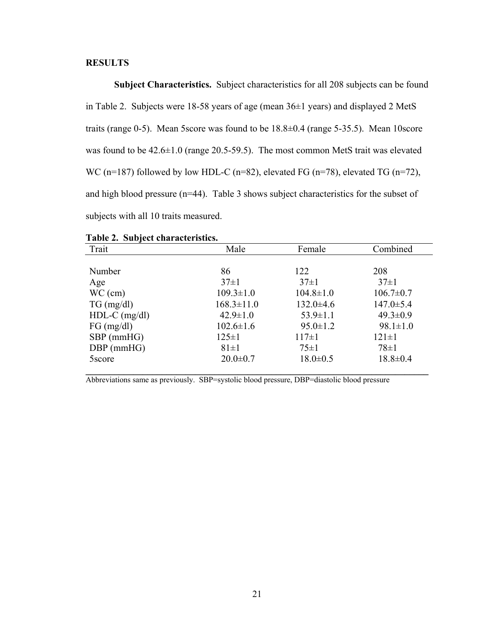## **RESULTS**

 **Subject Characteristics.** Subject characteristics for all 208 subjects can be found in Table 2. Subjects were 18-58 years of age (mean 36±1 years) and displayed 2 MetS traits (range 0-5). Mean 5score was found to be 18.8±0.4 (range 5-35.5). Mean 10score was found to be 42.6±1.0 (range 20.5-59.5). The most common MetS trait was elevated WC (n=187) followed by low HDL-C (n=82), elevated FG (n=78), elevated TG (n=72), and high blood pressure (n=44). Table 3 shows subject characteristics for the subset of subjects with all 10 traits measured.

| Trait           | Male             | Female          | Combined        |  |
|-----------------|------------------|-----------------|-----------------|--|
|                 |                  |                 |                 |  |
| Number          | 86               | 122             | 208             |  |
| Age             | $37 \pm 1$       | $37 \pm 1$      | $37 \pm 1$      |  |
| $WC$ (cm)       | $109.3 \pm 1.0$  | $104.8 \pm 1.0$ | $106.7 \pm 0.7$ |  |
| $TG \, (mg/dl)$ | $168.3 \pm 11.0$ | $132.0 \pm 4.6$ | $147.0 \pm 5.4$ |  |
| $HDL-C$ (mg/dl) | $42.9 \pm 1.0$   | $53.9 \pm 1.1$  | $49.3 \pm 0.9$  |  |
| FG (mg/dl)      | $102.6 \pm 1.6$  | $95.0 \pm 1.2$  | $98.1 \pm 1.0$  |  |
| $SBP$ (mmHG)    | $125 \pm 1$      | $117 \pm 1$     | $121 \pm 1$     |  |
| DBP (mmHG)      | $81\pm1$         | $75\pm1$        | $78\pm1$        |  |
| 5score          | $20.0 \pm 0.7$   | $18.0 \pm 0.5$  | $18.8 \pm 0.4$  |  |
|                 |                  |                 |                 |  |

|  |  | Table 2. Subject characteristics. |
|--|--|-----------------------------------|
|--|--|-----------------------------------|

Abbreviations same as previously. SBP=systolic blood pressure, DBP=diastolic blood pressure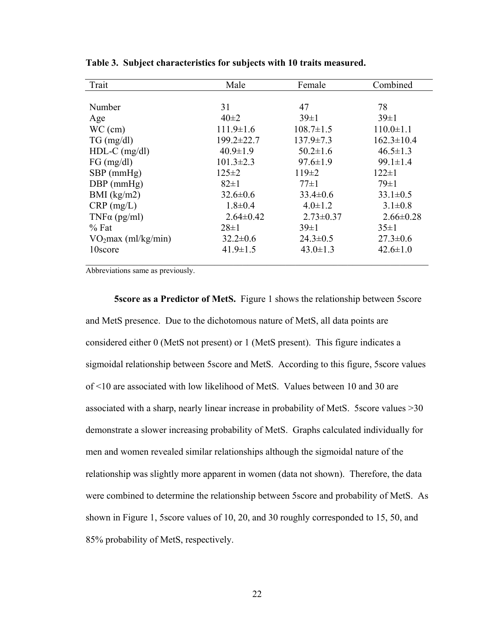| Trait                           | Male            | Female          | Combined         |
|---------------------------------|-----------------|-----------------|------------------|
|                                 |                 |                 |                  |
| Number                          | 31              | 47              | 78               |
| Age                             | $40\pm 2$       | $39 \pm 1$      | $39 \pm 1$       |
| $WC$ (cm)                       | $111.9 \pm 1.6$ | $108.7 \pm 1.5$ | $110.0 \pm 1.1$  |
| $TG \, (mg/dl)$                 | 199.2±22.7      | $137.9 \pm 7.3$ | $162.3 \pm 10.4$ |
| $HDL-C$ (mg/dl)                 | $40.9 \pm 1.9$  | $50.2 \pm 1.6$  | $46.5 \pm 1.3$   |
| FG (mg/dl)                      | $101.3 \pm 2.3$ | $97.6 \pm 1.9$  | $99.1 \pm 1.4$   |
| $SBP$ (mmHg)                    | $125 \pm 2$     | $119\pm 2$      | $122 \pm 1$      |
| $DBP$ (mmHg)                    | $82 \pm 1$      | $77\pm1$        | $79\pm1$         |
| BMI $(kg/m2)$                   | $32.6 \pm 0.6$  | $33.4 \pm 0.6$  | $33.1 \pm 0.5$   |
| $CRP$ (mg/L)                    | $1.8 \pm 0.4$   | $4.0 \pm 1.2$   | $3.1 \pm 0.8$    |
| $TNF\alpha$ (pg/ml)             | $2.64\pm0.42$   | $2.73 \pm 0.37$ | $2.66 \pm 0.28$  |
| $%$ Fat                         | $28 \pm 1$      | $39 \pm 1$      | $35 \pm 1$       |
| VO <sub>2</sub> max (ml/kg/min) | $32.2 \pm 0.6$  | $24.3 \pm 0.5$  | $27.3 \pm 0.6$   |
| 10score                         | $41.9 \pm 1.5$  | $43.0 \pm 1.3$  | $42.6 \pm 1.0$   |
|                                 |                 |                 |                  |

**Table 3. Subject characteristics for subjects with 10 traits measured.** 

Abbreviations same as previously.

**5score as a Predictor of MetS.** Figure 1 shows the relationship between 5score and MetS presence. Due to the dichotomous nature of MetS, all data points are considered either 0 (MetS not present) or 1 (MetS present). This figure indicates a sigmoidal relationship between 5score and MetS. According to this figure, 5score values of <10 are associated with low likelihood of MetS. Values between 10 and 30 are associated with a sharp, nearly linear increase in probability of MetS. 5score values >30 demonstrate a slower increasing probability of MetS. Graphs calculated individually for men and women revealed similar relationships although the sigmoidal nature of the relationship was slightly more apparent in women (data not shown). Therefore, the data were combined to determine the relationship between 5score and probability of MetS. As shown in Figure 1, 5score values of 10, 20, and 30 roughly corresponded to 15, 50, and 85% probability of MetS, respectively.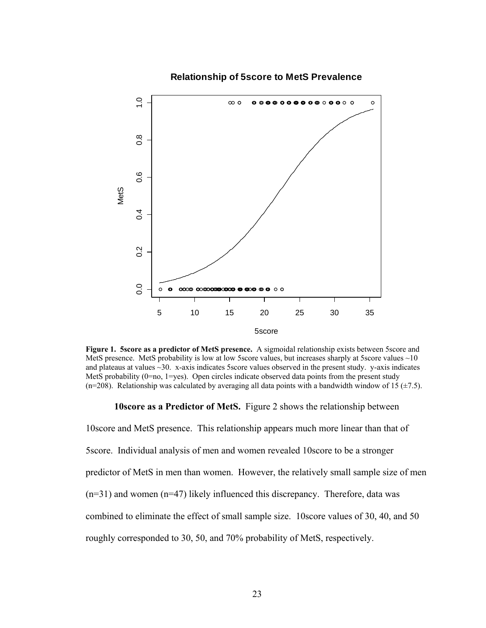

**Relationship of 5score to MetS Prevalence**

**Figure 1. 5score as a predictor of MetS presence.** A sigmoidal relationship exists between 5score and MetS presence. MetS probability is low at low 5 score values, but increases sharply at 5 score values  $\sim 10$ and plateaus at values ~30. x-axis indicates 5score values observed in the present study. y-axis indicates MetS probability ( $0=$ no,  $1=$ yes). Open circles indicate observed data points from the present study (n=208). Relationship was calculated by averaging all data points with a bandwidth window of 15 ( $\pm$ 7.5).

**10score as a Predictor of MetS.** Figure 2 shows the relationship between

10score and MetS presence. This relationship appears much more linear than that of 5score. Individual analysis of men and women revealed 10score to be a stronger predictor of MetS in men than women. However, the relatively small sample size of men  $(n=31)$  and women  $(n=47)$  likely influenced this discrepancy. Therefore, data was combined to eliminate the effect of small sample size. 10score values of 30, 40, and 50 roughly corresponded to 30, 50, and 70% probability of MetS, respectively.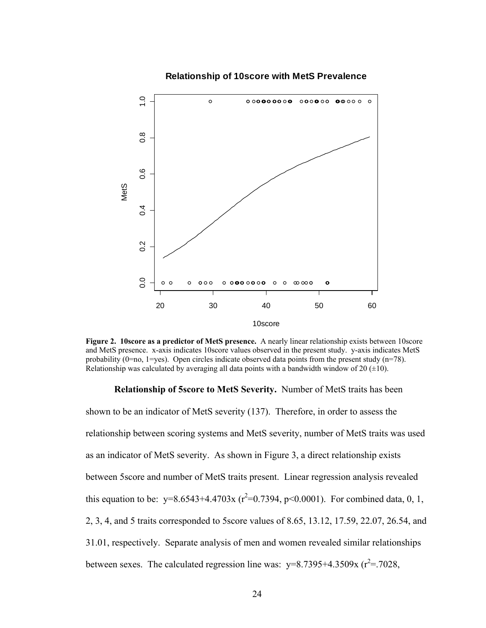

### **Relationship of 10score with MetS Prevalence**

**Figure 2. 10score as a predictor of MetS presence.** A nearly linear relationship exists between 10score and MetS presence. x-axis indicates 10score values observed in the present study. y-axis indicates MetS probability  $(0=no, 1=yes)$ . Open circles indicate observed data points from the present study  $(n=78)$ . Relationship was calculated by averaging all data points with a bandwidth window of 20  $(\pm 10)$ .

#### **Relationship of 5score to MetS Severity.** Number of MetS traits has been

shown to be an indicator of MetS severity (137). Therefore, in order to assess the relationship between scoring systems and MetS severity, number of MetS traits was used as an indicator of MetS severity. As shown in Figure 3, a direct relationship exists between 5score and number of MetS traits present. Linear regression analysis revealed this equation to be:  $y=8.6543+4.4703x$  ( $r^2=0.7394$ ,  $p<0.0001$ ). For combined data, 0, 1, 2, 3, 4, and 5 traits corresponded to 5score values of 8.65, 13.12, 17.59, 22.07, 26.54, and 31.01, respectively. Separate analysis of men and women revealed similar relationships between sexes. The calculated regression line was:  $y=8.7395+4.3509x$  ( $r^2=7028$ ,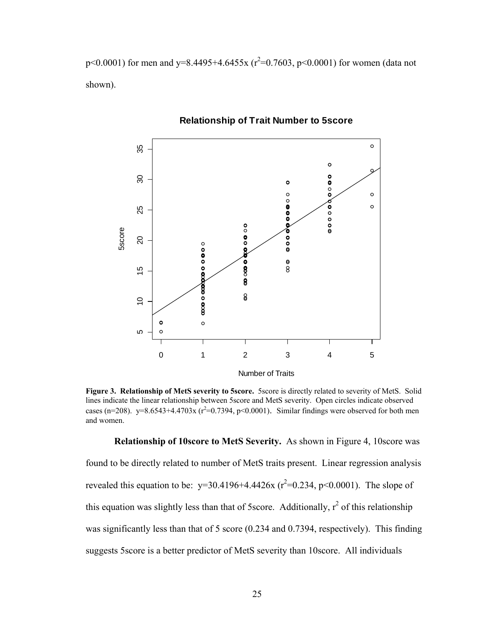$p<0.0001$ ) for men and y=8.4495+4.6455x ( $r^2$ =0.7603, p<0.0001) for women (data not shown).



## **Relationship of Trait Number to 5score**

**Figure 3. Relationship of MetS severity to 5score.** 5score is directly related to severity of MetS. Solid lines indicate the linear relationship between 5score and MetS severity. Open circles indicate observed cases (n=208). y=8.6543+4.4703x ( $r^2$ =0.7394, p<0.0001). Similar findings were observed for both men and women.

**Relationship of 10score to MetS Severity.** As shown in Figure 4, 10score was found to be directly related to number of MetS traits present. Linear regression analysis revealed this equation to be:  $y=30.4196+4.4426x$  ( $r^2=0.234$ ,  $p<0.0001$ ). The slope of this equation was slightly less than that of 5 score. Additionally,  $r^2$  of this relationship was significantly less than that of 5 score (0.234 and 0.7394, respectively). This finding suggests 5score is a better predictor of MetS severity than 10score. All individuals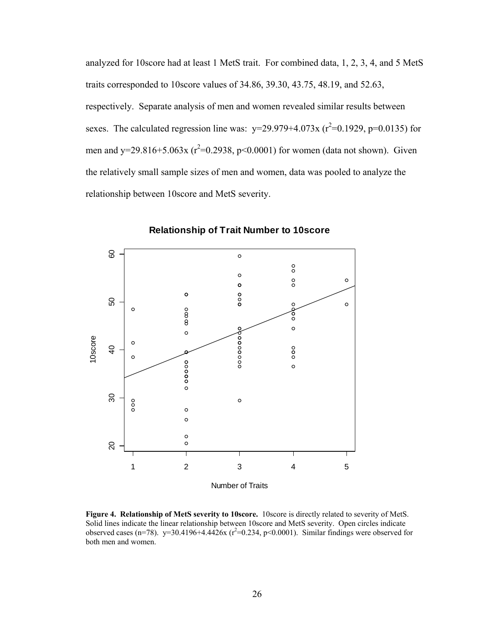analyzed for 10score had at least 1 MetS trait. For combined data, 1, 2, 3, 4, and 5 MetS traits corresponded to 10score values of 34.86, 39.30, 43.75, 48.19, and 52.63, respectively. Separate analysis of men and women revealed similar results between sexes. The calculated regression line was:  $y=29.979+4.073x$  ( $r^2=0.1929$ ,  $p=0.0135$ ) for men and y=29.816+5.063x ( $r^2$ =0.2938, p<0.0001) for women (data not shown). Given the relatively small sample sizes of men and women, data was pooled to analyze the relationship between 10score and MetS severity.



**Relationship of Trait Number to 10score**

**Figure 4. Relationship of MetS severity to 10score.** 10score is directly related to severity of MetS. Solid lines indicate the linear relationship between 10score and MetS severity. Open circles indicate observed cases (n=78).  $y=30.4196+4.4426x$  (r<sup>2</sup>=0.234, p<0.0001). Similar findings were observed for both men and women.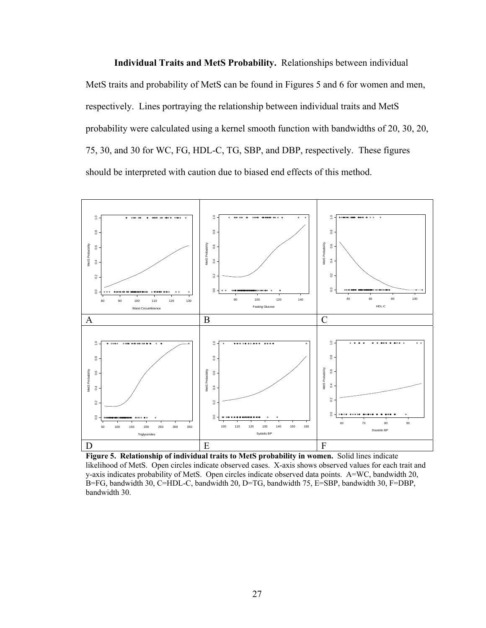**Individual Traits and MetS Probability.** Relationships between individual MetS traits and probability of MetS can be found in Figures 5 and 6 for women and men, respectively. Lines portraying the relationship between individual traits and MetS probability were calculated using a kernel smooth function with bandwidths of 20, 30, 20, 75, 30, and 30 for WC, FG, HDL-C, TG, SBP, and DBP, respectively. These figures should be interpreted with caution due to biased end effects of this method.



**Figure 5. Relationship of individual traits to MetS probability in women.** Solid lines indicate likelihood of MetS. Open circles indicate observed cases. X-axis shows observed values for each trait and y-axis indicates probability of MetS. Open circles indicate observed data points. A=WC, bandwidth 20, B=FG, bandwidth 30, C=HDL-C, bandwidth 20, D=TG, bandwidth 75, E=SBP, bandwidth 30, F=DBP, bandwidth 30.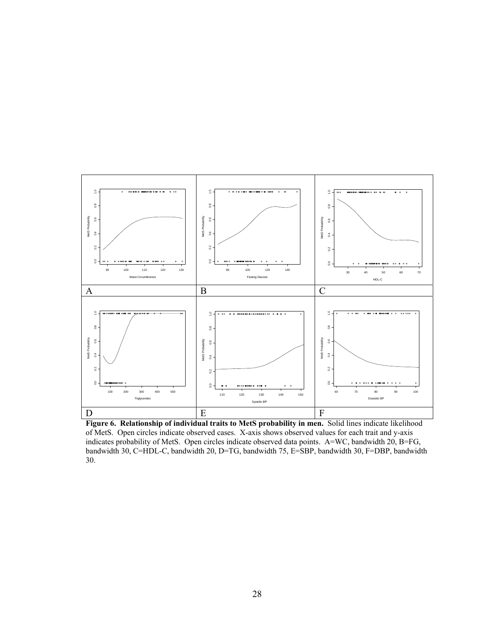

**Figure 6. Relationship of individual traits to MetS probability in men.** Solid lines indicate likelihood of MetS. Open circles indicate observed cases. X-axis shows observed values for each trait and y-axis indicates probability of MetS. Open circles indicate observed data points. A=WC, bandwidth 20, B=FG, bandwidth 30, C=HDL-C, bandwidth 20, D=TG, bandwidth 75, E=SBP, bandwidth 30, F=DBP, bandwidth 30.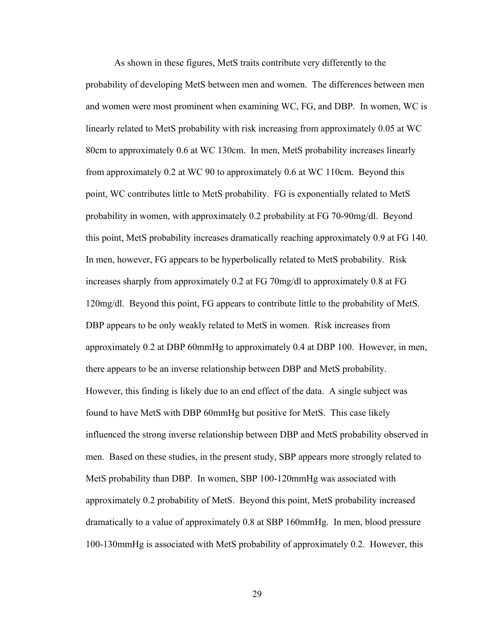As shown in these figures, MetS traits contribute very differently to the probability of developing MetS between men and women. The differences between men and women were most prominent when examining WC, FG, and DBP. In women, WC is linearly related to MetS probability with risk increasing from approximately 0.05 at WC 80cm to approximately 0.6 at WC 130cm. In men, MetS probability increases linearly from approximately 0.2 at WC 90 to approximately 0.6 at WC 110cm. Beyond this point, WC contributes little to MetS probability. FG is exponentially related to MetS probability in women, with approximately 0.2 probability at FG 70-90mg/dl. Beyond this point, MetS probability increases dramatically reaching approximately 0.9 at FG 140. In men, however, FG appears to be hyperbolically related to MetS probability. Risk increases sharply from approximately 0.2 at FG 70mg/dl to approximately 0.8 at FG 120mg/dl. Beyond this point, FG appears to contribute little to the probability of MetS. DBP appears to be only weakly related to MetS in women. Risk increases from approximately 0.2 at DBP 60mmHg to approximately 0.4 at DBP 100. However, in men, there appears to be an inverse relationship between DBP and MetS probability. However, this finding is likely due to an end effect of the data. A single subject was found to have MetS with DBP 60mmHg but positive for MetS. This case likely influenced the strong inverse relationship between DBP and MetS probability observed in men. Based on these studies, in the present study, SBP appears more strongly related to MetS probability than DBP. In women, SBP 100-120mmHg was associated with approximately 0.2 probability of MetS. Beyond this point, MetS probability increased dramatically to a value of approximately 0.8 at SBP 160mmHg. In men, blood pressure 100-130mmHg is associated with MetS probability of approximately 0.2. However, this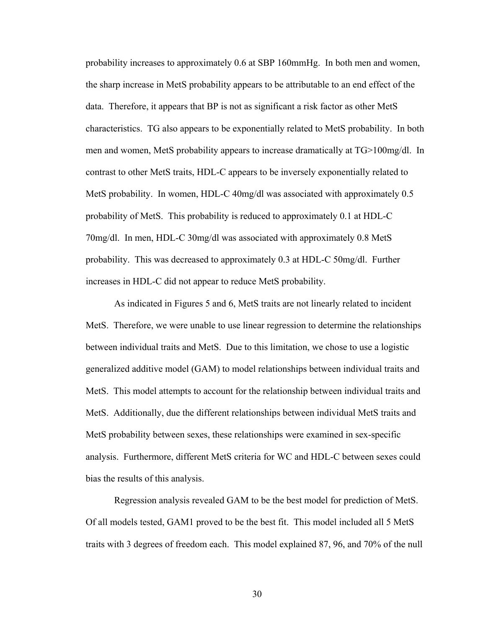probability increases to approximately 0.6 at SBP 160mmHg. In both men and women, the sharp increase in MetS probability appears to be attributable to an end effect of the data. Therefore, it appears that BP is not as significant a risk factor as other MetS characteristics. TG also appears to be exponentially related to MetS probability. In both men and women, MetS probability appears to increase dramatically at TG>100mg/dl. In contrast to other MetS traits, HDL-C appears to be inversely exponentially related to MetS probability. In women, HDL-C 40mg/dl was associated with approximately 0.5 probability of MetS. This probability is reduced to approximately 0.1 at HDL-C 70mg/dl. In men, HDL-C 30mg/dl was associated with approximately 0.8 MetS probability. This was decreased to approximately 0.3 at HDL-C 50mg/dl. Further increases in HDL-C did not appear to reduce MetS probability.

As indicated in Figures 5 and 6, MetS traits are not linearly related to incident MetS. Therefore, we were unable to use linear regression to determine the relationships between individual traits and MetS. Due to this limitation, we chose to use a logistic generalized additive model (GAM) to model relationships between individual traits and MetS. This model attempts to account for the relationship between individual traits and MetS. Additionally, due the different relationships between individual MetS traits and MetS probability between sexes, these relationships were examined in sex-specific analysis. Furthermore, different MetS criteria for WC and HDL-C between sexes could bias the results of this analysis.

 Regression analysis revealed GAM to be the best model for prediction of MetS. Of all models tested, GAM1 proved to be the best fit. This model included all 5 MetS traits with 3 degrees of freedom each. This model explained 87, 96, and 70% of the null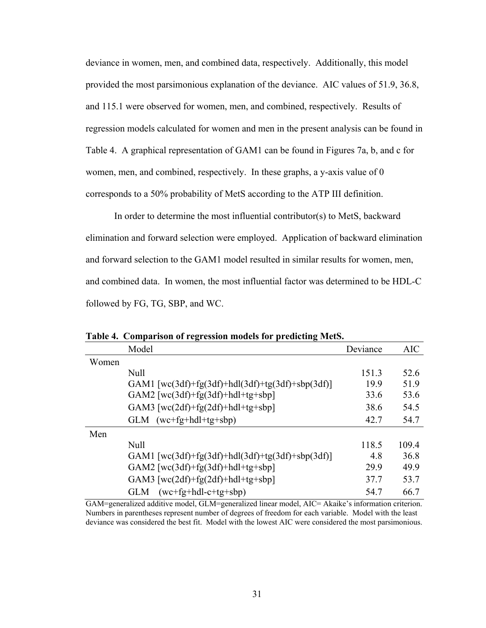deviance in women, men, and combined data, respectively. Additionally, this model provided the most parsimonious explanation of the deviance. AIC values of 51.9, 36.8, and 115.1 were observed for women, men, and combined, respectively. Results of regression models calculated for women and men in the present analysis can be found in Table 4. A graphical representation of GAM1 can be found in Figures 7a, b, and c for women, men, and combined, respectively. In these graphs, a y-axis value of 0 corresponds to a 50% probability of MetS according to the ATP III definition.

In order to determine the most influential contributor(s) to MetS, backward elimination and forward selection were employed. Application of backward elimination and forward selection to the GAM1 model resulted in similar results for women, men, and combined data. In women, the most influential factor was determined to be HDL-C followed by FG, TG, SBP, and WC.

|       | <b>AIC</b> |
|-------|------------|
|       |            |
| 151.3 | 52.6       |
| 19.9  | 51.9       |
| 33.6  | 53.6       |
| 38.6  | 54.5       |
| 42.7  | 54.7       |
|       |            |
| 118.5 | 109.4      |
| 48    | 36.8       |
| 29.9  | 49.9       |
| 37.7  | 53.7       |
| 54.7  | 66.7       |
|       | Deviance   |

**Table 4. Comparison of regression models for predicting MetS.** 

GAM=generalized additive model, GLM=generalized linear model, AIC= Akaike's information criterion. Numbers in parentheses represent number of degrees of freedom for each variable. Model with the least deviance was considered the best fit. Model with the lowest AIC were considered the most parsimonious.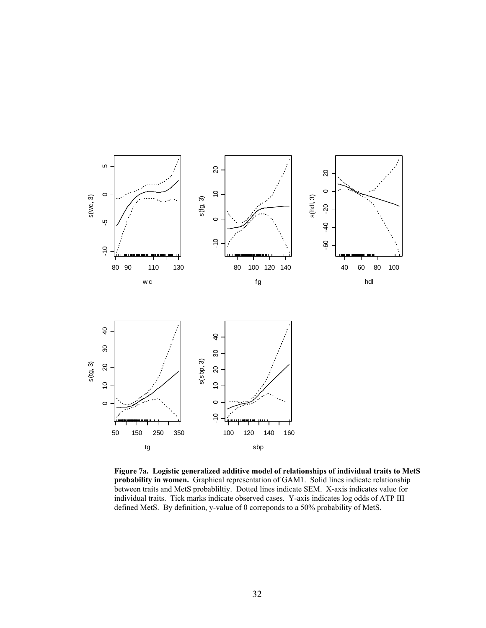

**Figure 7a. Logistic generalized additive model of relationships of individual traits to MetS probability in women.** Graphical representation of GAM1. Solid lines indicate relationship between traits and MetS probabliltiy. Dotted lines indicate SEM. X-axis indicates value for individual traits. Tick marks indicate observed cases. Y-axis indicates log odds of ATP III defined MetS. By definition, y-value of 0 correponds to a 50% probability of MetS.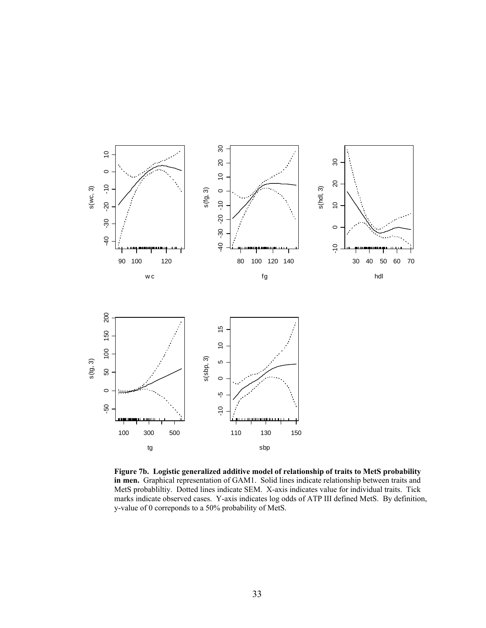

**Figure 7b. Logistic generalized additive model of relationship of traits to MetS probability in men.** Graphical representation of GAM1. Solid lines indicate relationship between traits and MetS probabliltiy. Dotted lines indicate SEM. X-axis indicates value for individual traits. Tick marks indicate observed cases. Y-axis indicates log odds of ATP III defined MetS. By definition, y-value of 0 correponds to a 50% probability of MetS.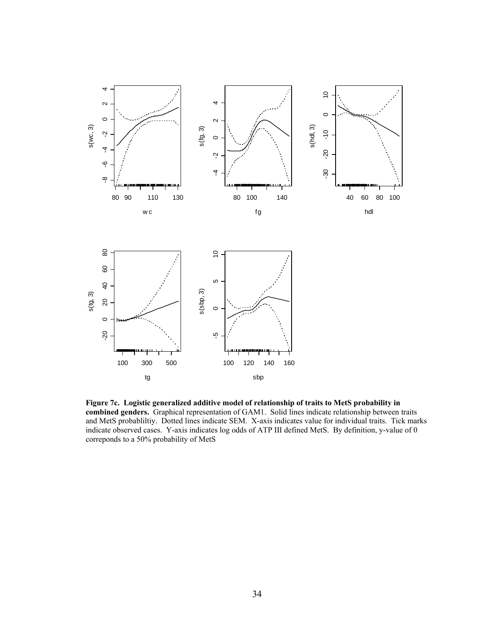

**Figure 7c. Logistic generalized additive model of relationship of traits to MetS probability in combined genders.** Graphical representation of GAM1. Solid lines indicate relationship between traits and MetS probabliltiy. Dotted lines indicate SEM. X-axis indicates value for individual traits. Tick marks indicate observed cases. Y-axis indicates log odds of ATP III defined MetS. By definition, y-value of 0 correponds to a 50% probability of MetS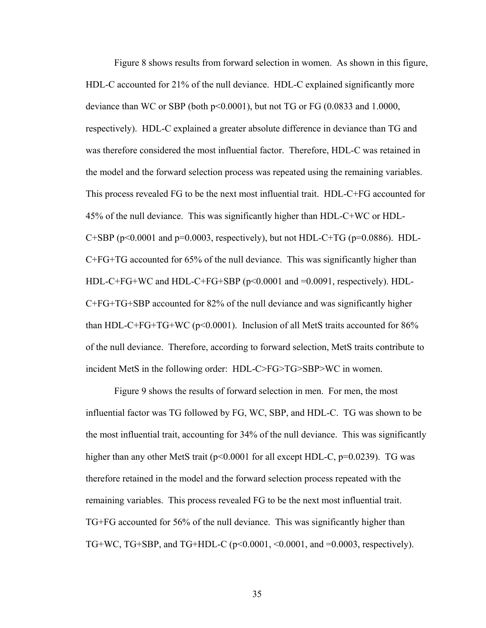Figure 8 shows results from forward selection in women. As shown in this figure, HDL-C accounted for 21% of the null deviance. HDL-C explained significantly more deviance than WC or SBP (both p<0.0001), but not TG or FG (0.0833 and 1.0000, respectively). HDL-C explained a greater absolute difference in deviance than TG and was therefore considered the most influential factor. Therefore, HDL-C was retained in the model and the forward selection process was repeated using the remaining variables. This process revealed FG to be the next most influential trait. HDL-C+FG accounted for 45% of the null deviance. This was significantly higher than HDL-C+WC or HDL-C+SBP ( $p$ <0.0001 and  $p$ =0.0003, respectively), but not HDL-C+TG ( $p$ =0.0886). HDL-C+FG+TG accounted for 65% of the null deviance. This was significantly higher than HDL-C+FG+WC and HDL-C+FG+SBP ( $p<0.0001$  and  $=0.0091$ , respectively). HDL-C+FG+TG+SBP accounted for 82% of the null deviance and was significantly higher than HDL-C+FG+TG+WC ( $p$ <0.0001). Inclusion of all MetS traits accounted for  $86\%$ of the null deviance. Therefore, according to forward selection, MetS traits contribute to incident MetS in the following order: HDL-C>FG>TG>SBP>WC in women.

Figure 9 shows the results of forward selection in men. For men, the most influential factor was TG followed by FG, WC, SBP, and HDL-C. TG was shown to be the most influential trait, accounting for 34% of the null deviance. This was significantly higher than any other MetS trait ( $p<0.0001$  for all except HDL-C,  $p=0.0239$ ). TG was therefore retained in the model and the forward selection process repeated with the remaining variables. This process revealed FG to be the next most influential trait. TG+FG accounted for 56% of the null deviance. This was significantly higher than TG+WC, TG+SBP, and TG+HDL-C (p<0.0001, <0.0001, and =0.0003, respectively).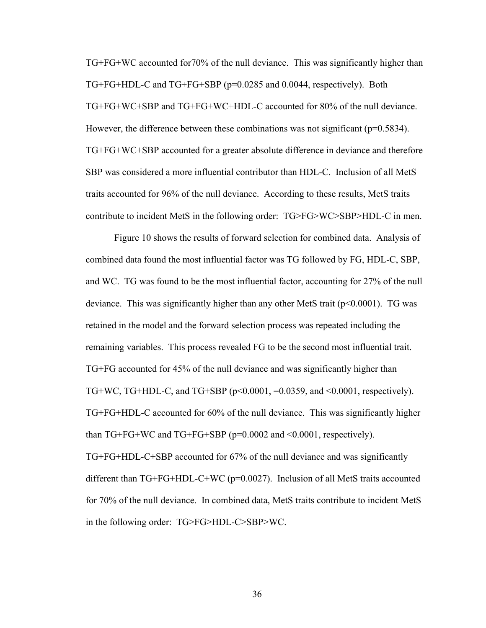TG+FG+WC accounted for70% of the null deviance. This was significantly higher than TG+FG+HDL-C and TG+FG+SBP (p=0.0285 and 0.0044, respectively). Both TG+FG+WC+SBP and TG+FG+WC+HDL-C accounted for 80% of the null deviance. However, the difference between these combinations was not significant ( $p=0.5834$ ). TG+FG+WC+SBP accounted for a greater absolute difference in deviance and therefore SBP was considered a more influential contributor than HDL-C. Inclusion of all MetS traits accounted for 96% of the null deviance. According to these results, MetS traits contribute to incident MetS in the following order: TG>FG>WC>SBP>HDL-C in men.

Figure 10 shows the results of forward selection for combined data. Analysis of combined data found the most influential factor was TG followed by FG, HDL-C, SBP, and WC. TG was found to be the most influential factor, accounting for 27% of the null deviance. This was significantly higher than any other MetS trait  $(p<0.0001)$ . TG was retained in the model and the forward selection process was repeated including the remaining variables. This process revealed FG to be the second most influential trait. TG+FG accounted for 45% of the null deviance and was significantly higher than TG+WC, TG+HDL-C, and TG+SBP ( $p<0.0001$ ,  $=0.0359$ , and  $<0.0001$ , respectively). TG+FG+HDL-C accounted for 60% of the null deviance. This was significantly higher than TG+FG+WC and TG+FG+SBP (p=0.0002 and <0.0001, respectively). TG+FG+HDL-C+SBP accounted for 67% of the null deviance and was significantly different than TG+FG+HDL-C+WC (p=0.0027). Inclusion of all MetS traits accounted for 70% of the null deviance. In combined data, MetS traits contribute to incident MetS in the following order: TG>FG>HDL-C>SBP>WC.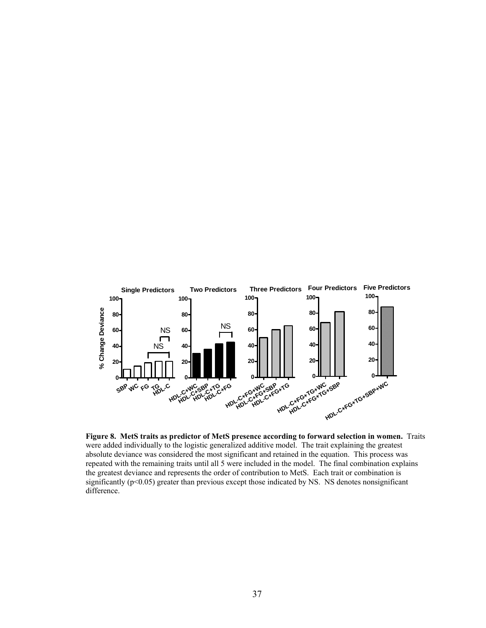

**Figure 8. MetS traits as predictor of MetS presence according to forward selection in women.** Traits were added individually to the logistic generalized additive model. The trait explaining the greatest absolute deviance was considered the most significant and retained in the equation. This process was repeated with the remaining traits until all 5 were included in the model. The final combination explains the greatest deviance and represents the order of contribution to MetS. Each trait or combination is significantly  $(p<0.05)$  greater than previous except those indicated by NS. NS denotes nonsignificant difference.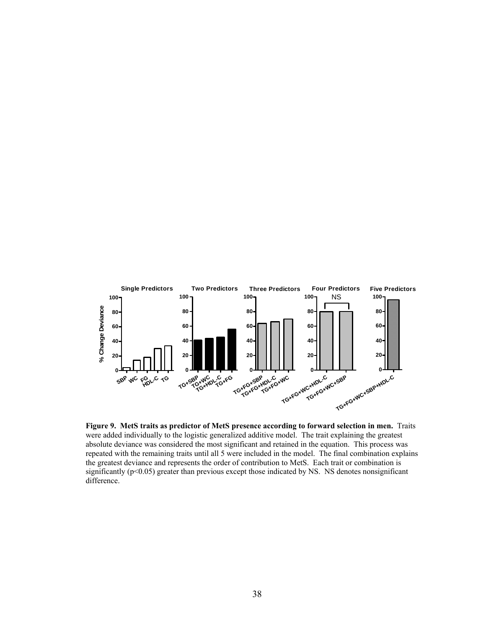

**Figure 9. MetS traits as predictor of MetS presence according to forward selection in men.** Traits were added individually to the logistic generalized additive model. The trait explaining the greatest absolute deviance was considered the most significant and retained in the equation. This process was repeated with the remaining traits until all 5 were included in the model. The final combination explains the greatest deviance and represents the order of contribution to MetS. Each trait or combination is significantly (p<0.05) greater than previous except those indicated by NS. NS denotes nonsignificant difference.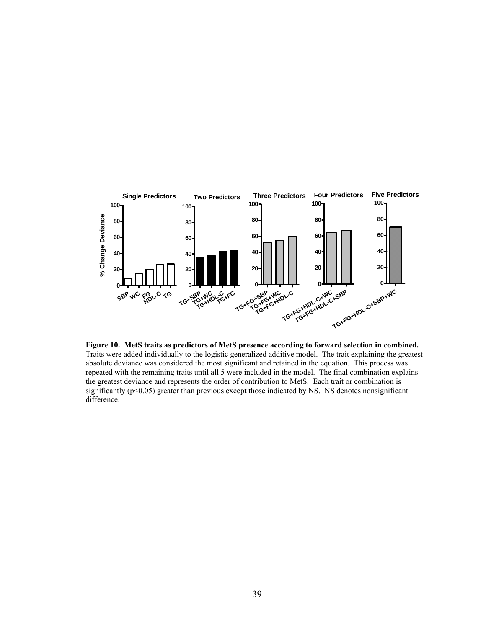

**Figure 10. MetS traits as predictors of MetS presence according to forward selection in combined.** Traits were added individually to the logistic generalized additive model. The trait explaining the greatest absolute deviance was considered the most significant and retained in the equation. This process was repeated with the remaining traits until all 5 were included in the model. The final combination explains the greatest deviance and represents the order of contribution to MetS. Each trait or combination is significantly (p<0.05) greater than previous except those indicated by NS. NS denotes nonsignificant difference.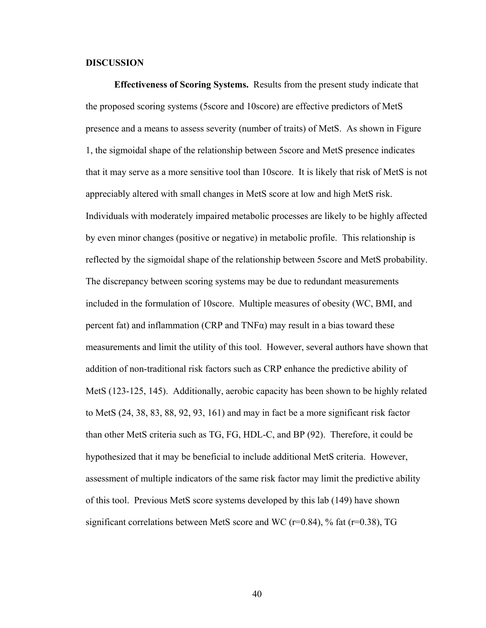## **DISCUSSION**

**Effectiveness of Scoring Systems.** Results from the present study indicate that the proposed scoring systems (5score and 10score) are effective predictors of MetS presence and a means to assess severity (number of traits) of MetS. As shown in Figure 1, the sigmoidal shape of the relationship between 5score and MetS presence indicates that it may serve as a more sensitive tool than 10score. It is likely that risk of MetS is not appreciably altered with small changes in MetS score at low and high MetS risk. Individuals with moderately impaired metabolic processes are likely to be highly affected by even minor changes (positive or negative) in metabolic profile. This relationship is reflected by the sigmoidal shape of the relationship between 5score and MetS probability. The discrepancy between scoring systems may be due to redundant measurements included in the formulation of 10score. Multiple measures of obesity (WC, BMI, and percent fat) and inflammation (CRP and  $TNF\alpha$ ) may result in a bias toward these measurements and limit the utility of this tool. However, several authors have shown that addition of non-traditional risk factors such as CRP enhance the predictive ability of MetS (123-125, 145). Additionally, aerobic capacity has been shown to be highly related to MetS (24, 38, 83, 88, 92, 93, 161) and may in fact be a more significant risk factor than other MetS criteria such as TG, FG, HDL-C, and BP (92). Therefore, it could be hypothesized that it may be beneficial to include additional MetS criteria. However, assessment of multiple indicators of the same risk factor may limit the predictive ability of this tool. Previous MetS score systems developed by this lab (149) have shown significant correlations between MetS score and WC ( $r=0.84$ ), % fat ( $r=0.38$ ), TG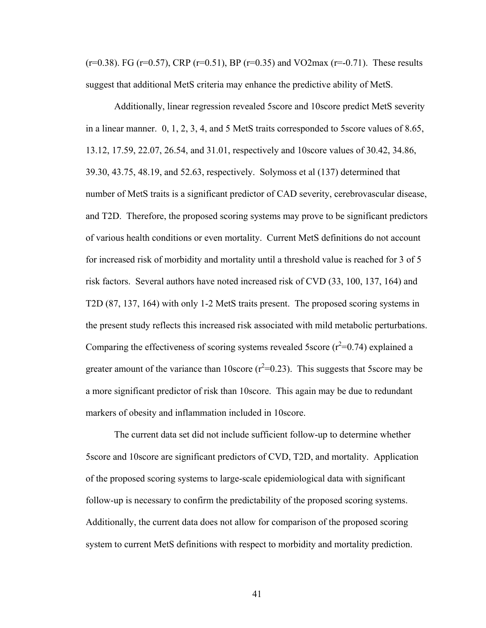$(r=0.38)$ . FG  $(r=0.57)$ , CRP  $(r=0.51)$ , BP  $(r=0.35)$  and VO2max  $(r=-0.71)$ . These results suggest that additional MetS criteria may enhance the predictive ability of MetS.

 Additionally, linear regression revealed 5score and 10score predict MetS severity in a linear manner. 0, 1, 2, 3, 4, and 5 MetS traits corresponded to 5score values of 8.65, 13.12, 17.59, 22.07, 26.54, and 31.01, respectively and 10score values of 30.42, 34.86, 39.30, 43.75, 48.19, and 52.63, respectively. Solymoss et al (137) determined that number of MetS traits is a significant predictor of CAD severity, cerebrovascular disease, and T2D. Therefore, the proposed scoring systems may prove to be significant predictors of various health conditions or even mortality. Current MetS definitions do not account for increased risk of morbidity and mortality until a threshold value is reached for 3 of 5 risk factors. Several authors have noted increased risk of CVD (33, 100, 137, 164) and T2D (87, 137, 164) with only 1-2 MetS traits present. The proposed scoring systems in the present study reflects this increased risk associated with mild metabolic perturbations. Comparing the effectiveness of scoring systems revealed 5score  $(r^2=0.74)$  explained a greater amount of the variance than 10score  $(r^2=0.23)$ . This suggests that 5score may be a more significant predictor of risk than 10score. This again may be due to redundant markers of obesity and inflammation included in 10score.

The current data set did not include sufficient follow-up to determine whether 5score and 10score are significant predictors of CVD, T2D, and mortality. Application of the proposed scoring systems to large-scale epidemiological data with significant follow-up is necessary to confirm the predictability of the proposed scoring systems. Additionally, the current data does not allow for comparison of the proposed scoring system to current MetS definitions with respect to morbidity and mortality prediction.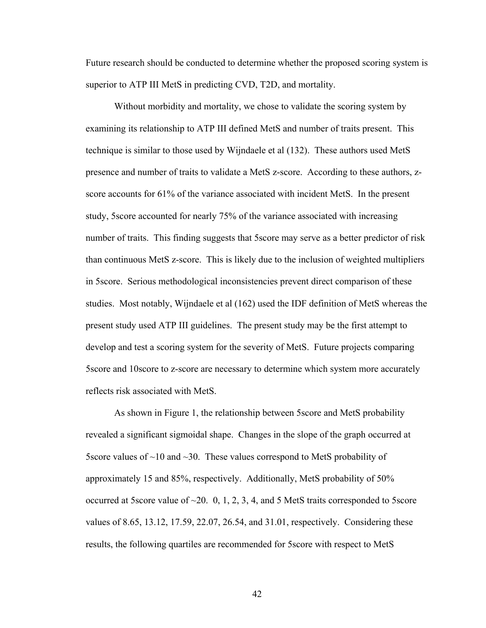Future research should be conducted to determine whether the proposed scoring system is superior to ATP III MetS in predicting CVD, T2D, and mortality.

Without morbidity and mortality, we chose to validate the scoring system by examining its relationship to ATP III defined MetS and number of traits present. This technique is similar to those used by Wijndaele et al (132). These authors used MetS presence and number of traits to validate a MetS z-score. According to these authors, zscore accounts for 61% of the variance associated with incident MetS. In the present study, 5score accounted for nearly 75% of the variance associated with increasing number of traits. This finding suggests that 5score may serve as a better predictor of risk than continuous MetS z-score. This is likely due to the inclusion of weighted multipliers in 5score. Serious methodological inconsistencies prevent direct comparison of these studies. Most notably, Wijndaele et al (162) used the IDF definition of MetS whereas the present study used ATP III guidelines. The present study may be the first attempt to develop and test a scoring system for the severity of MetS. Future projects comparing 5score and 10score to z-score are necessary to determine which system more accurately reflects risk associated with MetS.

 As shown in Figure 1, the relationship between 5score and MetS probability revealed a significant sigmoidal shape. Changes in the slope of the graph occurred at 5score values of  $\sim$ 10 and  $\sim$ 30. These values correspond to MetS probability of approximately 15 and 85%, respectively. Additionally, MetS probability of 50% occurred at 5score value of  $\sim$ 20. 0, 1, 2, 3, 4, and 5 MetS traits corresponded to 5score values of 8.65, 13.12, 17.59, 22.07, 26.54, and 31.01, respectively. Considering these results, the following quartiles are recommended for 5score with respect to MetS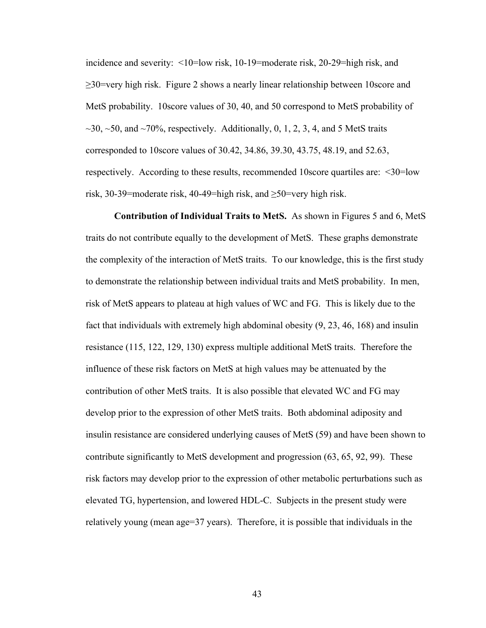incidence and severity: <10=low risk, 10-19=moderate risk, 20-29=high risk, and  $\geq$ 30=very high risk. Figure 2 shows a nearly linear relationship between 10 score and MetS probability. 10score values of 30, 40, and 50 correspond to MetS probability of  $\sim$ 30,  $\sim$ 50, and  $\sim$ 70%, respectively. Additionally, 0, 1, 2, 3, 4, and 5 MetS traits corresponded to 10score values of 30.42, 34.86, 39.30, 43.75, 48.19, and 52.63, respectively. According to these results, recommended 10score quartiles are: <30=low risk, 30-39=moderate risk, 40-49=high risk, and  $\geq$ 50=very high risk.

**Contribution of Individual Traits to MetS.** As shown in Figures 5 and 6, MetS traits do not contribute equally to the development of MetS. These graphs demonstrate the complexity of the interaction of MetS traits. To our knowledge, this is the first study to demonstrate the relationship between individual traits and MetS probability. In men, risk of MetS appears to plateau at high values of WC and FG. This is likely due to the fact that individuals with extremely high abdominal obesity (9, 23, 46, 168) and insulin resistance (115, 122, 129, 130) express multiple additional MetS traits. Therefore the influence of these risk factors on MetS at high values may be attenuated by the contribution of other MetS traits. It is also possible that elevated WC and FG may develop prior to the expression of other MetS traits. Both abdominal adiposity and insulin resistance are considered underlying causes of MetS (59) and have been shown to contribute significantly to MetS development and progression (63, 65, 92, 99). These risk factors may develop prior to the expression of other metabolic perturbations such as elevated TG, hypertension, and lowered HDL-C. Subjects in the present study were relatively young (mean age=37 years). Therefore, it is possible that individuals in the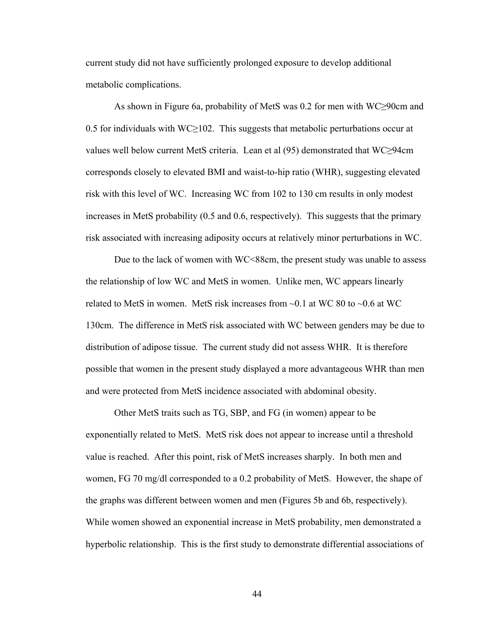current study did not have sufficiently prolonged exposure to develop additional metabolic complications.

 As shown in Figure 6a, probability of MetS was 0.2 for men with WC≥90cm and 0.5 for individuals with WC $\geq$ 102. This suggests that metabolic perturbations occur at values well below current MetS criteria. Lean et al (95) demonstrated that WC≥94cm corresponds closely to elevated BMI and waist-to-hip ratio (WHR), suggesting elevated risk with this level of WC. Increasing WC from 102 to 130 cm results in only modest increases in MetS probability (0.5 and 0.6, respectively). This suggests that the primary risk associated with increasing adiposity occurs at relatively minor perturbations in WC.

Due to the lack of women with WC<88cm, the present study was unable to assess the relationship of low WC and MetS in women. Unlike men, WC appears linearly related to MetS in women. MetS risk increases from  $\sim 0.1$  at WC 80 to  $\sim 0.6$  at WC 130cm. The difference in MetS risk associated with WC between genders may be due to distribution of adipose tissue. The current study did not assess WHR. It is therefore possible that women in the present study displayed a more advantageous WHR than men and were protected from MetS incidence associated with abdominal obesity.

Other MetS traits such as TG, SBP, and FG (in women) appear to be exponentially related to MetS. MetS risk does not appear to increase until a threshold value is reached. After this point, risk of MetS increases sharply. In both men and women, FG 70 mg/dl corresponded to a 0.2 probability of MetS. However, the shape of the graphs was different between women and men (Figures 5b and 6b, respectively). While women showed an exponential increase in MetS probability, men demonstrated a hyperbolic relationship. This is the first study to demonstrate differential associations of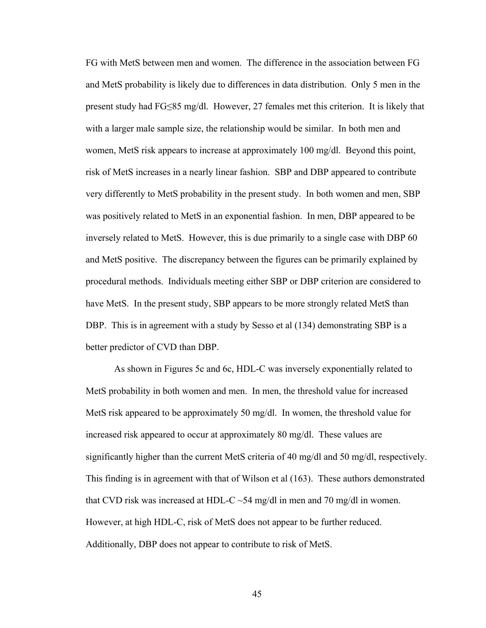FG with MetS between men and women. The difference in the association between FG and MetS probability is likely due to differences in data distribution. Only 5 men in the present study had FG≤85 mg/dl. However, 27 females met this criterion. It is likely that with a larger male sample size, the relationship would be similar. In both men and women, MetS risk appears to increase at approximately 100 mg/dl. Beyond this point, risk of MetS increases in a nearly linear fashion. SBP and DBP appeared to contribute very differently to MetS probability in the present study. In both women and men, SBP was positively related to MetS in an exponential fashion. In men, DBP appeared to be inversely related to MetS. However, this is due primarily to a single case with DBP 60 and MetS positive. The discrepancy between the figures can be primarily explained by procedural methods. Individuals meeting either SBP or DBP criterion are considered to have MetS. In the present study, SBP appears to be more strongly related MetS than DBP. This is in agreement with a study by Sesso et al (134) demonstrating SBP is a better predictor of CVD than DBP.

As shown in Figures 5c and 6c, HDL-C was inversely exponentially related to MetS probability in both women and men. In men, the threshold value for increased MetS risk appeared to be approximately 50 mg/dl. In women, the threshold value for increased risk appeared to occur at approximately 80 mg/dl. These values are significantly higher than the current MetS criteria of 40 mg/dl and 50 mg/dl, respectively. This finding is in agreement with that of Wilson et al (163). These authors demonstrated that CVD risk was increased at HDL-C  $\sim$  54 mg/dl in men and 70 mg/dl in women. However, at high HDL-C, risk of MetS does not appear to be further reduced. Additionally, DBP does not appear to contribute to risk of MetS.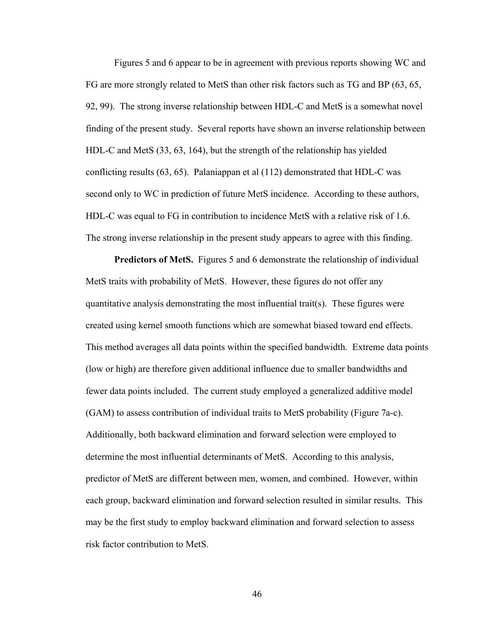Figures 5 and 6 appear to be in agreement with previous reports showing WC and FG are more strongly related to MetS than other risk factors such as TG and BP (63, 65, 92, 99). The strong inverse relationship between HDL-C and MetS is a somewhat novel finding of the present study. Several reports have shown an inverse relationship between HDL-C and MetS (33, 63, 164), but the strength of the relationship has yielded conflicting results (63, 65). Palaniappan et al (112) demonstrated that HDL-C was second only to WC in prediction of future MetS incidence. According to these authors, HDL-C was equal to FG in contribution to incidence MetS with a relative risk of 1.6. The strong inverse relationship in the present study appears to agree with this finding.

**Predictors of MetS.** Figures 5 and 6 demonstrate the relationship of individual MetS traits with probability of MetS. However, these figures do not offer any quantitative analysis demonstrating the most influential trait(s). These figures were created using kernel smooth functions which are somewhat biased toward end effects. This method averages all data points within the specified bandwidth. Extreme data points (low or high) are therefore given additional influence due to smaller bandwidths and fewer data points included. The current study employed a generalized additive model (GAM) to assess contribution of individual traits to MetS probability (Figure 7a-c). Additionally, both backward elimination and forward selection were employed to determine the most influential determinants of MetS. According to this analysis, predictor of MetS are different between men, women, and combined. However, within each group, backward elimination and forward selection resulted in similar results. This may be the first study to employ backward elimination and forward selection to assess risk factor contribution to MetS.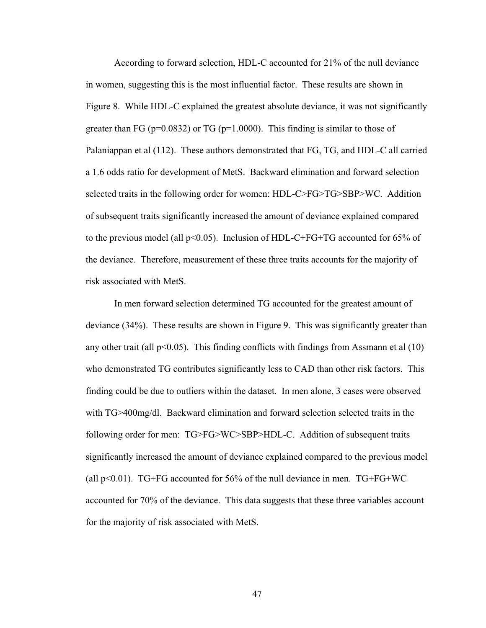According to forward selection, HDL-C accounted for 21% of the null deviance in women, suggesting this is the most influential factor. These results are shown in Figure 8. While HDL-C explained the greatest absolute deviance, it was not significantly greater than FG ( $p=0.0832$ ) or TG ( $p=1.0000$ ). This finding is similar to those of Palaniappan et al (112). These authors demonstrated that FG, TG, and HDL-C all carried a 1.6 odds ratio for development of MetS. Backward elimination and forward selection selected traits in the following order for women: HDL-C>FG>TG>SBP>WC. Addition of subsequent traits significantly increased the amount of deviance explained compared to the previous model (all  $p<0.05$ ). Inclusion of HDL-C+FG+TG accounted for 65% of the deviance. Therefore, measurement of these three traits accounts for the majority of risk associated with MetS.

In men forward selection determined TG accounted for the greatest amount of deviance (34%). These results are shown in Figure 9. This was significantly greater than any other trait (all  $p<0.05$ ). This finding conflicts with findings from Assmann et al (10) who demonstrated TG contributes significantly less to CAD than other risk factors. This finding could be due to outliers within the dataset. In men alone, 3 cases were observed with TG>400mg/dl. Backward elimination and forward selection selected traits in the following order for men: TG>FG>WC>SBP>HDL-C. Addition of subsequent traits significantly increased the amount of deviance explained compared to the previous model (all  $p<0.01$ ). TG+FG accounted for 56% of the null deviance in men. TG+FG+WC accounted for 70% of the deviance. This data suggests that these three variables account for the majority of risk associated with MetS.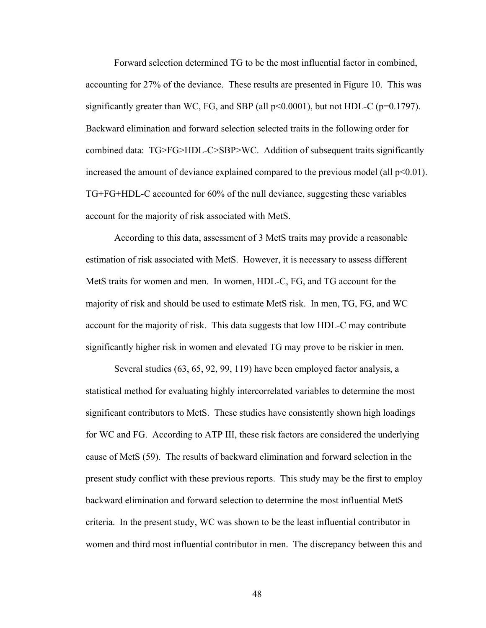Forward selection determined TG to be the most influential factor in combined, accounting for 27% of the deviance. These results are presented in Figure 10. This was significantly greater than WC, FG, and SBP (all  $p<0.0001$ ), but not HDL-C ( $p=0.1797$ ). Backward elimination and forward selection selected traits in the following order for combined data: TG>FG>HDL-C>SBP>WC. Addition of subsequent traits significantly increased the amount of deviance explained compared to the previous model (all  $p<0.01$ ). TG+FG+HDL-C accounted for 60% of the null deviance, suggesting these variables account for the majority of risk associated with MetS.

According to this data, assessment of 3 MetS traits may provide a reasonable estimation of risk associated with MetS. However, it is necessary to assess different MetS traits for women and men. In women, HDL-C, FG, and TG account for the majority of risk and should be used to estimate MetS risk. In men, TG, FG, and WC account for the majority of risk. This data suggests that low HDL-C may contribute significantly higher risk in women and elevated TG may prove to be riskier in men.

Several studies (63, 65, 92, 99, 119) have been employed factor analysis, a statistical method for evaluating highly intercorrelated variables to determine the most significant contributors to MetS. These studies have consistently shown high loadings for WC and FG. According to ATP III, these risk factors are considered the underlying cause of MetS (59). The results of backward elimination and forward selection in the present study conflict with these previous reports. This study may be the first to employ backward elimination and forward selection to determine the most influential MetS criteria. In the present study, WC was shown to be the least influential contributor in women and third most influential contributor in men. The discrepancy between this and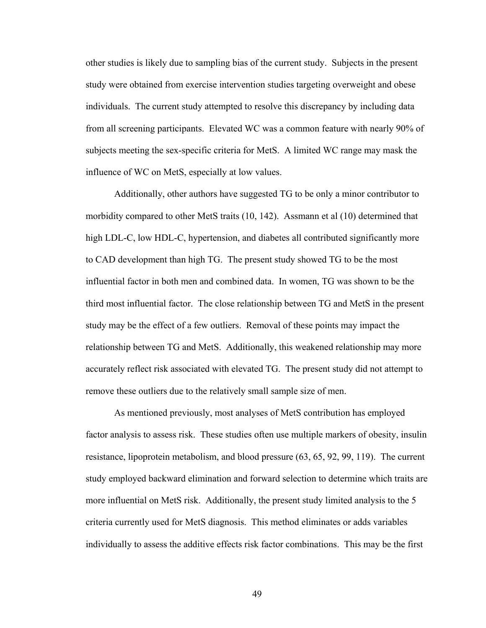other studies is likely due to sampling bias of the current study. Subjects in the present study were obtained from exercise intervention studies targeting overweight and obese individuals. The current study attempted to resolve this discrepancy by including data from all screening participants. Elevated WC was a common feature with nearly 90% of subjects meeting the sex-specific criteria for MetS. A limited WC range may mask the influence of WC on MetS, especially at low values.

Additionally, other authors have suggested TG to be only a minor contributor to morbidity compared to other MetS traits (10, 142). Assmann et al (10) determined that high LDL-C, low HDL-C, hypertension, and diabetes all contributed significantly more to CAD development than high TG. The present study showed TG to be the most influential factor in both men and combined data. In women, TG was shown to be the third most influential factor. The close relationship between TG and MetS in the present study may be the effect of a few outliers. Removal of these points may impact the relationship between TG and MetS. Additionally, this weakened relationship may more accurately reflect risk associated with elevated TG. The present study did not attempt to remove these outliers due to the relatively small sample size of men.

As mentioned previously, most analyses of MetS contribution has employed factor analysis to assess risk. These studies often use multiple markers of obesity, insulin resistance, lipoprotein metabolism, and blood pressure (63, 65, 92, 99, 119). The current study employed backward elimination and forward selection to determine which traits are more influential on MetS risk. Additionally, the present study limited analysis to the 5 criteria currently used for MetS diagnosis. This method eliminates or adds variables individually to assess the additive effects risk factor combinations. This may be the first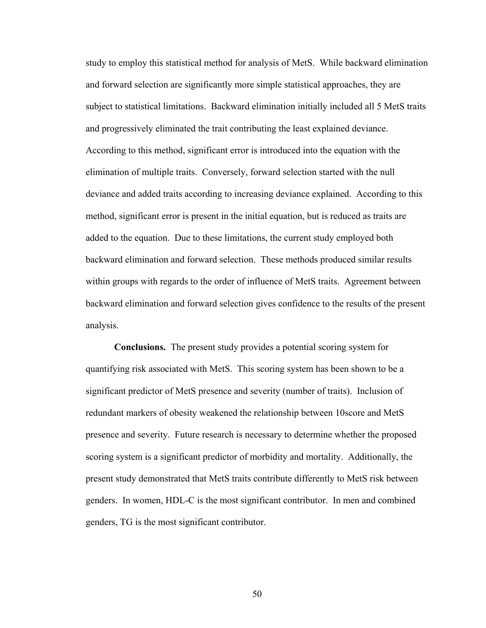study to employ this statistical method for analysis of MetS. While backward elimination and forward selection are significantly more simple statistical approaches, they are subject to statistical limitations. Backward elimination initially included all 5 MetS traits and progressively eliminated the trait contributing the least explained deviance. According to this method, significant error is introduced into the equation with the elimination of multiple traits. Conversely, forward selection started with the null deviance and added traits according to increasing deviance explained. According to this method, significant error is present in the initial equation, but is reduced as traits are added to the equation. Due to these limitations, the current study employed both backward elimination and forward selection. These methods produced similar results within groups with regards to the order of influence of MetS traits. Agreement between backward elimination and forward selection gives confidence to the results of the present analysis.

**Conclusions.** The present study provides a potential scoring system for quantifying risk associated with MetS. This scoring system has been shown to be a significant predictor of MetS presence and severity (number of traits). Inclusion of redundant markers of obesity weakened the relationship between 10score and MetS presence and severity. Future research is necessary to determine whether the proposed scoring system is a significant predictor of morbidity and mortality. Additionally, the present study demonstrated that MetS traits contribute differently to MetS risk between genders. In women, HDL-C is the most significant contributor. In men and combined genders, TG is the most significant contributor.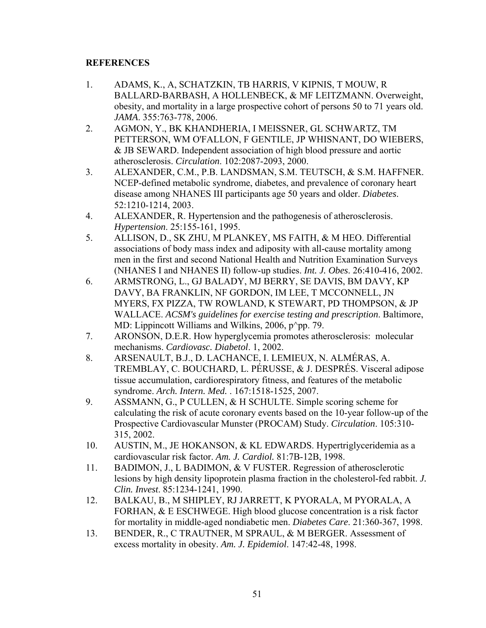## **REFERENCES**

- 1. ADAMS, K., A, SCHATZKIN, TB HARRIS, V KIPNIS, T MOUW, R BALLARD-BARBASH, A HOLLENBECK, & MF LEITZMANN. Overweight, obesity, and mortality in a large prospective cohort of persons 50 to 71 years old. *JAMA*. 355:763-778, 2006.
- 2. AGMON, Y., BK KHANDHERIA, I MEISSNER, GL SCHWARTZ, TM PETTERSON, WM O'FALLON, F GENTILE, JP WHISNANT, DO WIEBERS, & JB SEWARD. Independent association of high blood pressure and aortic atherosclerosis. *Circulation*. 102:2087-2093, 2000.
- 3. ALEXANDER, C.M., P.B. LANDSMAN, S.M. TEUTSCH, & S.M. HAFFNER. NCEP-defined metabolic syndrome, diabetes, and prevalence of coronary heart disease among NHANES III participants age 50 years and older. *Diabetes*. 52:1210-1214, 2003.
- 4. ALEXANDER, R. Hypertension and the pathogenesis of atherosclerosis. *Hypertension*. 25:155-161, 1995.
- 5. ALLISON, D., SK ZHU, M PLANKEY, MS FAITH, & M HEO. Differential associations of body mass index and adiposity with all-cause mortality among men in the first and second National Health and Nutrition Examination Surveys (NHANES I and NHANES II) follow-up studies. *Int. J. Obes*. 26:410-416, 2002.
- 6. ARMSTRONG, L., GJ BALADY, MJ BERRY, SE DAVIS, BM DAVY, KP DAVY, BA FRANKLIN, NF GORDON, IM LEE, T MCCONNELL, JN MYERS, FX PIZZA, TW ROWLAND, K STEWART, PD THOMPSON, & JP WALLACE. *ACSM's guidelines for exercise testing and prescription*. Baltimore, MD: Lippincott Williams and Wilkins, 2006,  $p^{\wedge}$ pp. 79.
- 7. ARONSON, D.E.R. How hyperglycemia promotes atherosclerosis: molecular mechanisms. *Cardiovasc. Diabetol*. 1, 2002.
- 8. ARSENAULT, B.J., D. LACHANCE, I. LEMIEUX, N. ALMÉRAS, A. TREMBLAY, C. BOUCHARD, L. PÉRUSSE, & J. DESPRÉS. Visceral adipose tissue accumulation, cardiorespiratory fitness, and features of the metabolic syndrome. *Arch. Intern. Med.* . 167:1518-1525, 2007.
- 9. ASSMANN, G., P CULLEN, & H SCHULTE. Simple scoring scheme for calculating the risk of acute coronary events based on the 10-year follow-up of the Prospective Cardiovascular Munster (PROCAM) Study. *Circulation*. 105:310- 315, 2002.
- 10. AUSTIN, M., JE HOKANSON, & KL EDWARDS. Hypertriglyceridemia as a cardiovascular risk factor. *Am. J. Cardiol.* 81:7B-12B, 1998.
- 11. BADIMON, J., L BADIMON, & V FUSTER. Regression of atherosclerotic lesions by high density lipoprotein plasma fraction in the cholesterol-fed rabbit. *J. Clin. Invest*. 85:1234-1241, 1990.
- 12. BALKAU, B., M SHIPLEY, RJ JARRETT, K PYORALA, M PYORALA, A FORHAN, & E ESCHWEGE. High blood glucose concentration is a risk factor for mortality in middle-aged nondiabetic men. *Diabetes Care*. 21:360-367, 1998.
- 13. BENDER, R., C TRAUTNER, M SPRAUL, & M BERGER. Assessment of excess mortality in obesity. *Am. J. Epidemiol*. 147:42-48, 1998.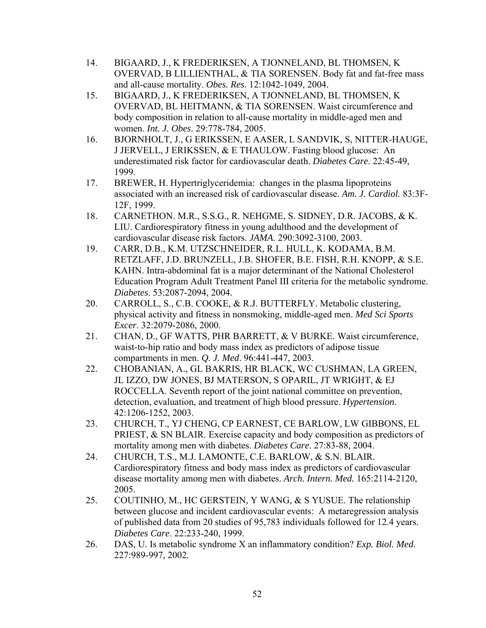- 14. BIGAARD, J., K FREDERIKSEN, A TJONNELAND, BL THOMSEN, K OVERVAD, B LILLIENTHAL, & TIA SORENSEN. Body fat and fat-free mass and all-cause mortality. *Obes. Res*. 12:1042-1049, 2004.
- 15. BIGAARD, J., K FREDERIKSEN, A TJONNELAND, BL THOMSEN, K OVERVAD, BL HEITMANN, & TIA SORENSEN. Waist circumference and body composition in relation to all-cause mortality in middle-aged men and women. *Int. J. Obes*. 29:778-784, 2005.
- 16. BJORNHOLT, J., G ERIKSSEN, E AASER, L SANDVIK, S, NITTER-HAUGE, J JERVELL, J ERIKSSEN, & E THAULOW. Fasting blood glucose: An underestimated risk factor for cardiovascular death. *Diabetes Care*. 22:45-49, 1999.
- 17. BREWER, H. Hypertriglyceridemia: changes in the plasma lipoproteins associated with an increased risk of cardiovascular disease. *Am. J. Cardiol.* 83:3F-12F, 1999.
- 18. CARNETHON. M.R., S.S.G., R. NEHGME, S. SIDNEY, D.R. JACOBS, & K. LIU. Cardiorespiratory fitness in young adulthood and the development of cardiovascular disease risk factors. *JAMA*. 290:3092-3100, 2003.
- 19. CARR, D.B., K.M. UTZSCHNEIDER, R.L. HULL, K. KODAMA, B.M. RETZLAFF, J.D. BRUNZELL, J.B. SHOFER, B.E. FISH, R.H. KNOPP, & S.E. KAHN. Intra-abdominal fat is a major determinant of the National Cholesterol Education Program Adult Treatment Panel III criteria for the metabolic syndrome. *Diabetes*. 53:2087-2094, 2004.
- 20. CARROLL, S., C.B. COOKE, & R.J. BUTTERFLY. Metabolic clustering, physical activity and fitness in nonsmoking, middle-aged men. *Med Sci Sports Excer*. 32:2079-2086, 2000.
- 21. CHAN, D., GF WATTS, PHR BARRETT, & V BURKE. Waist circumference, waist-to-hip ratio and body mass index as predictors of adipose tissue compartments in men. *Q. J. Med*. 96:441-447, 2003.
- 22. CHOBANIAN, A., GL BAKRIS, HR BLACK, WC CUSHMAN, LA GREEN, JL IZZO, DW JONES, BJ MATERSON, S OPARIL, JT WRIGHT, & EJ ROCCELLA. Seventh report of the joint national committee on prevention, detection, evaluation, and treatment of high blood pressure. *Hypertension*. 42:1206-1252, 2003.
- 23. CHURCH, T., YJ CHENG, CP EARNEST, CE BARLOW, LW GIBBONS, EL PRIEST, & SN BLAIR. Exercise capacity and body composition as predictors of mortality among men with diabetes. *Diabetes Care*. 27:83-88, 2004.
- 24. CHURCH, T.S., M.J. LAMONTE, C.E. BARLOW, & S.N. BLAIR. Cardiorespiratory fitness and body mass index as predictors of cardiovascular disease mortality among men with diabetes. *Arch. Intern. Med.* 165:2114-2120, 2005.
- 25. COUTINHO, M., HC GERSTEIN, Y WANG, & S YUSUE. The relationship between glucose and incident cardiovascular events: A metaregression analysis of published data from 20 studies of 95,783 individuals followed for 12.4 years. *Diabetes Care*. 22:233-240, 1999.
- 26. DAS, U. Is metabolic syndrome X an inflammatory condition? *Exp. Biol. Med*. 227:989-997, 2002.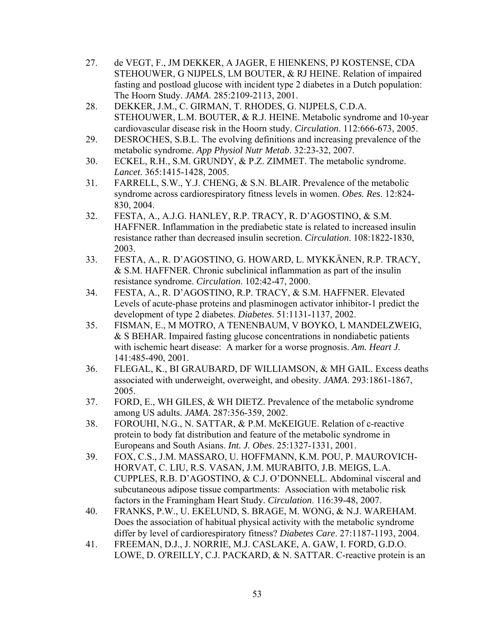- 27. de VEGT, F., JM DEKKER, A JAGER, E HIENKENS, PJ KOSTENSE, CDA STEHOUWER, G NIJPELS, LM BOUTER, & RJ HEINE. Relation of impaired fasting and postload glucose with incident type 2 diabetes in a Dutch population: The Hoorn Study. *JAMA*. 285:2109-2113, 2001.
- 28. DEKKER, J.M., C. GIRMAN, T. RHODES, G. NIJPELS, C.D.A. STEHOUWER, L.M. BOUTER, & R.J. HEINE. Metabolic syndrome and 10-year cardiovascular disease risk in the Hoorn study. *Circulation*. 112:666-673, 2005.
- 29. DESROCHES, S.B.L. The evolving definitions and increasing prevalence of the metabolic syndrome. *App Physiol Nutr Metab*. 32:23-32, 2007.
- 30. ECKEL, R.H., S.M. GRUNDY, & P.Z. ZIMMET. The metabolic syndrome. *Lancet*. 365:1415-1428, 2005.
- 31. FARRELL, S.W., Y.J. CHENG, & S.N. BLAIR. Prevalence of the metabolic syndrome across cardiorespiratory fitness levels in women. *Obes. Res*. 12:824- 830, 2004.
- 32. FESTA, A., A.J.G. HANLEY, R.P. TRACY, R. D'AGOSTINO, & S.M. HAFFNER. Inflammation in the prediabetic state is related to increased insulin resistance rather than decreased insulin secretion. *Circulation*. 108:1822-1830, 2003.
- 33. FESTA, A., R. D'AGOSTINO, G. HOWARD, L. MYKKÄNEN, R.P. TRACY, & S.M. HAFFNER. Chronic subclinical inflammation as part of the insulin resistance syndrome. *Circulation*. 102:42-47, 2000.
- 34. FESTA, A., R. D'AGOSTINO, R.P. TRACY, & S.M. HAFFNER. Elevated Levels of acute-phase proteins and plasminogen activator inhibitor-1 predict the development of type 2 diabetes. *Diabetes*. 51:1131-1137, 2002.
- 35. FISMAN, E., M MOTRO, A TENENBAUM, V BOYKO, L MANDELZWEIG, & S BEHAR. Impaired fasting glucose concentrations in nondiabetic patients with ischemic heart disease: A marker for a worse prognosis. *Am. Heart J*. 141:485-490, 2001.
- 36. FLEGAL, K., BI GRAUBARD, DF WILLIAMSON, & MH GAIL. Excess deaths associated with underweight, overweight, and obesity. *JAMA*. 293:1861-1867, 2005.
- 37. FORD, E., WH GILES, & WH DIETZ. Prevalence of the metabolic syndrome among US adults. *JAMA*. 287:356-359, 2002.
- 38. FOROUHI, N.G., N. SATTAR, & P.M. McKEIGUE. Relation of c-reactive protein to body fat distribution and feature of the metabolic syndrome in Europeans and South Asians. *Int. J. Obes*. 25:1327-1331, 2001.
- 39. FOX, C.S., J.M. MASSARO, U. HOFFMANN, K.M. POU, P. MAUROVICH-HORVAT, C. LIU, R.S. VASAN, J.M. MURABITO, J.B. MEIGS, L.A. CUPPLES, R.B. D'AGOSTINO, & C.J. O'DONNELL. Abdominal visceral and subcutaneous adipose tissue compartments: Association with metabolic risk factors in the Framingham Heart Study. *Circulation*. 116:39-48, 2007.
- 40. FRANKS, P.W., U. EKELUND, S. BRAGE, M. WONG, & N.J. WAREHAM. Does the association of habitual physical activity with the metabolic syndrome differ by level of cardiorespiratory fitness? *Diabetes Care*. 27:1187-1193, 2004.
- 41. FREEMAN, D.J., J. NORRIE, M.J. CASLAKE, A. GAW, I. FORD, G.D.O. LOWE, D. O'REILLY, C.J. PACKARD, & N. SATTAR. C-reactive protein is an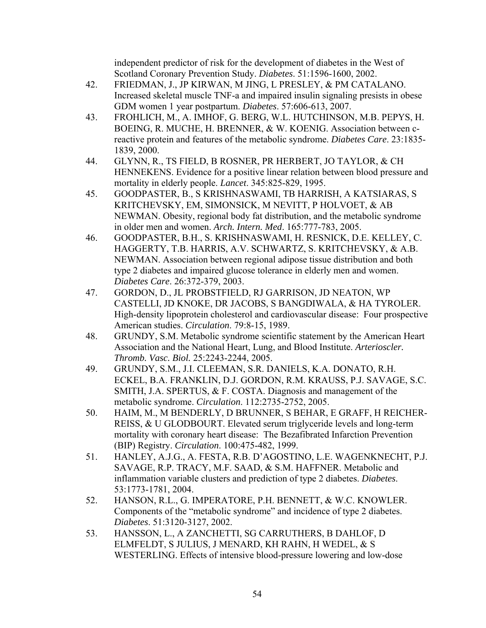independent predictor of risk for the development of diabetes in the West of Scotland Coronary Prevention Study. *Diabetes*. 51:1596-1600, 2002.

- 42. FRIEDMAN, J., JP KIRWAN, M JING, L PRESLEY, & PM CATALANO. Increased skeletal muscle TNF-a and impaired insulin signaling presists in obese GDM women 1 year postpartum. *Diabetes*. 57:606-613, 2007.
- 43. FROHLICH, M., A. IMHOF, G. BERG, W.L. HUTCHINSON, M.B. PEPYS, H. BOEING, R. MUCHE, H. BRENNER, & W. KOENIG. Association between creactive protein and features of the metabolic syndrome. *Diabetes Care*. 23:1835- 1839, 2000.
- 44. GLYNN, R., TS FIELD, B ROSNER, PR HERBERT, JO TAYLOR, & CH HENNEKENS. Evidence for a positive linear relation between blood pressure and mortality in elderly people. *Lancet*. 345:825-829, 1995.
- 45. GOODPASTER, B., S KRISHNASWAMI, TB HARRISH, A KATSIARAS, S KRITCHEVSKY, EM, SIMONSICK, M NEVITT, P HOLVOET, & AB NEWMAN. Obesity, regional body fat distribution, and the metabolic syndrome in older men and women. *Arch. Intern. Med*. 165:777-783, 2005.
- 46. GOODPASTER, B.H., S. KRISHNASWAMI, H. RESNICK, D.E. KELLEY, C. HAGGERTY, T.B. HARRIS, A.V. SCHWARTZ, S. KRITCHEVSKY, & A.B. NEWMAN. Association between regional adipose tissue distribution and both type 2 diabetes and impaired glucose tolerance in elderly men and women. *Diabetes Care*. 26:372-379, 2003.
- 47. GORDON, D., JL PROBSTFIELD, RJ GARRISON, JD NEATON, WP CASTELLI, JD KNOKE, DR JACOBS, S BANGDIWALA, & HA TYROLER. High-density lipoprotein cholesterol and cardiovascular disease: Four prospective American studies. *Circulation*. 79:8-15, 1989.
- 48. GRUNDY, S.M. Metabolic syndrome scientific statement by the American Heart Association and the National Heart, Lung, and Blood Institute. *Arterioscler. Thromb. Vasc. Biol.* 25:2243-2244, 2005.
- 49. GRUNDY, S.M., J.I. CLEEMAN, S.R. DANIELS, K.A. DONATO, R.H. ECKEL, B.A. FRANKLIN, D.J. GORDON, R.M. KRAUSS, P.J. SAVAGE, S.C. SMITH, J.A. SPERTUS, & F. COSTA. Diagnosis and management of the metabolic syndrome. *Circulation*. 112:2735-2752, 2005.
- 50. HAIM, M., M BENDERLY, D BRUNNER, S BEHAR, E GRAFF, H REICHER-REISS, & U GLODBOURT. Elevated serum triglyceride levels and long-term mortality with coronary heart disease: The Bezafibrated Infarction Prevention (BIP) Registry. *Circulation*. 100:475-482, 1999.
- 51. HANLEY, A.J.G., A. FESTA, R.B. D'AGOSTINO, L.E. WAGENKNECHT, P.J. SAVAGE, R.P. TRACY, M.F. SAAD, & S.M. HAFFNER. Metabolic and inflammation variable clusters and prediction of type 2 diabetes. *Diabetes*. 53:1773-1781, 2004.
- 52. HANSON, R.L., G. IMPERATORE, P.H. BENNETT, & W.C. KNOWLER. Components of the "metabolic syndrome" and incidence of type 2 diabetes. *Diabetes*. 51:3120-3127, 2002.
- 53. HANSSON, L., A ZANCHETTI, SG CARRUTHERS, B DAHLOF, D ELMFELDT, S JULIUS, J MENARD, KH RAHN, H WEDEL, & S WESTERLING. Effects of intensive blood-pressure lowering and low-dose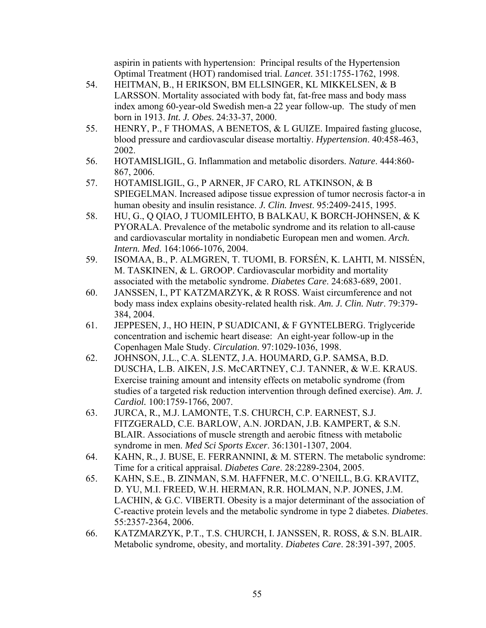aspirin in patients with hypertension: Principal results of the Hypertension Optimal Treatment (HOT) randomised trial. *Lancet*. 351:1755-1762, 1998.

- 54. HEITMAN, B., H ERIKSON, BM ELLSINGER, KL MIKKELSEN, & B LARSSON. Mortality associated with body fat, fat-free mass and body mass index among 60-year-old Swedish men-a 22 year follow-up. The study of men born in 1913. *Int. J. Obes*. 24:33-37, 2000.
- 55. HENRY, P., F THOMAS, A BENETOS, & L GUIZE. Impaired fasting glucose, blood pressure and cardiovascular disease mortaltiy. *Hypertension*. 40:458-463, 2002.
- 56. HOTAMISLIGIL, G. Inflammation and metabolic disorders. *Nature*. 444:860- 867, 2006.
- 57. HOTAMISLIGIL, G., P ARNER, JF CARO, RL ATKINSON, & B SPIEGELMAN. Increased adipose tissue expression of tumor necrosis factor-a in human obesity and insulin resistance. *J. Clin. Invest*. 95:2409-2415, 1995.
- 58. HU, G., Q QIAO, J TUOMILEHTO, B BALKAU, K BORCH-JOHNSEN, & K PYORALA. Prevalence of the metabolic syndrome and its relation to all-cause and cardiovascular mortality in nondiabetic European men and women. *Arch. Intern. Med*. 164:1066-1076, 2004.
- 59. ISOMAA, B., P. ALMGREN, T. TUOMI, B. FORSÉN, K. LAHTI, M. NISSÉN, M. TASKINEN, & L. GROOP. Cardiovascular morbidity and mortality associated with the metabolic syndrome. *Diabetes Care*. 24:683-689, 2001.
- 60. JANSSEN, I., PT KATZMARZYK, & R ROSS. Waist circumference and not body mass index explains obesity-related health risk. *Am. J. Clin. Nutr*. 79:379- 384, 2004.
- 61. JEPPESEN, J., HO HEIN, P SUADICANI, & F GYNTELBERG. Triglyceride concentration and ischemic heart disease: An eight-year follow-up in the Copenhagen Male Study. *Circulation*. 97:1029-1036, 1998.
- 62. JOHNSON, J.L., C.A. SLENTZ, J.A. HOUMARD, G.P. SAMSA, B.D. DUSCHA, L.B. AIKEN, J.S. McCARTNEY, C.J. TANNER, & W.E. KRAUS. Exercise training amount and intensity effects on metabolic syndrome (from studies of a targeted risk reduction intervention through defined exercise). *Am. J. Cardiol.* 100:1759-1766, 2007.
- 63. JURCA, R., M.J. LAMONTE, T.S. CHURCH, C.P. EARNEST, S.J. FITZGERALD, C.E. BARLOW, A.N. JORDAN, J.B. KAMPERT, & S.N. BLAIR. Associations of muscle strength and aerobic fitness with metabolic syndrome in men. *Med Sci Sports Excer*. 36:1301-1307, 2004.
- 64. KAHN, R., J. BUSE, E. FERRANNINI, & M. STERN. The metabolic syndrome: Time for a critical appraisal. *Diabetes Care*. 28:2289-2304, 2005.
- 65. KAHN, S.E., B. ZINMAN, S.M. HAFFNER, M.C. O'NEILL, B.G. KRAVITZ, D. YU, M.I. FREED, W.H. HERMAN, R.R. HOLMAN, N.P. JONES, J.M. LACHIN, & G.C. VIBERTI. Obesity is a major determinant of the association of C-reactive protein levels and the metabolic syndrome in type 2 diabetes. *Diabetes*. 55:2357-2364, 2006.
- 66. KATZMARZYK, P.T., T.S. CHURCH, I. JANSSEN, R. ROSS, & S.N. BLAIR. Metabolic syndrome, obesity, and mortality. *Diabetes Care*. 28:391-397, 2005.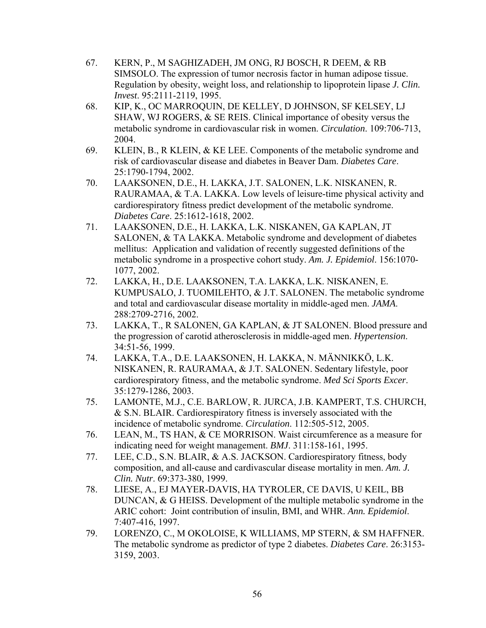- 67. KERN, P., M SAGHIZADEH, JM ONG, RJ BOSCH, R DEEM, & RB SIMSOLO. The expression of tumor necrosis factor in human adipose tissue. Regulation by obesity, weight loss, and relationship to lipoprotein lipase *J. Clin. Invest*. 95:2111-2119, 1995.
- 68. KIP, K., OC MARROQUIN, DE KELLEY, D JOHNSON, SF KELSEY, LJ SHAW, WJ ROGERS, & SE REIS. Clinical importance of obesity versus the metabolic syndrome in cardiovascular risk in women. *Circulation*. 109:706-713, 2004.
- 69. KLEIN, B., R KLEIN, & KE LEE. Components of the metabolic syndrome and risk of cardiovascular disease and diabetes in Beaver Dam. *Diabetes Care*. 25:1790-1794, 2002.
- 70. LAAKSONEN, D.E., H. LAKKA, J.T. SALONEN, L.K. NISKANEN, R. RAURAMAA, & T.A. LAKKA. Low levels of leisure-time physical activity and cardiorespiratory fitness predict development of the metabolic syndrome. *Diabetes Care*. 25:1612-1618, 2002.
- 71. LAAKSONEN, D.E., H. LAKKA, L.K. NISKANEN, GA KAPLAN, JT SALONEN, & TA LAKKA. Metabolic syndrome and development of diabetes mellitus: Application and validation of recently suggested definitions of the metabolic syndrome in a prospective cohort study. *Am. J. Epidemiol*. 156:1070- 1077, 2002.
- 72. LAKKA, H., D.E. LAAKSONEN, T.A. LAKKA, L.K. NISKANEN, E. KUMPUSALO, J. TUOMILEHTO, & J.T. SALONEN. The metabolic syndrome and total and cardiovascular disease mortality in middle-aged men. *JAMA*. 288:2709-2716, 2002.
- 73. LAKKA, T., R SALONEN, GA KAPLAN, & JT SALONEN. Blood pressure and the progression of carotid atherosclerosis in middle-aged men. *Hypertension*. 34:51-56, 1999.
- 74. LAKKA, T.A., D.E. LAAKSONEN, H. LAKKA, N. MÄNNIKKÖ, L.K. NISKANEN, R. RAURAMAA, & J.T. SALONEN. Sedentary lifestyle, poor cardiorespiratory fitness, and the metabolic syndrome. *Med Sci Sports Excer*. 35:1279-1286, 2003.
- 75. LAMONTE, M.J., C.E. BARLOW, R. JURCA, J.B. KAMPERT, T.S. CHURCH, & S.N. BLAIR. Cardiorespiratory fitness is inversely associated with the incidence of metabolic syndrome. *Circulation*. 112:505-512, 2005.
- 76. LEAN, M., TS HAN, & CE MORRISON. Waist circumference as a measure for indicating need for weight management. *BMJ*. 311:158-161, 1995.
- 77. LEE, C.D., S.N. BLAIR, & A.S. JACKSON. Cardiorespiratory fitness, body composition, and all-cause and cardivascular disease mortality in men. *Am. J. Clin. Nutr*. 69:373-380, 1999.
- 78. LIESE, A., EJ MAYER-DAVIS, HA TYROLER, CE DAVIS, U KEIL, BB DUNCAN, & G HEISS. Development of the multiple metabolic syndrome in the ARIC cohort: Joint contribution of insulin, BMI, and WHR. *Ann. Epidemiol*. 7:407-416, 1997.
- 79. LORENZO, C., M OKOLOISE, K WILLIAMS, MP STERN, & SM HAFFNER. The metabolic syndrome as predictor of type 2 diabetes. *Diabetes Care*. 26:3153- 3159, 2003.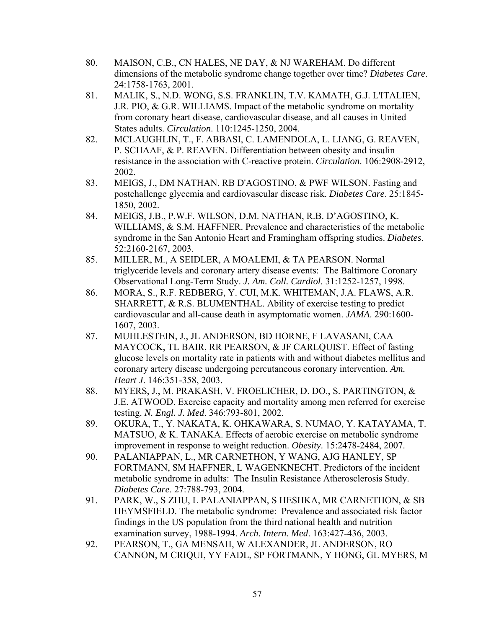- 80. MAISON, C.B., CN HALES, NE DAY, & NJ WAREHAM. Do different dimensions of the metabolic syndrome change together over time? *Diabetes Care*. 24:1758-1763, 2001.
- 81. MALIK, S., N.D. WONG, S.S. FRANKLIN, T.V. KAMATH, G.J. L'ITALIEN, J.R. PIO, & G.R. WILLIAMS. Impact of the metabolic syndrome on mortality from coronary heart disease, cardiovascular disease, and all causes in United States adults. *Circulation*. 110:1245-1250, 2004.
- 82. MCLAUGHLIN, T., F. ABBASI, C. LAMENDOLA, L. LIANG, G. REAVEN, P. SCHAAF, & P. REAVEN. Differentiation between obesity and insulin resistance in the association with C-reactive protein. *Circulation*. 106:2908-2912, 2002.
- 83. MEIGS, J., DM NATHAN, RB D'AGOSTINO, & PWF WILSON. Fasting and postchallenge glycemia and cardiovascular disease risk. *Diabetes Care*. 25:1845- 1850, 2002.
- 84. MEIGS, J.B., P.W.F. WILSON, D.M. NATHAN, R.B. D'AGOSTINO, K. WILLIAMS, & S.M. HAFFNER. Prevalence and characteristics of the metabolic syndrome in the San Antonio Heart and Framingham offspring studies. *Diabetes*. 52:2160-2167, 2003.
- 85. MILLER, M., A SEIDLER, A MOALEMI, & TA PEARSON. Normal triglyceride levels and coronary artery disease events: The Baltimore Coronary Observational Long-Term Study. *J. Am. Coll. Cardiol*. 31:1252-1257, 1998.
- 86. MORA, S., R.F. REDBERG, Y. CUI, M.K. WHITEMAN, J.A. FLAWS, A.R. SHARRETT, & R.S. BLUMENTHAL. Ability of exercise testing to predict cardiovascular and all-cause death in asymptomatic women. *JAMA*. 290:1600- 1607, 2003.
- 87. MUHLESTEIN, J., JL ANDERSON, BD HORNE, F LAVASANI, CAA MAYCOCK, TL BAIR, RR PEARSON, & JF CARLQUIST. Effect of fasting glucose levels on mortality rate in patients with and without diabetes mellitus and coronary artery disease undergoing percutaneous coronary intervention. *Am. Heart J*. 146:351-358, 2003.
- 88. MYERS, J., M. PRAKASH, V. FROELICHER, D. DO., S. PARTINGTON, & J.E. ATWOOD. Exercise capacity and mortality among men referred for exercise testing. *N. Engl. J. Med*. 346:793-801, 2002.
- 89. OKURA, T., Y. NAKATA, K. OHKAWARA, S. NUMAO, Y. KATAYAMA, T. MATSUO, & K. TANAKA. Effects of aerobic exercise on metabolic syndrome improvement in response to weight reduction. *Obesity*. 15:2478-2484, 2007.
- 90. PALANIAPPAN, L., MR CARNETHON, Y WANG, AJG HANLEY, SP FORTMANN, SM HAFFNER, L WAGENKNECHT. Predictors of the incident metabolic syndrome in adults: The Insulin Resistance Atherosclerosis Study. *Diabetes Care*. 27:788-793, 2004.
- 91. PARK, W., S ZHU, L PALANIAPPAN, S HESHKA, MR CARNETHON, & SB HEYMSFIELD. The metabolic syndrome: Prevalence and associated risk factor findings in the US population from the third national health and nutrition examination survey, 1988-1994. *Arch. Intern. Med*. 163:427-436, 2003.
- 92. PEARSON, T., GA MENSAH, W ALEXANDER, JL ANDERSON, RO CANNON, M CRIQUI, YY FADL, SP FORTMANN, Y HONG, GL MYERS, M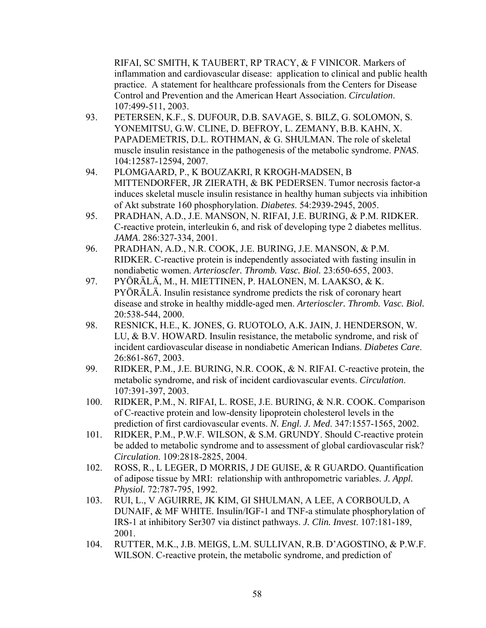RIFAI, SC SMITH, K TAUBERT, RP TRACY, & F VINICOR. Markers of inflammation and cardiovascular disease: application to clinical and public health practice. A statement for healthcare professionals from the Centers for Disease Control and Prevention and the American Heart Association. *Circulation*. 107:499-511, 2003.

- 93. PETERSEN, K.F., S. DUFOUR, D.B. SAVAGE, S. BILZ, G. SOLOMON, S. YONEMITSU, G.W. CLINE, D. BEFROY, L. ZEMANY, B.B. KAHN, X. PAPADEMETRIS, D.L. ROTHMAN, & G. SHULMAN. The role of skeletal muscle insulin resistance in the pathogenesis of the metabolic syndrome. *PNAS*. 104:12587-12594, 2007.
- 94. PLOMGAARD, P., K BOUZAKRI, R KROGH-MADSEN, B MITTENDORFER, JR ZIERATH, & BK PEDERSEN. Tumor necrosis factor-a induces skeletal muscle insulin resistance in healthy human subjects via inhibition of Akt substrate 160 phosphorylation. *Diabetes*. 54:2939-2945, 2005.
- 95. PRADHAN, A.D., J.E. MANSON, N. RIFAI, J.E. BURING, & P.M. RIDKER. C-reactive protein, interleukin 6, and risk of developing type 2 diabetes mellitus. *JAMA*. 286:327-334, 2001.
- 96. PRADHAN, A.D., N.R. COOK, J.E. BURING, J.E. MANSON, & P.M. RIDKER. C-reactive protein is independently associated with fasting insulin in nondiabetic women. *Arterioscler. Thromb. Vasc. Biol.* 23:650-655, 2003.
- 97. PYÖRÄLÄ, M., H. MIETTINEN, P. HALONEN, M. LAAKSO, & K. PYÖRÄLÄ. Insulin resistance syndrome predicts the risk of coronary heart disease and stroke in healthy middle-aged men. *Arterioscler. Thromb. Vasc. Biol.* 20:538-544, 2000.
- 98. RESNICK, H.E., K. JONES, G. RUOTOLO, A.K. JAIN, J. HENDERSON, W. LU, & B.V. HOWARD. Insulin resistance, the metabolic syndrome, and risk of incident cardiovascular disease in nondiabetic American Indians. *Diabetes Care*. 26:861-867, 2003.
- 99. RIDKER, P.M., J.E. BURING, N.R. COOK, & N. RIFAI. C-reactive protein, the metabolic syndrome, and risk of incident cardiovascular events. *Circulation*. 107:391-397, 2003.
- 100. RIDKER, P.M., N. RIFAI, L. ROSE, J.E. BURING, & N.R. COOK. Comparison of C-reactive protein and low-density lipoprotein cholesterol levels in the prediction of first cardiovascular events. *N. Engl. J. Med*. 347:1557-1565, 2002.
- 101. RIDKER, P.M., P.W.F. WILSON, & S.M. GRUNDY. Should C-reactive protein be added to metabolic syndrome and to assessment of global cardiovascular risk? *Circulation*. 109:2818-2825, 2004.
- 102. ROSS, R., L LEGER, D MORRIS, J DE GUISE, & R GUARDO. Quantification of adipose tissue by MRI: relationship with anthropometric variables. *J. Appl. Physiol.* 72:787-795, 1992.
- 103. RUI, L., V AGUIRRE, JK KIM, GI SHULMAN, A LEE, A CORBOULD, A DUNAIF, & MF WHITE. Insulin/IGF-1 and TNF-a stimulate phosphorylation of IRS-1 at inhibitory Ser307 via distinct pathways. *J. Clin. Invest*. 107:181-189, 2001.
- 104. RUTTER, M.K., J.B. MEIGS, L.M. SULLIVAN, R.B. D'AGOSTINO, & P.W.F. WILSON. C-reactive protein, the metabolic syndrome, and prediction of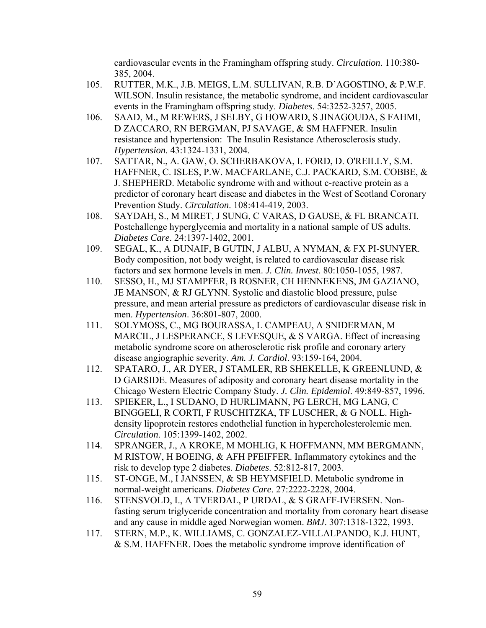cardiovascular events in the Framingham offspring study. *Circulation*. 110:380- 385, 2004.

- 105. RUTTER, M.K., J.B. MEIGS, L.M. SULLIVAN, R.B. D'AGOSTINO, & P.W.F. WILSON. Insulin resistance, the metabolic syndrome, and incident cardiovascular events in the Framingham offspring study. *Diabetes*. 54:3252-3257, 2005.
- 106. SAAD, M., M REWERS, J SELBY, G HOWARD, S JINAGOUDA, S FAHMI, D ZACCARO, RN BERGMAN, PJ SAVAGE, & SM HAFFNER. Insulin resistance and hypertension: The Insulin Resistance Atherosclerosis study. *Hypertension*. 43:1324-1331, 2004.
- 107. SATTAR, N., A. GAW, O. SCHERBAKOVA, I. FORD, D. O'REILLY, S.M. HAFFNER, C. ISLES, P.W. MACFARLANE, C.J. PACKARD, S.M. COBBE, & J. SHEPHERD. Metabolic syndrome with and without c-reactive protein as a predictor of coronary heart disease and diabetes in the West of Scotland Coronary Prevention Study. *Circulation*. 108:414-419, 2003.
- 108. SAYDAH, S., M MIRET, J SUNG, C VARAS, D GAUSE, & FL BRANCATI. Postchallenge hyperglycemia and mortality in a national sample of US adults. *Diabetes Care*. 24:1397-1402, 2001.
- 109. SEGAL, K., A DUNAIF, B GUTIN, J ALBU, A NYMAN, & FX PI-SUNYER. Body composition, not body weight, is related to cardiovascular disease risk factors and sex hormone levels in men. *J. Clin. Invest*. 80:1050-1055, 1987.
- 110. SESSO, H., MJ STAMPFER, B ROSNER, CH HENNEKENS, JM GAZIANO, JE MANSON, & RJ GLYNN. Systolic and diastolic blood pressure, pulse pressure, and mean arterial pressure as predictors of cardiovascular disease risk in men. *Hypertension*. 36:801-807, 2000.
- 111. SOLYMOSS, C., MG BOURASSA, L CAMPEAU, A SNIDERMAN, M MARCIL, J LESPERANCE, S LEVESQUE, & S VARGA. Effect of increasing metabolic syndrome score on atherosclerotic risk profile and coronary artery disease angiographic severity. *Am. J. Cardiol*. 93:159-164, 2004.
- 112. SPATARO, J., AR DYER, J STAMLER, RB SHEKELLE, K GREENLUND, & D GARSIDE. Measures of adiposity and coronary heart disease mortality in the Chicago Western Electric Company Study. *J. Clin. Epidemiol*. 49:849-857, 1996.
- 113. SPIEKER, L., I SUDANO, D HURLIMANN, PG LERCH, MG LANG, C BINGGELI, R CORTI, F RUSCHITZKA, TF LUSCHER, & G NOLL. Highdensity lipoprotein restores endothelial function in hypercholesterolemic men. *Circulation*. 105:1399-1402, 2002.
- 114. SPRANGER, J., A KROKE, M MOHLIG, K HOFFMANN, MM BERGMANN, M RISTOW, H BOEING, & AFH PFEIFFER. Inflammatory cytokines and the risk to develop type 2 diabetes. *Diabetes*. 52:812-817, 2003.
- 115. ST-ONGE, M., I JANSSEN, & SB HEYMSFIELD. Metabolic syndrome in normal-weight americans. *Diabetes Care*. 27:2222-2228, 2004.
- 116. STENSVOLD, I., A TVERDAL, P URDAL, & S GRAFF-IVERSEN. Nonfasting serum triglyceride concentration and mortality from coronary heart disease and any cause in middle aged Norwegian women. *BMJ*. 307:1318-1322, 1993.
- 117. STERN, M.P., K. WILLIAMS, C. GONZALEZ-VILLALPANDO, K.J. HUNT, & S.M. HAFFNER. Does the metabolic syndrome improve identification of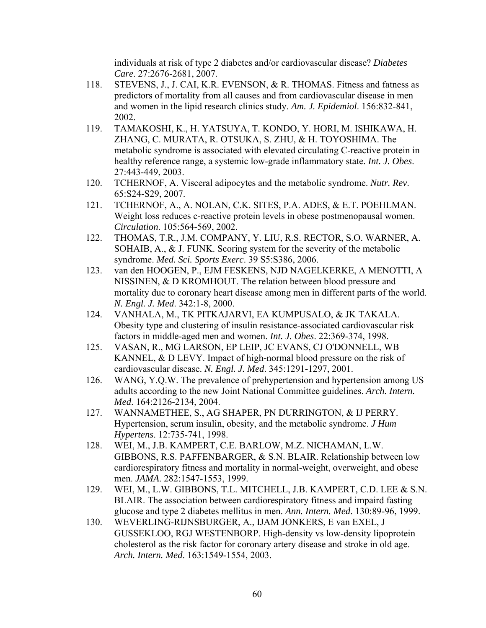individuals at risk of type 2 diabetes and/or cardiovascular disease? *Diabetes Care*. 27:2676-2681, 2007.

- 118. STEVENS, J., J. CAI, K.R. EVENSON, & R. THOMAS. Fitness and fatness as predictors of mortality from all causes and from cardiovascular disease in men and women in the lipid research clinics study. *Am. J. Epidemiol*. 156:832-841, 2002.
- 119. TAMAKOSHI, K., H. YATSUYA, T. KONDO, Y. HORI, M. ISHIKAWA, H. ZHANG, C. MURATA, R. OTSUKA, S. ZHU, & H. TOYOSHIMA. The metabolic syndrome is associated with elevated circulating C-reactive protein in healthy reference range, a systemic low-grade inflammatory state. *Int. J. Obes*. 27:443-449, 2003.
- 120. TCHERNOF, A. Visceral adipocytes and the metabolic syndrome. *Nutr. Rev*. 65:S24-S29, 2007.
- 121. TCHERNOF, A., A. NOLAN, C.K. SITES, P.A. ADES, & E.T. POEHLMAN. Weight loss reduces c-reactive protein levels in obese postmenopausal women. *Circulation*. 105:564-569, 2002.
- 122. THOMAS, T.R., J.M. COMPANY, Y. LIU, R.S. RECTOR, S.O. WARNER, A. SOHAIB, A., & J. FUNK. Scoring system for the severity of the metabolic syndrome. *Med. Sci. Sports Exerc*. 39 S5:S386, 2006.
- 123. van den HOOGEN, P., EJM FESKENS, NJD NAGELKERKE, A MENOTTI, A NISSINEN, & D KROMHOUT. The relation between blood pressure and mortality due to coronary heart disease among men in different parts of the world. *N. Engl. J. Med*. 342:1-8, 2000.
- 124. VANHALA, M., TK PITKAJARVI, EA KUMPUSALO, & JK TAKALA. Obesity type and clustering of insulin resistance-associated cardiovascular risk factors in middle-aged men and women. *Int. J. Obes*. 22:369-374, 1998.
- 125. VASAN, R., MG LARSON, EP LEIP, JC EVANS, CJ O'DONNELL, WB KANNEL, & D LEVY. Impact of high-normal blood pressure on the risk of cardiovascular disease. *N. Engl. J. Med*. 345:1291-1297, 2001.
- 126. WANG, Y.Q.W. The prevalence of prehypertension and hypertension among US adults according to the new Joint National Committee guidelines. *Arch. Intern. Med*. 164:2126-2134, 2004.
- 127. WANNAMETHEE, S., AG SHAPER, PN DURRINGTON, & IJ PERRY. Hypertension, serum insulin, obesity, and the metabolic syndrome. *J Hum Hypertens*. 12:735-741, 1998.
- 128. WEI, M., J.B. KAMPERT, C.E. BARLOW, M.Z. NICHAMAN, L.W. GIBBONS, R.S. PAFFENBARGER, & S.N. BLAIR. Relationship between low cardiorespiratory fitness and mortality in normal-weight, overweight, and obese men. *JAMA*. 282:1547-1553, 1999.
- 129. WEI, M., L.W. GIBBONS, T.L. MITCHELL, J.B. KAMPERT, C.D. LEE & S.N. BLAIR. The association between cardiorespiratory fitness and impaird fasting glucose and type 2 diabetes mellitus in men. *Ann. Intern. Med*. 130:89-96, 1999.
- 130. WEVERLING-RIJNSBURGER, A., IJAM JONKERS, E van EXEL, J GUSSEKLOO, RGJ WESTENBORP. High-density vs low-density lipoprotein cholesterol as the risk factor for coronary artery disease and stroke in old age. *Arch. Intern. Med*. 163:1549-1554, 2003.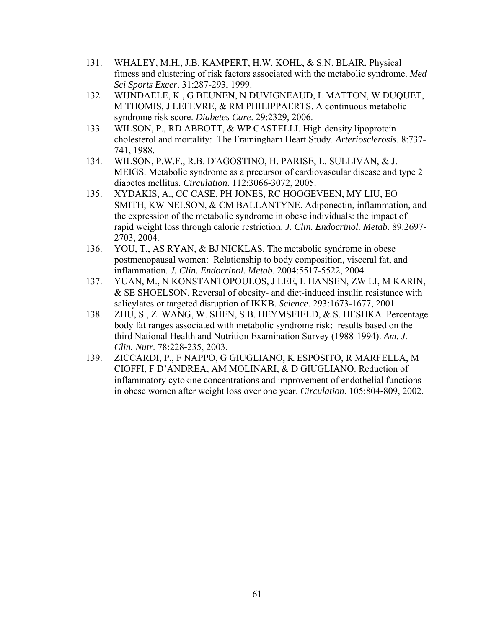- 131. WHALEY, M.H., J.B. KAMPERT, H.W. KOHL, & S.N. BLAIR. Physical fitness and clustering of risk factors associated with the metabolic syndrome. *Med Sci Sports Excer*. 31:287-293, 1999.
- 132. WIJNDAELE, K., G BEUNEN, N DUVIGNEAUD, L MATTON, W DUQUET, M THOMIS, J LEFEVRE, & RM PHILIPPAERTS. A continuous metabolic syndrome risk score. *Diabetes Care*. 29:2329, 2006.
- 133. WILSON, P., RD ABBOTT, & WP CASTELLI. High density lipoprotein cholesterol and mortality: The Framingham Heart Study. *Arteriosclerosis*. 8:737- 741, 1988.
- 134. WILSON, P.W.F., R.B. D'AGOSTINO, H. PARISE, L. SULLIVAN, & J. MEIGS. Metabolic syndrome as a precursor of cardiovascular disease and type 2 diabetes mellitus. *Circulation*. 112:3066-3072, 2005.
- 135. XYDAKIS, A., CC CASE, PH JONES, RC HOOGEVEEN, MY LIU, EO SMITH, KW NELSON, & CM BALLANTYNE. Adiponectin, inflammation, and the expression of the metabolic syndrome in obese individuals: the impact of rapid weight loss through caloric restriction. *J. Clin. Endocrinol. Metab*. 89:2697- 2703, 2004.
- 136. YOU, T., AS RYAN, & BJ NICKLAS. The metabolic syndrome in obese postmenopausal women: Relationship to body composition, visceral fat, and inflammation. *J. Clin. Endocrinol. Metab*. 2004:5517-5522, 2004.
- 137. YUAN, M., N KONSTANTOPOULOS, J LEE, L HANSEN, ZW LI, M KARIN, & SE SHOELSON. Reversal of obesity- and diet-induced insulin resistance with salicylates or targeted disruption of IKKB. *Science*. 293:1673-1677, 2001.
- 138. ZHU, S., Z. WANG, W. SHEN, S.B. HEYMSFIELD, & S. HESHKA. Percentage body fat ranges associated with metabolic syndrome risk: results based on the third National Health and Nutrition Examination Survey (1988-1994). *Am. J. Clin. Nutr*. 78:228-235, 2003.
- 139. ZICCARDI, P., F NAPPO, G GIUGLIANO, K ESPOSITO, R MARFELLA, M CIOFFI, F D'ANDREA, AM MOLINARI, & D GIUGLIANO. Reduction of inflammatory cytokine concentrations and improvement of endothelial functions in obese women after weight loss over one year. *Circulation*. 105:804-809, 2002.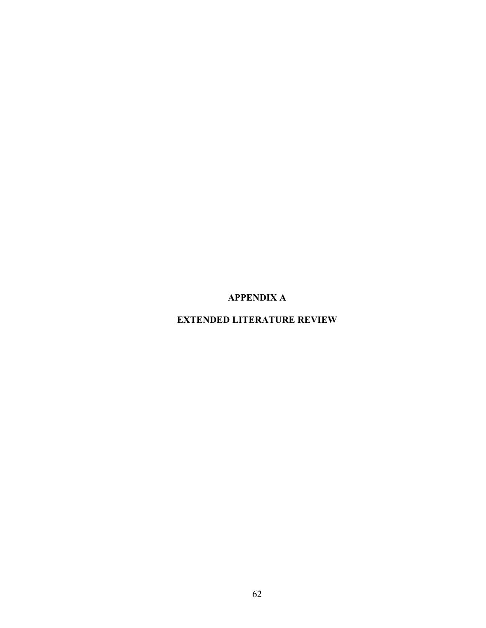**APPENDIX A** 

**EXTENDED LITERATURE REVIEW**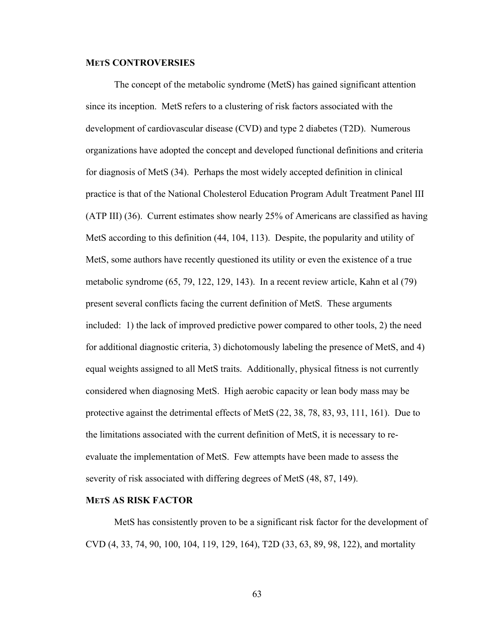## **METS CONTROVERSIES**

 The concept of the metabolic syndrome (MetS) has gained significant attention since its inception. MetS refers to a clustering of risk factors associated with the development of cardiovascular disease (CVD) and type 2 diabetes (T2D). Numerous organizations have adopted the concept and developed functional definitions and criteria for diagnosis of MetS (34). Perhaps the most widely accepted definition in clinical practice is that of the National Cholesterol Education Program Adult Treatment Panel III (ATP III) (36). Current estimates show nearly 25% of Americans are classified as having MetS according to this definition (44, 104, 113). Despite, the popularity and utility of MetS, some authors have recently questioned its utility or even the existence of a true metabolic syndrome (65, 79, 122, 129, 143). In a recent review article, Kahn et al (79) present several conflicts facing the current definition of MetS. These arguments included: 1) the lack of improved predictive power compared to other tools, 2) the need for additional diagnostic criteria, 3) dichotomously labeling the presence of MetS, and 4) equal weights assigned to all MetS traits. Additionally, physical fitness is not currently considered when diagnosing MetS. High aerobic capacity or lean body mass may be protective against the detrimental effects of MetS (22, 38, 78, 83, 93, 111, 161). Due to the limitations associated with the current definition of MetS, it is necessary to reevaluate the implementation of MetS. Few attempts have been made to assess the severity of risk associated with differing degrees of MetS (48, 87, 149).

## **METS AS RISK FACTOR**

 MetS has consistently proven to be a significant risk factor for the development of CVD (4, 33, 74, 90, 100, 104, 119, 129, 164), T2D (33, 63, 89, 98, 122), and mortality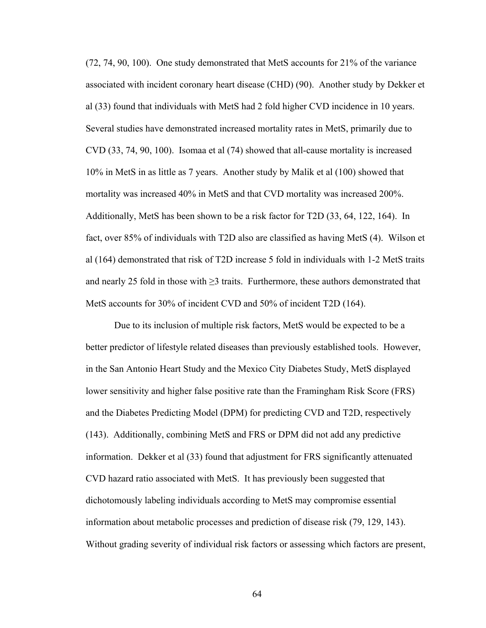(72, 74, 90, 100). One study demonstrated that MetS accounts for 21% of the variance associated with incident coronary heart disease (CHD) (90). Another study by Dekker et al (33) found that individuals with MetS had 2 fold higher CVD incidence in 10 years. Several studies have demonstrated increased mortality rates in MetS, primarily due to CVD (33, 74, 90, 100). Isomaa et al (74) showed that all-cause mortality is increased 10% in MetS in as little as 7 years. Another study by Malik et al (100) showed that mortality was increased 40% in MetS and that CVD mortality was increased 200%. Additionally, MetS has been shown to be a risk factor for T2D (33, 64, 122, 164). In fact, over 85% of individuals with T2D also are classified as having MetS (4). Wilson et al (164) demonstrated that risk of T2D increase 5 fold in individuals with 1-2 MetS traits and nearly 25 fold in those with  $\geq$ 3 traits. Furthermore, these authors demonstrated that MetS accounts for 30% of incident CVD and 50% of incident T2D (164).

Due to its inclusion of multiple risk factors, MetS would be expected to be a better predictor of lifestyle related diseases than previously established tools. However, in the San Antonio Heart Study and the Mexico City Diabetes Study, MetS displayed lower sensitivity and higher false positive rate than the Framingham Risk Score (FRS) and the Diabetes Predicting Model (DPM) for predicting CVD and T2D, respectively (143). Additionally, combining MetS and FRS or DPM did not add any predictive information. Dekker et al (33) found that adjustment for FRS significantly attenuated CVD hazard ratio associated with MetS. It has previously been suggested that dichotomously labeling individuals according to MetS may compromise essential information about metabolic processes and prediction of disease risk (79, 129, 143). Without grading severity of individual risk factors or assessing which factors are present,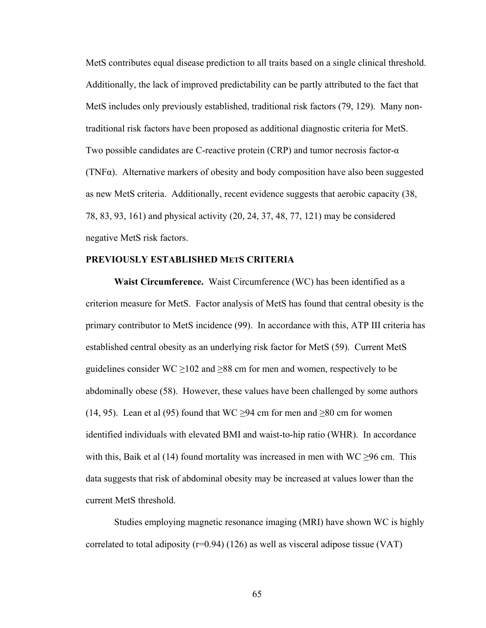MetS contributes equal disease prediction to all traits based on a single clinical threshold. Additionally, the lack of improved predictability can be partly attributed to the fact that MetS includes only previously established, traditional risk factors (79, 129). Many nontraditional risk factors have been proposed as additional diagnostic criteria for MetS. Two possible candidates are C-reactive protein (CRP) and tumor necrosis factor-α (TNFα). Alternative markers of obesity and body composition have also been suggested as new MetS criteria. Additionally, recent evidence suggests that aerobic capacity (38, 78, 83, 93, 161) and physical activity (20, 24, 37, 48, 77, 121) may be considered negative MetS risk factors.

# **PREVIOUSLY ESTABLISHED METS CRITERIA**

**Waist Circumference.** Waist Circumference (WC) has been identified as a criterion measure for MetS. Factor analysis of MetS has found that central obesity is the primary contributor to MetS incidence (99). In accordance with this, ATP III criteria has established central obesity as an underlying risk factor for MetS (59). Current MetS guidelines consider WC  $\geq$ 102 and  $\geq$ 88 cm for men and women, respectively to be abdominally obese (58). However, these values have been challenged by some authors (14, 95). Lean et al (95) found that WC  $\geq$ 94 cm for men and  $\geq$ 80 cm for women identified individuals with elevated BMI and waist-to-hip ratio (WHR). In accordance with this, Baik et al (14) found mortality was increased in men with WC  $\geq$ 96 cm. This data suggests that risk of abdominal obesity may be increased at values lower than the current MetS threshold.

Studies employing magnetic resonance imaging (MRI) have shown WC is highly correlated to total adiposity ( $r=0.94$ ) (126) as well as visceral adipose tissue (VAT)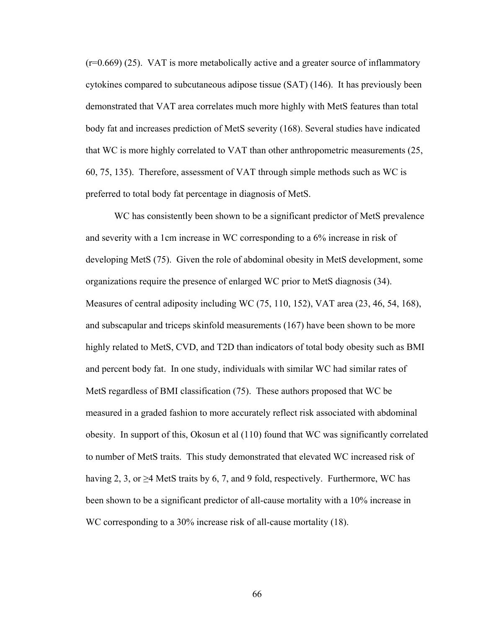(r=0.669) (25). VAT is more metabolically active and a greater source of inflammatory cytokines compared to subcutaneous adipose tissue (SAT) (146). It has previously been demonstrated that VAT area correlates much more highly with MetS features than total body fat and increases prediction of MetS severity (168). Several studies have indicated that WC is more highly correlated to VAT than other anthropometric measurements (25, 60, 75, 135). Therefore, assessment of VAT through simple methods such as WC is preferred to total body fat percentage in diagnosis of MetS.

WC has consistently been shown to be a significant predictor of MetS prevalence and severity with a 1cm increase in WC corresponding to a 6% increase in risk of developing MetS (75). Given the role of abdominal obesity in MetS development, some organizations require the presence of enlarged WC prior to MetS diagnosis (34). Measures of central adiposity including WC (75, 110, 152), VAT area (23, 46, 54, 168), and subscapular and triceps skinfold measurements (167) have been shown to be more highly related to MetS, CVD, and T2D than indicators of total body obesity such as BMI and percent body fat. In one study, individuals with similar WC had similar rates of MetS regardless of BMI classification (75). These authors proposed that WC be measured in a graded fashion to more accurately reflect risk associated with abdominal obesity. In support of this, Okosun et al (110) found that WC was significantly correlated to number of MetS traits. This study demonstrated that elevated WC increased risk of having 2, 3, or  $\geq$ 4 MetS traits by 6, 7, and 9 fold, respectively. Furthermore, WC has been shown to be a significant predictor of all-cause mortality with a 10% increase in WC corresponding to a 30% increase risk of all-cause mortality (18).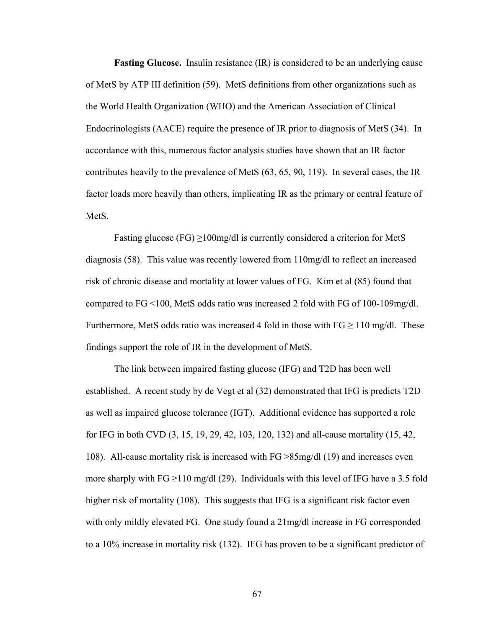**Fasting Glucose.** Insulin resistance (IR) is considered to be an underlying cause of MetS by ATP III definition (59). MetS definitions from other organizations such as the World Health Organization (WHO) and the American Association of Clinical Endocrinologists (AACE) require the presence of IR prior to diagnosis of MetS (34). In accordance with this, numerous factor analysis studies have shown that an IR factor contributes heavily to the prevalence of MetS (63, 65, 90, 119). In several cases, the IR factor loads more heavily than others, implicating IR as the primary or central feature of MetS.

Fasting glucose (FG)  $\geq$ 100mg/dl is currently considered a criterion for MetS diagnosis (58). This value was recently lowered from 110mg/dl to reflect an increased risk of chronic disease and mortality at lower values of FG. Kim et al (85) found that compared to FG <100, MetS odds ratio was increased 2 fold with FG of 100-109mg/dl. Furthermore, MetS odds ratio was increased 4 fold in those with  $FG \ge 110$  mg/dl. These findings support the role of IR in the development of MetS.

 The link between impaired fasting glucose (IFG) and T2D has been well established. A recent study by de Vegt et al (32) demonstrated that IFG is predicts T2D as well as impaired glucose tolerance (IGT). Additional evidence has supported a role for IFG in both CVD (3, 15, 19, 29, 42, 103, 120, 132) and all-cause mortality (15, 42, 108). All-cause mortality risk is increased with FG >85mg/dl (19) and increases even more sharply with  $FG \ge 110$  mg/dl (29). Individuals with this level of IFG have a 3.5 fold higher risk of mortality (108). This suggests that IFG is a significant risk factor even with only mildly elevated FG. One study found a 21mg/dl increase in FG corresponded to a 10% increase in mortality risk (132). IFG has proven to be a significant predictor of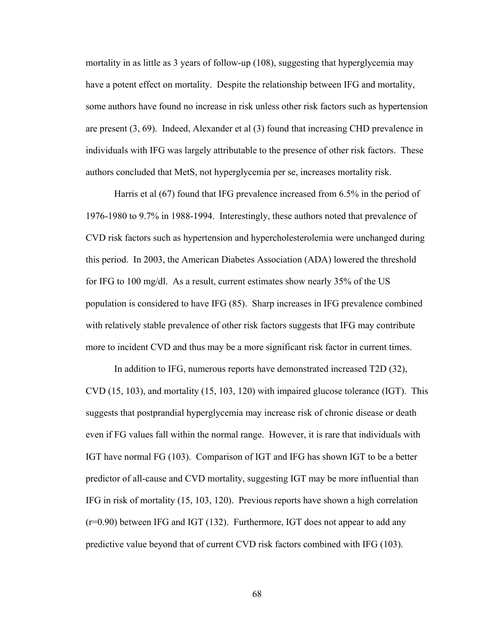mortality in as little as 3 years of follow-up (108), suggesting that hyperglycemia may have a potent effect on mortality. Despite the relationship between IFG and mortality, some authors have found no increase in risk unless other risk factors such as hypertension are present (3, 69). Indeed, Alexander et al (3) found that increasing CHD prevalence in individuals with IFG was largely attributable to the presence of other risk factors. These authors concluded that MetS, not hyperglycemia per se, increases mortality risk.

Harris et al (67) found that IFG prevalence increased from 6.5% in the period of 1976-1980 to 9.7% in 1988-1994. Interestingly, these authors noted that prevalence of CVD risk factors such as hypertension and hypercholesterolemia were unchanged during this period. In 2003, the American Diabetes Association (ADA) lowered the threshold for IFG to 100 mg/dl. As a result, current estimates show nearly 35% of the US population is considered to have IFG (85). Sharp increases in IFG prevalence combined with relatively stable prevalence of other risk factors suggests that IFG may contribute more to incident CVD and thus may be a more significant risk factor in current times.

In addition to IFG, numerous reports have demonstrated increased T2D (32), CVD (15, 103), and mortality (15, 103, 120) with impaired glucose tolerance (IGT). This suggests that postprandial hyperglycemia may increase risk of chronic disease or death even if FG values fall within the normal range. However, it is rare that individuals with IGT have normal FG (103). Comparison of IGT and IFG has shown IGT to be a better predictor of all-cause and CVD mortality, suggesting IGT may be more influential than IFG in risk of mortality (15, 103, 120). Previous reports have shown a high correlation (r=0.90) between IFG and IGT (132). Furthermore, IGT does not appear to add any predictive value beyond that of current CVD risk factors combined with IFG (103).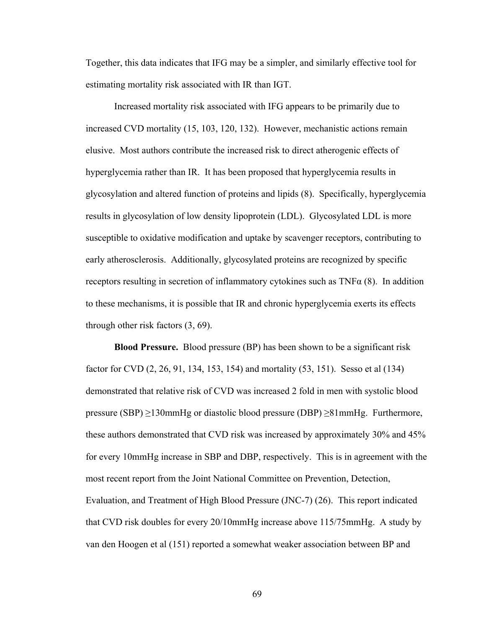Together, this data indicates that IFG may be a simpler, and similarly effective tool for estimating mortality risk associated with IR than IGT.

Increased mortality risk associated with IFG appears to be primarily due to increased CVD mortality (15, 103, 120, 132). However, mechanistic actions remain elusive. Most authors contribute the increased risk to direct atherogenic effects of hyperglycemia rather than IR. It has been proposed that hyperglycemia results in glycosylation and altered function of proteins and lipids (8). Specifically, hyperglycemia results in glycosylation of low density lipoprotein (LDL). Glycosylated LDL is more susceptible to oxidative modification and uptake by scavenger receptors, contributing to early atherosclerosis. Additionally, glycosylated proteins are recognized by specific receptors resulting in secretion of inflammatory cytokines such as  $TNF\alpha$  (8). In addition to these mechanisms, it is possible that IR and chronic hyperglycemia exerts its effects through other risk factors (3, 69).

**Blood Pressure.** Blood pressure (BP) has been shown to be a significant risk factor for CVD (2, 26, 91, 134, 153, 154) and mortality (53, 151). Sesso et al (134) demonstrated that relative risk of CVD was increased 2 fold in men with systolic blood pressure (SBP) ≥130mmHg or diastolic blood pressure (DBP) ≥81mmHg. Furthermore, these authors demonstrated that CVD risk was increased by approximately 30% and 45% for every 10mmHg increase in SBP and DBP, respectively. This is in agreement with the most recent report from the Joint National Committee on Prevention, Detection, Evaluation, and Treatment of High Blood Pressure (JNC-7) (26). This report indicated that CVD risk doubles for every 20/10mmHg increase above 115/75mmHg. A study by van den Hoogen et al (151) reported a somewhat weaker association between BP and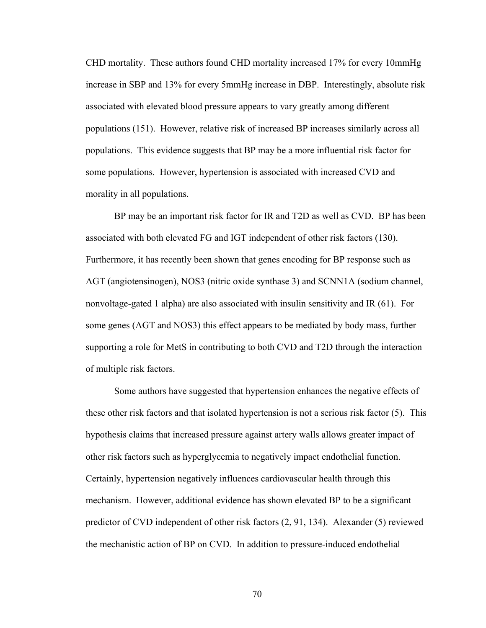CHD mortality. These authors found CHD mortality increased 17% for every 10mmHg increase in SBP and 13% for every 5mmHg increase in DBP. Interestingly, absolute risk associated with elevated blood pressure appears to vary greatly among different populations (151). However, relative risk of increased BP increases similarly across all populations. This evidence suggests that BP may be a more influential risk factor for some populations. However, hypertension is associated with increased CVD and morality in all populations.

BP may be an important risk factor for IR and T2D as well as CVD. BP has been associated with both elevated FG and IGT independent of other risk factors (130). Furthermore, it has recently been shown that genes encoding for BP response such as AGT (angiotensinogen), NOS3 (nitric oxide synthase 3) and SCNN1A (sodium channel, nonvoltage-gated 1 alpha) are also associated with insulin sensitivity and IR (61). For some genes (AGT and NOS3) this effect appears to be mediated by body mass, further supporting a role for MetS in contributing to both CVD and T2D through the interaction of multiple risk factors.

Some authors have suggested that hypertension enhances the negative effects of these other risk factors and that isolated hypertension is not a serious risk factor (5). This hypothesis claims that increased pressure against artery walls allows greater impact of other risk factors such as hyperglycemia to negatively impact endothelial function. Certainly, hypertension negatively influences cardiovascular health through this mechanism. However, additional evidence has shown elevated BP to be a significant predictor of CVD independent of other risk factors (2, 91, 134). Alexander (5) reviewed the mechanistic action of BP on CVD. In addition to pressure-induced endothelial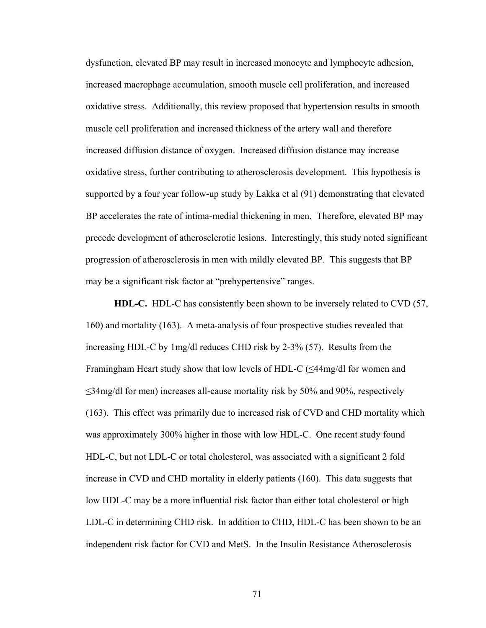dysfunction, elevated BP may result in increased monocyte and lymphocyte adhesion, increased macrophage accumulation, smooth muscle cell proliferation, and increased oxidative stress. Additionally, this review proposed that hypertension results in smooth muscle cell proliferation and increased thickness of the artery wall and therefore increased diffusion distance of oxygen. Increased diffusion distance may increase oxidative stress, further contributing to atherosclerosis development. This hypothesis is supported by a four year follow-up study by Lakka et al (91) demonstrating that elevated BP accelerates the rate of intima-medial thickening in men. Therefore, elevated BP may precede development of atherosclerotic lesions. Interestingly, this study noted significant progression of atherosclerosis in men with mildly elevated BP. This suggests that BP may be a significant risk factor at "prehypertensive" ranges.

**HDL-C.** HDL-C has consistently been shown to be inversely related to CVD (57, 160) and mortality (163). A meta-analysis of four prospective studies revealed that increasing HDL-C by 1mg/dl reduces CHD risk by 2-3% (57). Results from the Framingham Heart study show that low levels of HDL-C (≤44mg/dl for women and ≤34mg/dl for men) increases all-cause mortality risk by 50% and 90%, respectively (163). This effect was primarily due to increased risk of CVD and CHD mortality which was approximately 300% higher in those with low HDL-C. One recent study found HDL-C, but not LDL-C or total cholesterol, was associated with a significant 2 fold increase in CVD and CHD mortality in elderly patients (160). This data suggests that low HDL-C may be a more influential risk factor than either total cholesterol or high LDL-C in determining CHD risk. In addition to CHD, HDL-C has been shown to be an independent risk factor for CVD and MetS. In the Insulin Resistance Atherosclerosis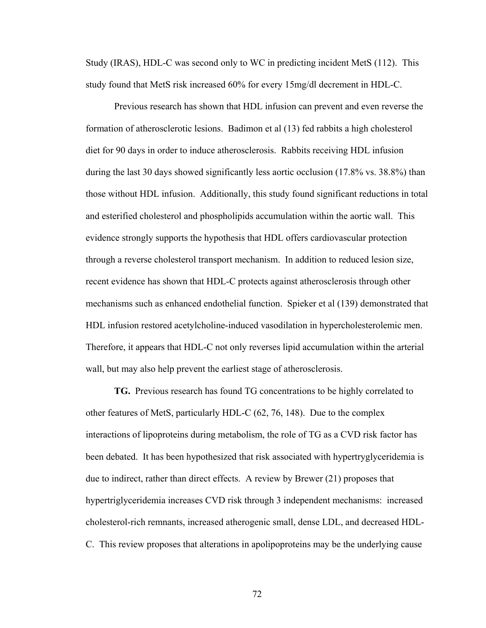Study (IRAS), HDL-C was second only to WC in predicting incident MetS (112). This study found that MetS risk increased 60% for every 15mg/dl decrement in HDL-C.

 Previous research has shown that HDL infusion can prevent and even reverse the formation of atherosclerotic lesions. Badimon et al (13) fed rabbits a high cholesterol diet for 90 days in order to induce atherosclerosis. Rabbits receiving HDL infusion during the last 30 days showed significantly less aortic occlusion (17.8% vs. 38.8%) than those without HDL infusion. Additionally, this study found significant reductions in total and esterified cholesterol and phospholipids accumulation within the aortic wall. This evidence strongly supports the hypothesis that HDL offers cardiovascular protection through a reverse cholesterol transport mechanism. In addition to reduced lesion size, recent evidence has shown that HDL-C protects against atherosclerosis through other mechanisms such as enhanced endothelial function. Spieker et al (139) demonstrated that HDL infusion restored acetylcholine-induced vasodilation in hypercholesterolemic men. Therefore, it appears that HDL-C not only reverses lipid accumulation within the arterial wall, but may also help prevent the earliest stage of atherosclerosis.

 **TG.** Previous research has found TG concentrations to be highly correlated to other features of MetS, particularly HDL-C (62, 76, 148). Due to the complex interactions of lipoproteins during metabolism, the role of TG as a CVD risk factor has been debated. It has been hypothesized that risk associated with hypertryglyceridemia is due to indirect, rather than direct effects. A review by Brewer (21) proposes that hypertriglyceridemia increases CVD risk through 3 independent mechanisms: increased cholesterol-rich remnants, increased atherogenic small, dense LDL, and decreased HDL-C. This review proposes that alterations in apolipoproteins may be the underlying cause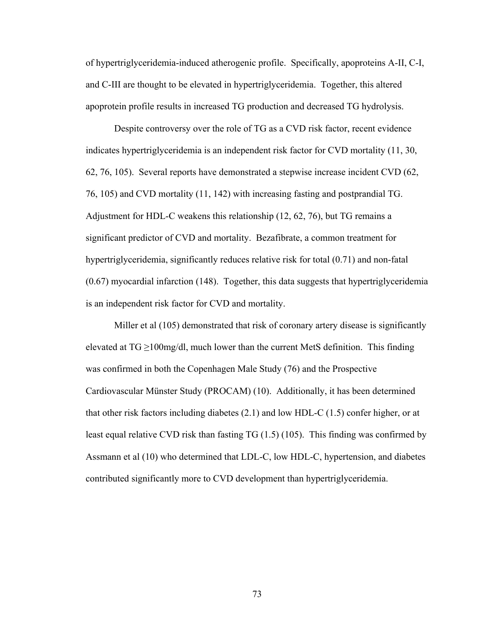of hypertriglyceridemia-induced atherogenic profile. Specifically, apoproteins A-II, C-I, and C-III are thought to be elevated in hypertriglyceridemia. Together, this altered apoprotein profile results in increased TG production and decreased TG hydrolysis.

Despite controversy over the role of TG as a CVD risk factor, recent evidence indicates hypertriglyceridemia is an independent risk factor for CVD mortality (11, 30, 62, 76, 105). Several reports have demonstrated a stepwise increase incident CVD (62, 76, 105) and CVD mortality (11, 142) with increasing fasting and postprandial TG. Adjustment for HDL-C weakens this relationship (12, 62, 76), but TG remains a significant predictor of CVD and mortality. Bezafibrate, a common treatment for hypertriglyceridemia, significantly reduces relative risk for total (0.71) and non-fatal (0.67) myocardial infarction (148). Together, this data suggests that hypertriglyceridemia is an independent risk factor for CVD and mortality.

Miller et al (105) demonstrated that risk of coronary artery disease is significantly elevated at  $TG \ge 100$ mg/dl, much lower than the current MetS definition. This finding was confirmed in both the Copenhagen Male Study (76) and the Prospective Cardiovascular Münster Study (PROCAM) (10). Additionally, it has been determined that other risk factors including diabetes (2.1) and low HDL-C (1.5) confer higher, or at least equal relative CVD risk than fasting TG (1.5) (105). This finding was confirmed by Assmann et al (10) who determined that LDL-C, low HDL-C, hypertension, and diabetes contributed significantly more to CVD development than hypertriglyceridemia.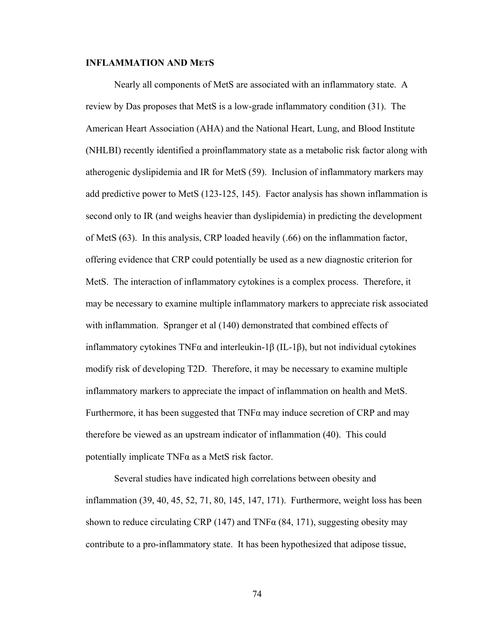## **INFLAMMATION AND METS**

Nearly all components of MetS are associated with an inflammatory state. A review by Das proposes that MetS is a low-grade inflammatory condition (31). The American Heart Association (AHA) and the National Heart, Lung, and Blood Institute (NHLBI) recently identified a proinflammatory state as a metabolic risk factor along with atherogenic dyslipidemia and IR for MetS (59). Inclusion of inflammatory markers may add predictive power to MetS (123-125, 145). Factor analysis has shown inflammation is second only to IR (and weighs heavier than dyslipidemia) in predicting the development of MetS (63). In this analysis, CRP loaded heavily (.66) on the inflammation factor, offering evidence that CRP could potentially be used as a new diagnostic criterion for MetS. The interaction of inflammatory cytokines is a complex process. Therefore, it may be necessary to examine multiple inflammatory markers to appreciate risk associated with inflammation. Spranger et al (140) demonstrated that combined effects of inflammatory cytokines TNFα and interleukin-1β (IL-1β), but not individual cytokines modify risk of developing T2D. Therefore, it may be necessary to examine multiple inflammatory markers to appreciate the impact of inflammation on health and MetS. Furthermore, it has been suggested that  $TNF\alpha$  may induce secretion of CRP and may therefore be viewed as an upstream indicator of inflammation (40). This could potentially implicate  $TNF\alpha$  as a MetS risk factor.

Several studies have indicated high correlations between obesity and inflammation (39, 40, 45, 52, 71, 80, 145, 147, 171). Furthermore, weight loss has been shown to reduce circulating CRP (147) and TNF $\alpha$  (84, 171), suggesting obesity may contribute to a pro-inflammatory state. It has been hypothesized that adipose tissue,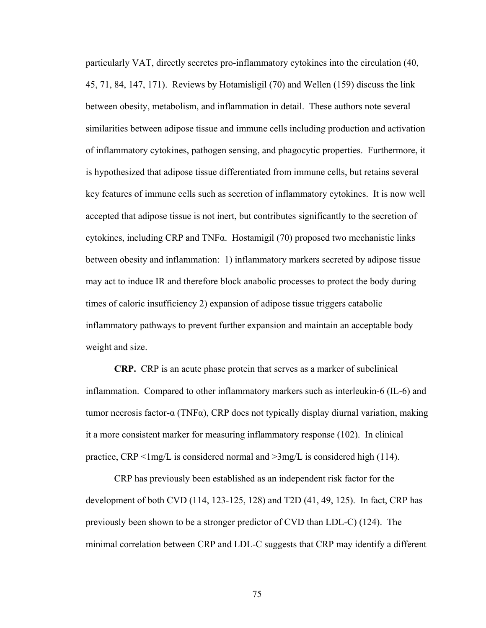particularly VAT, directly secretes pro-inflammatory cytokines into the circulation (40, 45, 71, 84, 147, 171). Reviews by Hotamisligil (70) and Wellen (159) discuss the link between obesity, metabolism, and inflammation in detail. These authors note several similarities between adipose tissue and immune cells including production and activation of inflammatory cytokines, pathogen sensing, and phagocytic properties. Furthermore, it is hypothesized that adipose tissue differentiated from immune cells, but retains several key features of immune cells such as secretion of inflammatory cytokines. It is now well accepted that adipose tissue is not inert, but contributes significantly to the secretion of cytokines, including CRP and TNFα. Hostamigil (70) proposed two mechanistic links between obesity and inflammation: 1) inflammatory markers secreted by adipose tissue may act to induce IR and therefore block anabolic processes to protect the body during times of caloric insufficiency 2) expansion of adipose tissue triggers catabolic inflammatory pathways to prevent further expansion and maintain an acceptable body weight and size.

**CRP.** CRP is an acute phase protein that serves as a marker of subclinical inflammation. Compared to other inflammatory markers such as interleukin-6 (IL-6) and tumor necrosis factor-α (TNFα), CRP does not typically display diurnal variation, making it a more consistent marker for measuring inflammatory response (102). In clinical practice, CRP  $\leq$  lmg/L is considered normal and  $\geq$  3mg/L is considered high (114).

CRP has previously been established as an independent risk factor for the development of both CVD (114, 123-125, 128) and T2D (41, 49, 125). In fact, CRP has previously been shown to be a stronger predictor of CVD than LDL-C) (124). The minimal correlation between CRP and LDL-C suggests that CRP may identify a different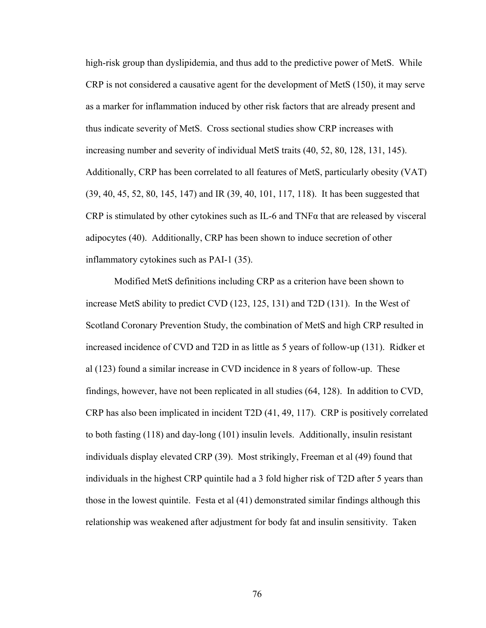high-risk group than dyslipidemia, and thus add to the predictive power of MetS. While CRP is not considered a causative agent for the development of MetS (150), it may serve as a marker for inflammation induced by other risk factors that are already present and thus indicate severity of MetS. Cross sectional studies show CRP increases with increasing number and severity of individual MetS traits (40, 52, 80, 128, 131, 145). Additionally, CRP has been correlated to all features of MetS, particularly obesity (VAT) (39, 40, 45, 52, 80, 145, 147) and IR (39, 40, 101, 117, 118). It has been suggested that CRP is stimulated by other cytokines such as IL-6 and TNFα that are released by visceral adipocytes (40). Additionally, CRP has been shown to induce secretion of other inflammatory cytokines such as PAI-1 (35).

Modified MetS definitions including CRP as a criterion have been shown to increase MetS ability to predict CVD (123, 125, 131) and T2D (131). In the West of Scotland Coronary Prevention Study, the combination of MetS and high CRP resulted in increased incidence of CVD and T2D in as little as 5 years of follow-up (131). Ridker et al (123) found a similar increase in CVD incidence in 8 years of follow-up. These findings, however, have not been replicated in all studies (64, 128). In addition to CVD, CRP has also been implicated in incident T2D (41, 49, 117). CRP is positively correlated to both fasting (118) and day-long (101) insulin levels. Additionally, insulin resistant individuals display elevated CRP (39). Most strikingly, Freeman et al (49) found that individuals in the highest CRP quintile had a 3 fold higher risk of T2D after 5 years than those in the lowest quintile. Festa et al (41) demonstrated similar findings although this relationship was weakened after adjustment for body fat and insulin sensitivity. Taken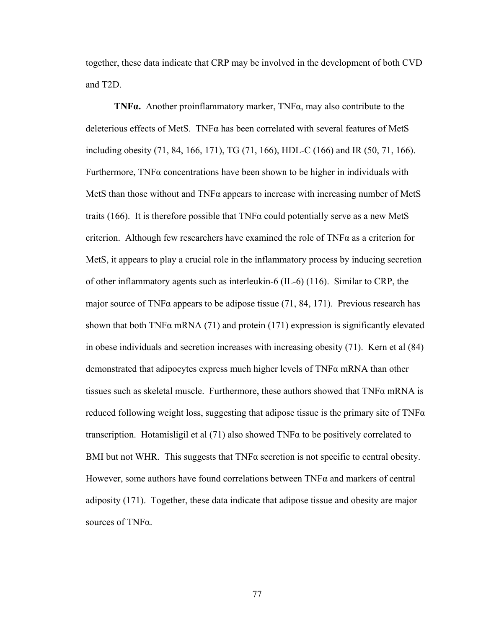together, these data indicate that CRP may be involved in the development of both CVD and T2D.

**TNFα.** Another proinflammatory marker, TNFα, may also contribute to the deleterious effects of MetS. TNF $\alpha$  has been correlated with several features of MetS including obesity (71, 84, 166, 171), TG (71, 166), HDL-C (166) and IR (50, 71, 166). Furthermore, TNFα concentrations have been shown to be higher in individuals with MetS than those without and  $TNF\alpha$  appears to increase with increasing number of MetS traits (166). It is therefore possible that  $TNF\alpha$  could potentially serve as a new MetS criterion. Although few researchers have examined the role of TNFα as a criterion for MetS, it appears to play a crucial role in the inflammatory process by inducing secretion of other inflammatory agents such as interleukin-6 (IL-6) (116). Similar to CRP, the major source of TNF $\alpha$  appears to be adipose tissue (71, 84, 171). Previous research has shown that both TNF $\alpha$  mRNA (71) and protein (171) expression is significantly elevated in obese individuals and secretion increases with increasing obesity (71). Kern et al (84) demonstrated that adipocytes express much higher levels of  $TNF\alpha$  mRNA than other tissues such as skeletal muscle. Furthermore, these authors showed that  $TNF\alpha$  mRNA is reduced following weight loss, suggesting that adipose tissue is the primary site of  $TNF\alpha$ transcription. Hotamisligil et al  $(71)$  also showed TNF $\alpha$  to be positively correlated to BMI but not WHR. This suggests that  $TNF\alpha$  secretion is not specific to central obesity. However, some authors have found correlations between TNFα and markers of central adiposity (171). Together, these data indicate that adipose tissue and obesity are major sources of TNFα.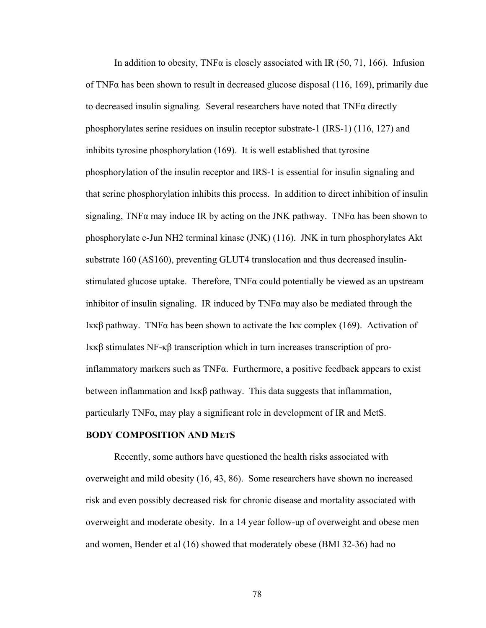In addition to obesity, TNF $\alpha$  is closely associated with IR (50, 71, 166). Infusion of TNF $\alpha$  has been shown to result in decreased glucose disposal (116, 169), primarily due to decreased insulin signaling. Several researchers have noted that TNFα directly phosphorylates serine residues on insulin receptor substrate-1 (IRS-1) (116, 127) and inhibits tyrosine phosphorylation (169). It is well established that tyrosine phosphorylation of the insulin receptor and IRS-1 is essential for insulin signaling and that serine phosphorylation inhibits this process. In addition to direct inhibition of insulin signaling, TNF $\alpha$  may induce IR by acting on the JNK pathway. TNF $\alpha$  has been shown to phosphorylate c-Jun NH2 terminal kinase (JNK) (116). JNK in turn phosphorylates Akt substrate 160 (AS160), preventing GLUT4 translocation and thus decreased insulinstimulated glucose uptake. Therefore,  $TNF\alpha$  could potentially be viewed as an upstream inhibitor of insulin signaling. IR induced by  $TNF\alpha$  may also be mediated through the Iκκβ pathway. TNFα has been shown to activate the Iκκ complex (169). Activation of Iκκβ stimulates NF-κβ transcription which in turn increases transcription of proinflammatory markers such as  $TNF\alpha$ . Furthermore, a positive feedback appears to exist between inflammation and Iκκβ pathway. This data suggests that inflammation, particularly TNFα, may play a significant role in development of IR and MetS.

#### **BODY COMPOSITION AND METS**

Recently, some authors have questioned the health risks associated with overweight and mild obesity (16, 43, 86). Some researchers have shown no increased risk and even possibly decreased risk for chronic disease and mortality associated with overweight and moderate obesity. In a 14 year follow-up of overweight and obese men and women, Bender et al (16) showed that moderately obese (BMI 32-36) had no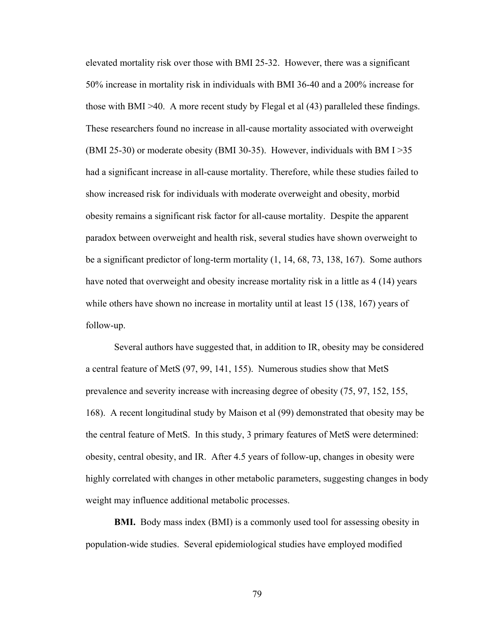elevated mortality risk over those with BMI 25-32. However, there was a significant 50% increase in mortality risk in individuals with BMI 36-40 and a 200% increase for those with BMI >40. A more recent study by Flegal et al (43) paralleled these findings. These researchers found no increase in all-cause mortality associated with overweight (BMI 25-30) or moderate obesity (BMI 30-35). However, individuals with BM I >35 had a significant increase in all-cause mortality. Therefore, while these studies failed to show increased risk for individuals with moderate overweight and obesity, morbid obesity remains a significant risk factor for all-cause mortality. Despite the apparent paradox between overweight and health risk, several studies have shown overweight to be a significant predictor of long-term mortality (1, 14, 68, 73, 138, 167). Some authors have noted that overweight and obesity increase mortality risk in a little as 4 (14) years while others have shown no increase in mortality until at least 15 (138, 167) years of follow-up.

Several authors have suggested that, in addition to IR, obesity may be considered a central feature of MetS (97, 99, 141, 155). Numerous studies show that MetS prevalence and severity increase with increasing degree of obesity (75, 97, 152, 155, 168). A recent longitudinal study by Maison et al (99) demonstrated that obesity may be the central feature of MetS. In this study, 3 primary features of MetS were determined: obesity, central obesity, and IR. After 4.5 years of follow-up, changes in obesity were highly correlated with changes in other metabolic parameters, suggesting changes in body weight may influence additional metabolic processes.

**BMI.** Body mass index (BMI) is a commonly used tool for assessing obesity in population-wide studies. Several epidemiological studies have employed modified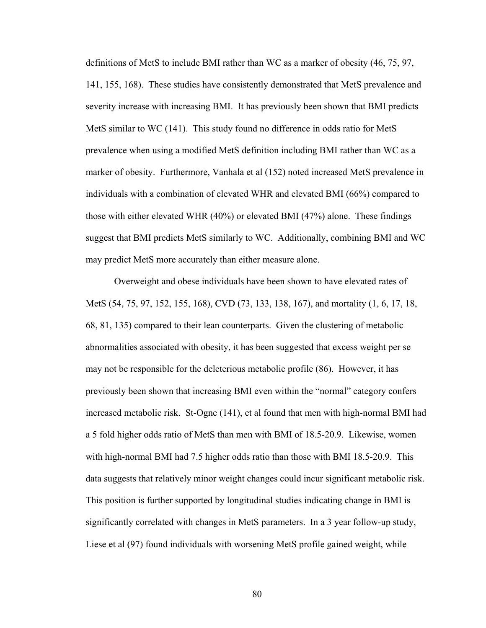definitions of MetS to include BMI rather than WC as a marker of obesity (46, 75, 97, 141, 155, 168). These studies have consistently demonstrated that MetS prevalence and severity increase with increasing BMI. It has previously been shown that BMI predicts MetS similar to WC (141). This study found no difference in odds ratio for MetS prevalence when using a modified MetS definition including BMI rather than WC as a marker of obesity. Furthermore, Vanhala et al (152) noted increased MetS prevalence in individuals with a combination of elevated WHR and elevated BMI (66%) compared to those with either elevated WHR (40%) or elevated BMI (47%) alone. These findings suggest that BMI predicts MetS similarly to WC. Additionally, combining BMI and WC may predict MetS more accurately than either measure alone.

Overweight and obese individuals have been shown to have elevated rates of MetS (54, 75, 97, 152, 155, 168), CVD (73, 133, 138, 167), and mortality (1, 6, 17, 18, 68, 81, 135) compared to their lean counterparts. Given the clustering of metabolic abnormalities associated with obesity, it has been suggested that excess weight per se may not be responsible for the deleterious metabolic profile (86). However, it has previously been shown that increasing BMI even within the "normal" category confers increased metabolic risk. St-Ogne (141), et al found that men with high-normal BMI had a 5 fold higher odds ratio of MetS than men with BMI of 18.5-20.9. Likewise, women with high-normal BMI had 7.5 higher odds ratio than those with BMI 18.5-20.9. This data suggests that relatively minor weight changes could incur significant metabolic risk. This position is further supported by longitudinal studies indicating change in BMI is significantly correlated with changes in MetS parameters. In a 3 year follow-up study, Liese et al (97) found individuals with worsening MetS profile gained weight, while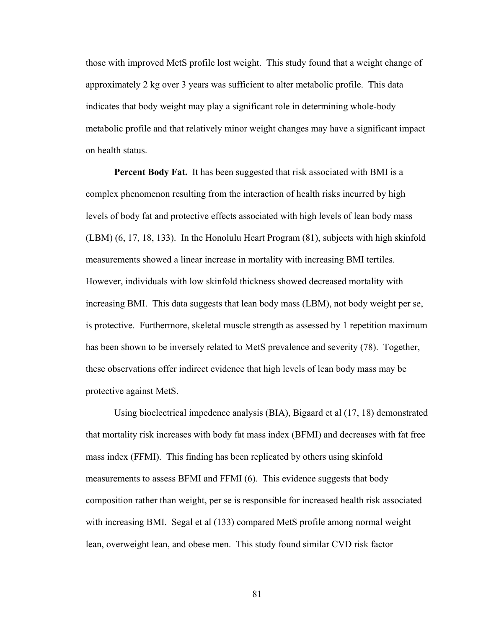those with improved MetS profile lost weight. This study found that a weight change of approximately 2 kg over 3 years was sufficient to alter metabolic profile. This data indicates that body weight may play a significant role in determining whole-body metabolic profile and that relatively minor weight changes may have a significant impact on health status.

**Percent Body Fat.** It has been suggested that risk associated with BMI is a complex phenomenon resulting from the interaction of health risks incurred by high levels of body fat and protective effects associated with high levels of lean body mass (LBM) (6, 17, 18, 133). In the Honolulu Heart Program (81), subjects with high skinfold measurements showed a linear increase in mortality with increasing BMI tertiles. However, individuals with low skinfold thickness showed decreased mortality with increasing BMI. This data suggests that lean body mass (LBM), not body weight per se, is protective. Furthermore, skeletal muscle strength as assessed by 1 repetition maximum has been shown to be inversely related to MetS prevalence and severity (78). Together, these observations offer indirect evidence that high levels of lean body mass may be protective against MetS.

Using bioelectrical impedence analysis (BIA), Bigaard et al (17, 18) demonstrated that mortality risk increases with body fat mass index (BFMI) and decreases with fat free mass index (FFMI). This finding has been replicated by others using skinfold measurements to assess BFMI and FFMI (6). This evidence suggests that body composition rather than weight, per se is responsible for increased health risk associated with increasing BMI. Segal et al (133) compared MetS profile among normal weight lean, overweight lean, and obese men. This study found similar CVD risk factor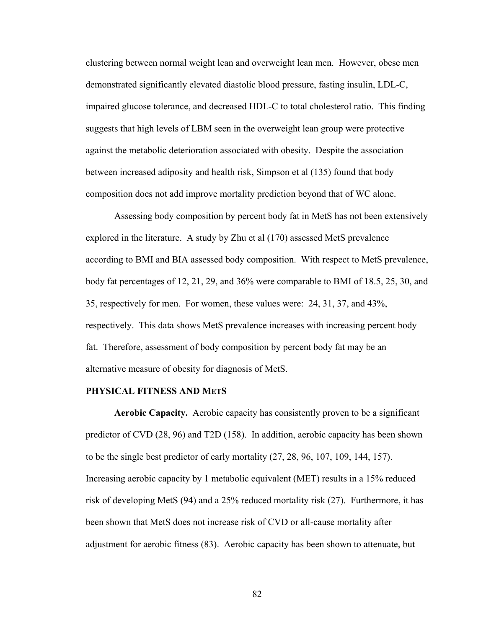clustering between normal weight lean and overweight lean men. However, obese men demonstrated significantly elevated diastolic blood pressure, fasting insulin, LDL-C, impaired glucose tolerance, and decreased HDL-C to total cholesterol ratio. This finding suggests that high levels of LBM seen in the overweight lean group were protective against the metabolic deterioration associated with obesity. Despite the association between increased adiposity and health risk, Simpson et al (135) found that body composition does not add improve mortality prediction beyond that of WC alone.

Assessing body composition by percent body fat in MetS has not been extensively explored in the literature. A study by Zhu et al (170) assessed MetS prevalence according to BMI and BIA assessed body composition. With respect to MetS prevalence, body fat percentages of 12, 21, 29, and 36% were comparable to BMI of 18.5, 25, 30, and 35, respectively for men. For women, these values were: 24, 31, 37, and 43%, respectively. This data shows MetS prevalence increases with increasing percent body fat. Therefore, assessment of body composition by percent body fat may be an alternative measure of obesity for diagnosis of MetS.

#### **PHYSICAL FITNESS AND METS**

**Aerobic Capacity.** Aerobic capacity has consistently proven to be a significant predictor of CVD (28, 96) and T2D (158). In addition, aerobic capacity has been shown to be the single best predictor of early mortality (27, 28, 96, 107, 109, 144, 157). Increasing aerobic capacity by 1 metabolic equivalent (MET) results in a 15% reduced risk of developing MetS (94) and a 25% reduced mortality risk (27). Furthermore, it has been shown that MetS does not increase risk of CVD or all-cause mortality after adjustment for aerobic fitness (83). Aerobic capacity has been shown to attenuate, but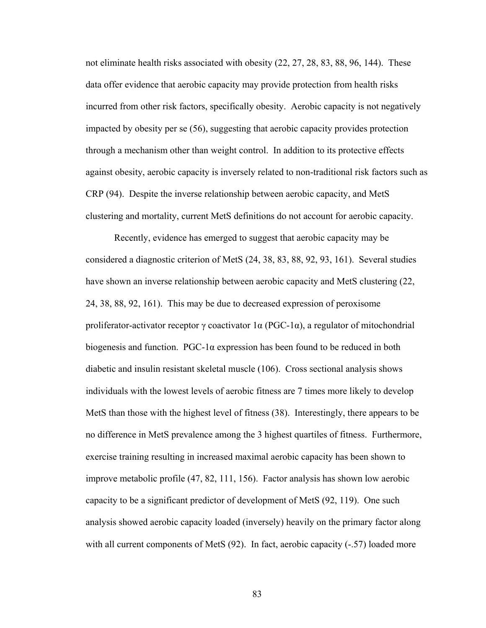not eliminate health risks associated with obesity (22, 27, 28, 83, 88, 96, 144). These data offer evidence that aerobic capacity may provide protection from health risks incurred from other risk factors, specifically obesity. Aerobic capacity is not negatively impacted by obesity per se (56), suggesting that aerobic capacity provides protection through a mechanism other than weight control. In addition to its protective effects against obesity, aerobic capacity is inversely related to non-traditional risk factors such as CRP (94). Despite the inverse relationship between aerobic capacity, and MetS clustering and mortality, current MetS definitions do not account for aerobic capacity.

Recently, evidence has emerged to suggest that aerobic capacity may be considered a diagnostic criterion of MetS (24, 38, 83, 88, 92, 93, 161). Several studies have shown an inverse relationship between aerobic capacity and MetS clustering (22, 24, 38, 88, 92, 161). This may be due to decreased expression of peroxisome proliferator-activator receptor  $\gamma$  coactivator 1 $\alpha$  (PGC-1 $\alpha$ ), a regulator of mitochondrial biogenesis and function. PGC-1 $\alpha$  expression has been found to be reduced in both diabetic and insulin resistant skeletal muscle (106). Cross sectional analysis shows individuals with the lowest levels of aerobic fitness are 7 times more likely to develop MetS than those with the highest level of fitness (38). Interestingly, there appears to be no difference in MetS prevalence among the 3 highest quartiles of fitness. Furthermore, exercise training resulting in increased maximal aerobic capacity has been shown to improve metabolic profile (47, 82, 111, 156). Factor analysis has shown low aerobic capacity to be a significant predictor of development of MetS (92, 119). One such analysis showed aerobic capacity loaded (inversely) heavily on the primary factor along with all current components of MetS (92). In fact, aerobic capacity (-.57) loaded more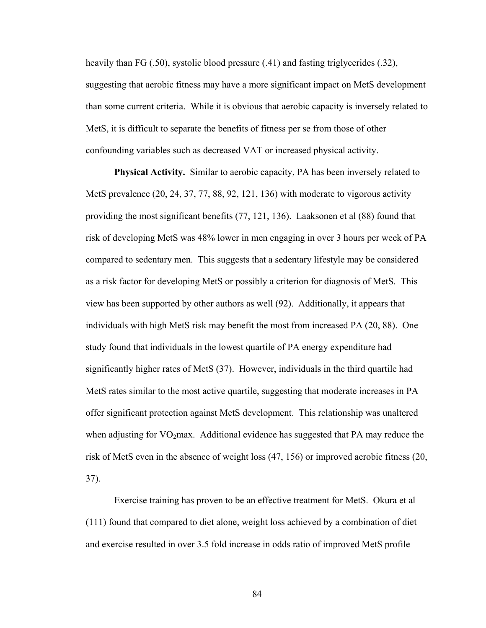heavily than FG (.50), systolic blood pressure (.41) and fasting triglycerides (.32), suggesting that aerobic fitness may have a more significant impact on MetS development than some current criteria. While it is obvious that aerobic capacity is inversely related to MetS, it is difficult to separate the benefits of fitness per se from those of other confounding variables such as decreased VAT or increased physical activity.

**Physical Activity.** Similar to aerobic capacity, PA has been inversely related to MetS prevalence (20, 24, 37, 77, 88, 92, 121, 136) with moderate to vigorous activity providing the most significant benefits (77, 121, 136). Laaksonen et al (88) found that risk of developing MetS was 48% lower in men engaging in over 3 hours per week of PA compared to sedentary men. This suggests that a sedentary lifestyle may be considered as a risk factor for developing MetS or possibly a criterion for diagnosis of MetS. This view has been supported by other authors as well (92). Additionally, it appears that individuals with high MetS risk may benefit the most from increased PA (20, 88). One study found that individuals in the lowest quartile of PA energy expenditure had significantly higher rates of MetS (37). However, individuals in the third quartile had MetS rates similar to the most active quartile, suggesting that moderate increases in PA offer significant protection against MetS development. This relationship was unaltered when adjusting for  $VO<sub>2</sub>max$ . Additional evidence has suggested that PA may reduce the risk of MetS even in the absence of weight loss (47, 156) or improved aerobic fitness (20, 37).

Exercise training has proven to be an effective treatment for MetS. Okura et al (111) found that compared to diet alone, weight loss achieved by a combination of diet and exercise resulted in over 3.5 fold increase in odds ratio of improved MetS profile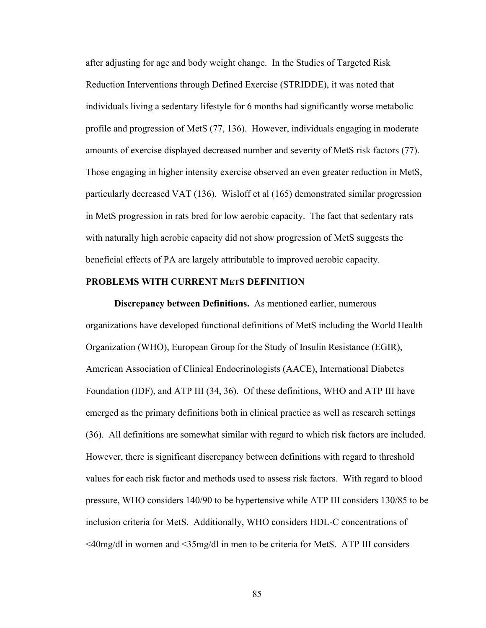after adjusting for age and body weight change. In the Studies of Targeted Risk Reduction Interventions through Defined Exercise (STRIDDE), it was noted that individuals living a sedentary lifestyle for 6 months had significantly worse metabolic profile and progression of MetS (77, 136). However, individuals engaging in moderate amounts of exercise displayed decreased number and severity of MetS risk factors (77). Those engaging in higher intensity exercise observed an even greater reduction in MetS, particularly decreased VAT (136). Wisloff et al (165) demonstrated similar progression in MetS progression in rats bred for low aerobic capacity. The fact that sedentary rats with naturally high aerobic capacity did not show progression of MetS suggests the beneficial effects of PA are largely attributable to improved aerobic capacity.

## **PROBLEMS WITH CURRENT METS DEFINITION**

**Discrepancy between Definitions.** As mentioned earlier, numerous organizations have developed functional definitions of MetS including the World Health Organization (WHO), European Group for the Study of Insulin Resistance (EGIR), American Association of Clinical Endocrinologists (AACE), International Diabetes Foundation (IDF), and ATP III (34, 36). Of these definitions, WHO and ATP III have emerged as the primary definitions both in clinical practice as well as research settings (36). All definitions are somewhat similar with regard to which risk factors are included. However, there is significant discrepancy between definitions with regard to threshold values for each risk factor and methods used to assess risk factors. With regard to blood pressure, WHO considers 140/90 to be hypertensive while ATP III considers 130/85 to be inclusion criteria for MetS. Additionally, WHO considers HDL-C concentrations of <40mg/dl in women and <35mg/dl in men to be criteria for MetS. ATP III considers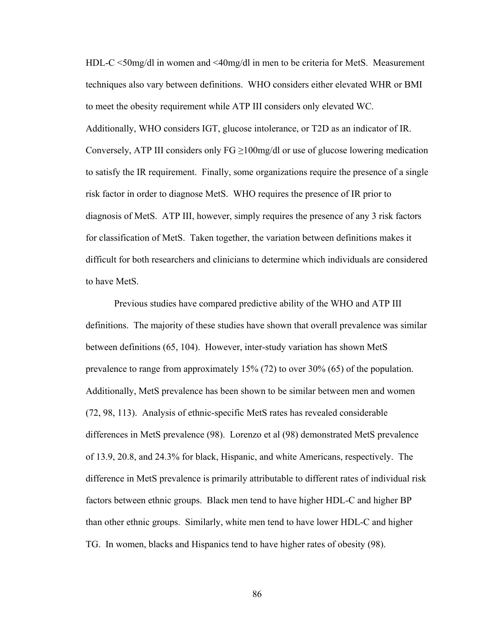HDL-C <50mg/dl in women and <40mg/dl in men to be criteria for MetS. Measurement techniques also vary between definitions. WHO considers either elevated WHR or BMI to meet the obesity requirement while ATP III considers only elevated WC. Additionally, WHO considers IGT, glucose intolerance, or T2D as an indicator of IR. Conversely, ATP III considers only  $FG \ge 100$ mg/dl or use of glucose lowering medication to satisfy the IR requirement. Finally, some organizations require the presence of a single risk factor in order to diagnose MetS. WHO requires the presence of IR prior to diagnosis of MetS. ATP III, however, simply requires the presence of any 3 risk factors for classification of MetS. Taken together, the variation between definitions makes it difficult for both researchers and clinicians to determine which individuals are considered to have MetS.

Previous studies have compared predictive ability of the WHO and ATP III definitions. The majority of these studies have shown that overall prevalence was similar between definitions (65, 104). However, inter-study variation has shown MetS prevalence to range from approximately 15% (72) to over 30% (65) of the population. Additionally, MetS prevalence has been shown to be similar between men and women (72, 98, 113). Analysis of ethnic-specific MetS rates has revealed considerable differences in MetS prevalence (98). Lorenzo et al (98) demonstrated MetS prevalence of 13.9, 20.8, and 24.3% for black, Hispanic, and white Americans, respectively. The difference in MetS prevalence is primarily attributable to different rates of individual risk factors between ethnic groups. Black men tend to have higher HDL-C and higher BP than other ethnic groups. Similarly, white men tend to have lower HDL-C and higher TG. In women, blacks and Hispanics tend to have higher rates of obesity (98).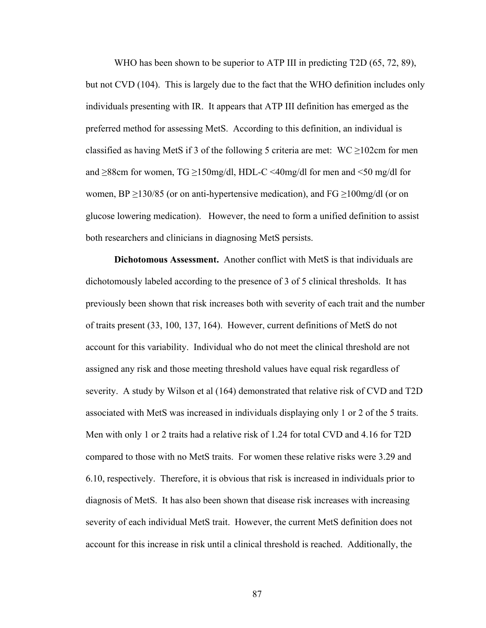WHO has been shown to be superior to ATP III in predicting T2D (65, 72, 89), but not CVD (104). This is largely due to the fact that the WHO definition includes only individuals presenting with IR. It appears that ATP III definition has emerged as the preferred method for assessing MetS. According to this definition, an individual is classified as having MetS if 3 of the following 5 criteria are met: WC  $\geq$ 102cm for men and  $\geq$ 88cm for women, TG  $\geq$ 150mg/dl, HDL-C <40mg/dl for men and <50 mg/dl for women, BP  $\geq$ 130/85 (or on anti-hypertensive medication), and FG  $\geq$ 100mg/dl (or on glucose lowering medication). However, the need to form a unified definition to assist both researchers and clinicians in diagnosing MetS persists.

**Dichotomous Assessment.** Another conflict with MetS is that individuals are dichotomously labeled according to the presence of 3 of 5 clinical thresholds. It has previously been shown that risk increases both with severity of each trait and the number of traits present (33, 100, 137, 164). However, current definitions of MetS do not account for this variability. Individual who do not meet the clinical threshold are not assigned any risk and those meeting threshold values have equal risk regardless of severity. A study by Wilson et al (164) demonstrated that relative risk of CVD and T2D associated with MetS was increased in individuals displaying only 1 or 2 of the 5 traits. Men with only 1 or 2 traits had a relative risk of 1.24 for total CVD and 4.16 for T2D compared to those with no MetS traits. For women these relative risks were 3.29 and 6.10, respectively. Therefore, it is obvious that risk is increased in individuals prior to diagnosis of MetS. It has also been shown that disease risk increases with increasing severity of each individual MetS trait. However, the current MetS definition does not account for this increase in risk until a clinical threshold is reached. Additionally, the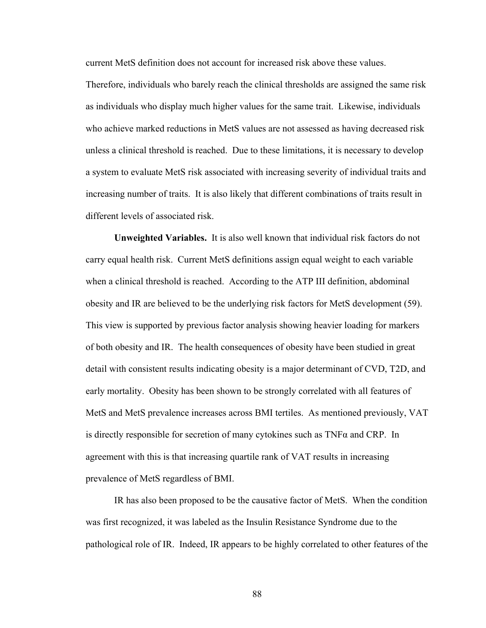current MetS definition does not account for increased risk above these values.

Therefore, individuals who barely reach the clinical thresholds are assigned the same risk as individuals who display much higher values for the same trait. Likewise, individuals who achieve marked reductions in MetS values are not assessed as having decreased risk unless a clinical threshold is reached. Due to these limitations, it is necessary to develop a system to evaluate MetS risk associated with increasing severity of individual traits and increasing number of traits. It is also likely that different combinations of traits result in different levels of associated risk.

**Unweighted Variables.** It is also well known that individual risk factors do not carry equal health risk. Current MetS definitions assign equal weight to each variable when a clinical threshold is reached. According to the ATP III definition, abdominal obesity and IR are believed to be the underlying risk factors for MetS development (59). This view is supported by previous factor analysis showing heavier loading for markers of both obesity and IR. The health consequences of obesity have been studied in great detail with consistent results indicating obesity is a major determinant of CVD, T2D, and early mortality. Obesity has been shown to be strongly correlated with all features of MetS and MetS prevalence increases across BMI tertiles. As mentioned previously, VAT is directly responsible for secretion of many cytokines such as  $TNF\alpha$  and CRP. In agreement with this is that increasing quartile rank of VAT results in increasing prevalence of MetS regardless of BMI.

IR has also been proposed to be the causative factor of MetS. When the condition was first recognized, it was labeled as the Insulin Resistance Syndrome due to the pathological role of IR. Indeed, IR appears to be highly correlated to other features of the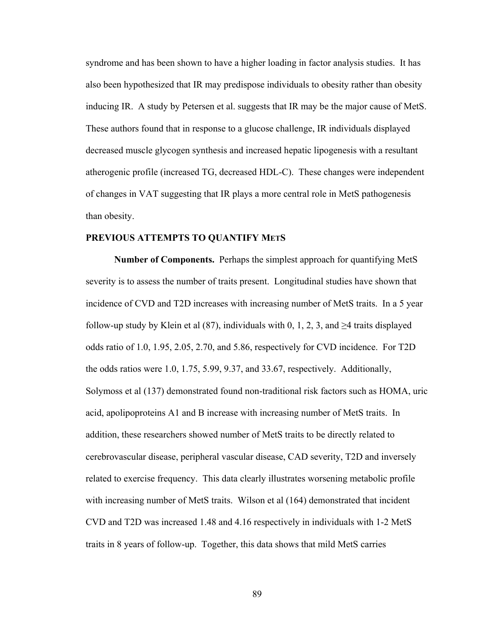syndrome and has been shown to have a higher loading in factor analysis studies. It has also been hypothesized that IR may predispose individuals to obesity rather than obesity inducing IR. A study by Petersen et al. suggests that IR may be the major cause of MetS. These authors found that in response to a glucose challenge, IR individuals displayed decreased muscle glycogen synthesis and increased hepatic lipogenesis with a resultant atherogenic profile (increased TG, decreased HDL-C). These changes were independent of changes in VAT suggesting that IR plays a more central role in MetS pathogenesis than obesity.

# **PREVIOUS ATTEMPTS TO QUANTIFY METS**

**Number of Components.** Perhaps the simplest approach for quantifying MetS severity is to assess the number of traits present. Longitudinal studies have shown that incidence of CVD and T2D increases with increasing number of MetS traits. In a 5 year follow-up study by Klein et al (87), individuals with 0, 1, 2, 3, and  $\geq$ 4 traits displayed odds ratio of 1.0, 1.95, 2.05, 2.70, and 5.86, respectively for CVD incidence. For T2D the odds ratios were 1.0, 1.75, 5.99, 9.37, and 33.67, respectively. Additionally, Solymoss et al (137) demonstrated found non-traditional risk factors such as HOMA, uric acid, apolipoproteins A1 and B increase with increasing number of MetS traits. In addition, these researchers showed number of MetS traits to be directly related to cerebrovascular disease, peripheral vascular disease, CAD severity, T2D and inversely related to exercise frequency. This data clearly illustrates worsening metabolic profile with increasing number of MetS traits. Wilson et al (164) demonstrated that incident CVD and T2D was increased 1.48 and 4.16 respectively in individuals with 1-2 MetS traits in 8 years of follow-up. Together, this data shows that mild MetS carries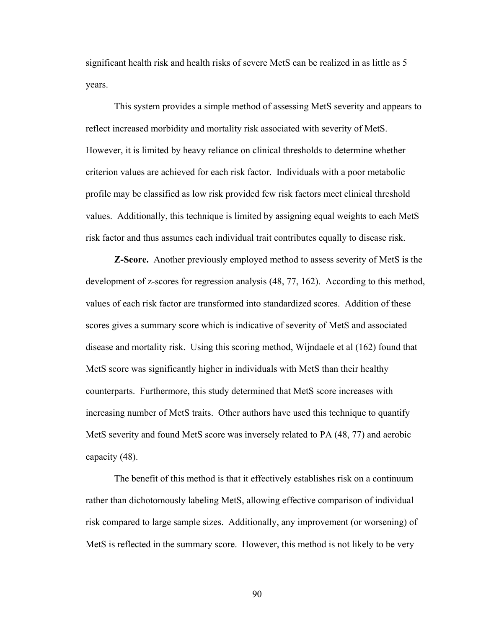significant health risk and health risks of severe MetS can be realized in as little as 5 years.

This system provides a simple method of assessing MetS severity and appears to reflect increased morbidity and mortality risk associated with severity of MetS. However, it is limited by heavy reliance on clinical thresholds to determine whether criterion values are achieved for each risk factor. Individuals with a poor metabolic profile may be classified as low risk provided few risk factors meet clinical threshold values. Additionally, this technique is limited by assigning equal weights to each MetS risk factor and thus assumes each individual trait contributes equally to disease risk.

**Z-Score.** Another previously employed method to assess severity of MetS is the development of z-scores for regression analysis (48, 77, 162). According to this method, values of each risk factor are transformed into standardized scores. Addition of these scores gives a summary score which is indicative of severity of MetS and associated disease and mortality risk. Using this scoring method, Wijndaele et al (162) found that MetS score was significantly higher in individuals with MetS than their healthy counterparts. Furthermore, this study determined that MetS score increases with increasing number of MetS traits. Other authors have used this technique to quantify MetS severity and found MetS score was inversely related to PA (48, 77) and aerobic capacity (48).

The benefit of this method is that it effectively establishes risk on a continuum rather than dichotomously labeling MetS, allowing effective comparison of individual risk compared to large sample sizes. Additionally, any improvement (or worsening) of MetS is reflected in the summary score. However, this method is not likely to be very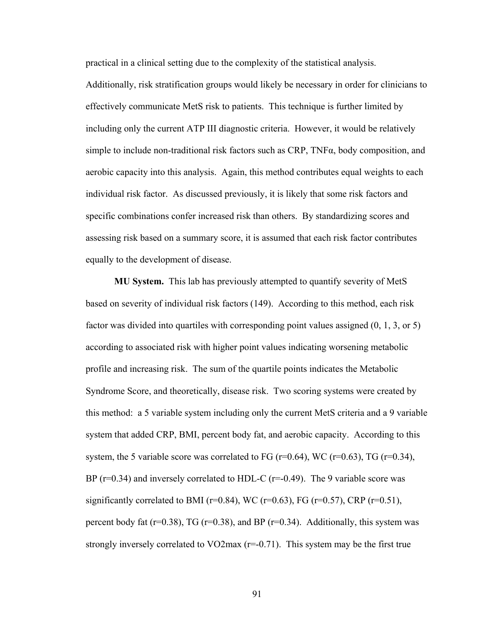practical in a clinical setting due to the complexity of the statistical analysis.

Additionally, risk stratification groups would likely be necessary in order for clinicians to effectively communicate MetS risk to patients. This technique is further limited by including only the current ATP III diagnostic criteria. However, it would be relatively simple to include non-traditional risk factors such as  $CRP$ ,  $TNF\alpha$ , body composition, and aerobic capacity into this analysis. Again, this method contributes equal weights to each individual risk factor. As discussed previously, it is likely that some risk factors and specific combinations confer increased risk than others. By standardizing scores and assessing risk based on a summary score, it is assumed that each risk factor contributes equally to the development of disease.

**MU System.** This lab has previously attempted to quantify severity of MetS based on severity of individual risk factors (149). According to this method, each risk factor was divided into quartiles with corresponding point values assigned (0, 1, 3, or 5) according to associated risk with higher point values indicating worsening metabolic profile and increasing risk. The sum of the quartile points indicates the Metabolic Syndrome Score, and theoretically, disease risk. Two scoring systems were created by this method: a 5 variable system including only the current MetS criteria and a 9 variable system that added CRP, BMI, percent body fat, and aerobic capacity. According to this system, the 5 variable score was correlated to FG ( $r=0.64$ ), WC ( $r=0.63$ ), TG ( $r=0.34$ ), BP ( $r=0.34$ ) and inversely correlated to HDL-C ( $r=-0.49$ ). The 9 variable score was significantly correlated to BMI ( $r=0.84$ ), WC ( $r=0.63$ ), FG ( $r=0.57$ ), CRP ( $r=0.51$ ), percent body fat ( $r=0.38$ ), TG ( $r=0.38$ ), and BP ( $r=0.34$ ). Additionally, this system was strongly inversely correlated to  $VO2$  max  $(r=0.71)$ . This system may be the first true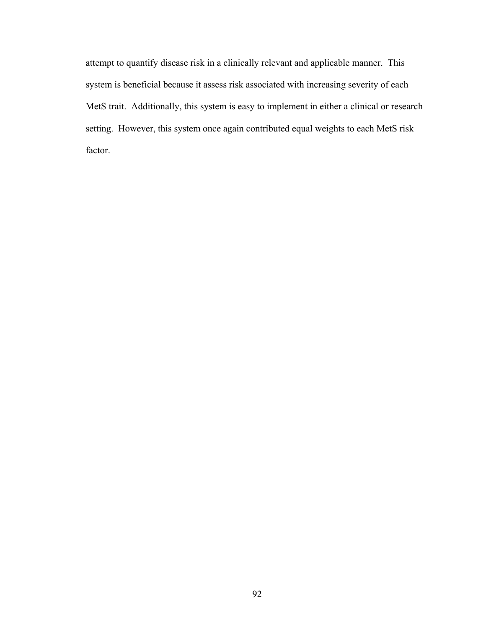attempt to quantify disease risk in a clinically relevant and applicable manner. This system is beneficial because it assess risk associated with increasing severity of each MetS trait. Additionally, this system is easy to implement in either a clinical or research setting. However, this system once again contributed equal weights to each MetS risk factor.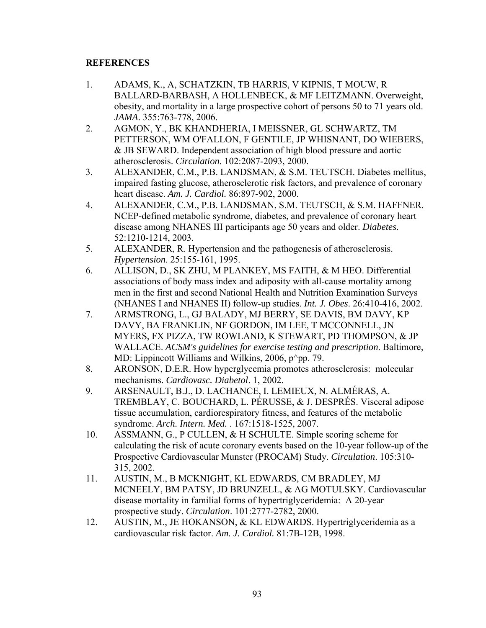# **REFERENCES**

- 1. ADAMS, K., A, SCHATZKIN, TB HARRIS, V KIPNIS, T MOUW, R BALLARD-BARBASH, A HOLLENBECK, & MF LEITZMANN. Overweight, obesity, and mortality in a large prospective cohort of persons 50 to 71 years old. *JAMA*. 355:763-778, 2006.
- 2. AGMON, Y., BK KHANDHERIA, I MEISSNER, GL SCHWARTZ, TM PETTERSON, WM O'FALLON, F GENTILE, JP WHISNANT, DO WIEBERS, & JB SEWARD. Independent association of high blood pressure and aortic atherosclerosis. *Circulation*. 102:2087-2093, 2000.
- 3. ALEXANDER, C.M., P.B. LANDSMAN, & S.M. TEUTSCH. Diabetes mellitus, impaired fasting glucose, atherosclerotic risk factors, and prevalence of coronary heart disease. *Am. J. Cardiol.* 86:897-902, 2000.
- 4. ALEXANDER, C.M., P.B. LANDSMAN, S.M. TEUTSCH, & S.M. HAFFNER. NCEP-defined metabolic syndrome, diabetes, and prevalence of coronary heart disease among NHANES III participants age 50 years and older. *Diabetes*. 52:1210-1214, 2003.
- 5. ALEXANDER, R. Hypertension and the pathogenesis of atherosclerosis. *Hypertension*. 25:155-161, 1995.
- 6. ALLISON, D., SK ZHU, M PLANKEY, MS FAITH, & M HEO. Differential associations of body mass index and adiposity with all-cause mortality among men in the first and second National Health and Nutrition Examination Surveys (NHANES I and NHANES II) follow-up studies. *Int. J. Obes*. 26:410-416, 2002.
- 7. ARMSTRONG, L., GJ BALADY, MJ BERRY, SE DAVIS, BM DAVY, KP DAVY, BA FRANKLIN, NF GORDON, IM LEE, T MCCONNELL, JN MYERS, FX PIZZA, TW ROWLAND, K STEWART, PD THOMPSON, & JP WALLACE. *ACSM's guidelines for exercise testing and prescription*. Baltimore, MD: Lippincott Williams and Wilkins,  $2006$ ,  $p^{\wedge}$ pp. 79.
- 8. ARONSON, D.E.R. How hyperglycemia promotes atherosclerosis: molecular mechanisms. *Cardiovasc. Diabetol*. 1, 2002.
- 9. ARSENAULT, B.J., D. LACHANCE, I. LEMIEUX, N. ALMÉRAS, A. TREMBLAY, C. BOUCHARD, L. PÉRUSSE, & J. DESPRÉS. Visceral adipose tissue accumulation, cardiorespiratory fitness, and features of the metabolic syndrome. *Arch. Intern. Med.* . 167:1518-1525, 2007.
- 10. ASSMANN, G., P CULLEN, & H SCHULTE. Simple scoring scheme for calculating the risk of acute coronary events based on the 10-year follow-up of the Prospective Cardiovascular Munster (PROCAM) Study. *Circulation*. 105:310- 315, 2002.
- 11. AUSTIN, M., B MCKNIGHT, KL EDWARDS, CM BRADLEY, MJ MCNEELY, BM PATSY, JD BRUNZELL, & AG MOTULSKY. Cardiovascular disease mortality in familial forms of hypertriglyceridemia: A 20-year prospective study. *Circulation*. 101:2777-2782, 2000.
- 12. AUSTIN, M., JE HOKANSON, & KL EDWARDS. Hypertriglyceridemia as a cardiovascular risk factor. *Am. J. Cardiol.* 81:7B-12B, 1998.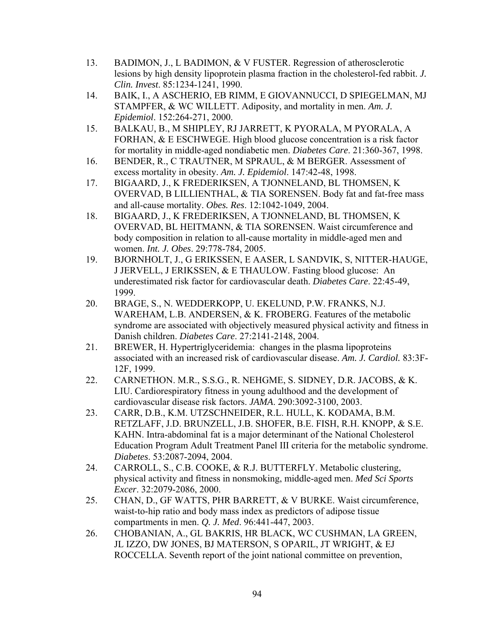- 13. BADIMON, J., L BADIMON, & V FUSTER. Regression of atherosclerotic lesions by high density lipoprotein plasma fraction in the cholesterol-fed rabbit. *J. Clin. Invest*. 85:1234-1241, 1990.
- 14. BAIK, I., A ASCHERIO, EB RIMM, E GIOVANNUCCI, D SPIEGELMAN, MJ STAMPFER, & WC WILLETT. Adiposity, and mortality in men. *Am. J. Epidemiol*. 152:264-271, 2000.
- 15. BALKAU, B., M SHIPLEY, RJ JARRETT, K PYORALA, M PYORALA, A FORHAN, & E ESCHWEGE. High blood glucose concentration is a risk factor for mortality in middle-aged nondiabetic men. *Diabetes Care*. 21:360-367, 1998.
- 16. BENDER, R., C TRAUTNER, M SPRAUL, & M BERGER. Assessment of excess mortality in obesity. *Am. J. Epidemiol*. 147:42-48, 1998.
- 17. BIGAARD, J., K FREDERIKSEN, A TJONNELAND, BL THOMSEN, K OVERVAD, B LILLIENTHAL, & TIA SORENSEN. Body fat and fat-free mass and all-cause mortality. *Obes. Res*. 12:1042-1049, 2004.
- 18. BIGAARD, J., K FREDERIKSEN, A TJONNELAND, BL THOMSEN, K OVERVAD, BL HEITMANN, & TIA SORENSEN. Waist circumference and body composition in relation to all-cause mortality in middle-aged men and women. *Int. J. Obes*. 29:778-784, 2005.
- 19. BJORNHOLT, J., G ERIKSSEN, E AASER, L SANDVIK, S, NITTER-HAUGE, J JERVELL, J ERIKSSEN, & E THAULOW. Fasting blood glucose: An underestimated risk factor for cardiovascular death. *Diabetes Care*. 22:45-49, 1999.
- 20. BRAGE, S., N. WEDDERKOPP, U. EKELUND, P.W. FRANKS, N.J. WAREHAM, L.B. ANDERSEN, & K. FROBERG. Features of the metabolic syndrome are associated with objectively measured physical activity and fitness in Danish children. *Diabetes Care*. 27:2141-2148, 2004.
- 21. BREWER, H. Hypertriglyceridemia: changes in the plasma lipoproteins associated with an increased risk of cardiovascular disease. *Am. J. Cardiol.* 83:3F-12F, 1999.
- 22. CARNETHON. M.R., S.S.G., R. NEHGME, S. SIDNEY, D.R. JACOBS, & K. LIU. Cardiorespiratory fitness in young adulthood and the development of cardiovascular disease risk factors. *JAMA*. 290:3092-3100, 2003.
- 23. CARR, D.B., K.M. UTZSCHNEIDER, R.L. HULL, K. KODAMA, B.M. RETZLAFF, J.D. BRUNZELL, J.B. SHOFER, B.E. FISH, R.H. KNOPP, & S.E. KAHN. Intra-abdominal fat is a major determinant of the National Cholesterol Education Program Adult Treatment Panel III criteria for the metabolic syndrome. *Diabetes*. 53:2087-2094, 2004.
- 24. CARROLL, S., C.B. COOKE, & R.J. BUTTERFLY. Metabolic clustering, physical activity and fitness in nonsmoking, middle-aged men. *Med Sci Sports Excer*. 32:2079-2086, 2000.
- 25. CHAN, D., GF WATTS, PHR BARRETT, & V BURKE. Waist circumference, waist-to-hip ratio and body mass index as predictors of adipose tissue compartments in men. *Q. J. Med*. 96:441-447, 2003.
- 26. CHOBANIAN, A., GL BAKRIS, HR BLACK, WC CUSHMAN, LA GREEN, JL IZZO, DW JONES, BJ MATERSON, S OPARIL, JT WRIGHT, & EJ ROCCELLA. Seventh report of the joint national committee on prevention,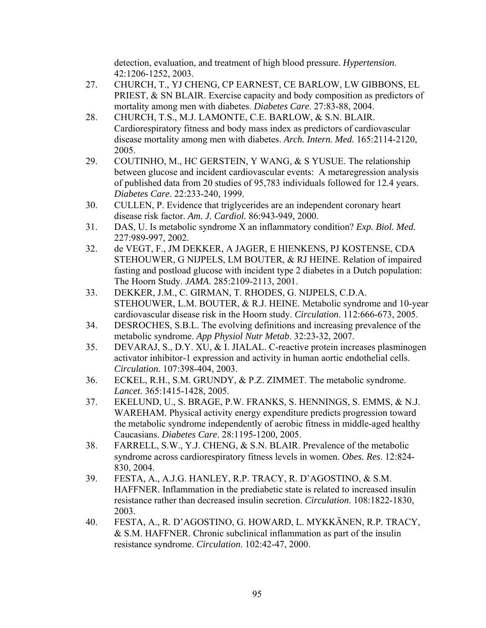detection, evaluation, and treatment of high blood pressure. *Hypertension*. 42:1206-1252, 2003.

- 27. CHURCH, T., YJ CHENG, CP EARNEST, CE BARLOW, LW GIBBONS, EL PRIEST, & SN BLAIR. Exercise capacity and body composition as predictors of mortality among men with diabetes. *Diabetes Care*. 27:83-88, 2004.
- 28. CHURCH, T.S., M.J. LAMONTE, C.E. BARLOW, & S.N. BLAIR. Cardiorespiratory fitness and body mass index as predictors of cardiovascular disease mortality among men with diabetes. *Arch. Intern. Med.* 165:2114-2120, 2005.
- 29. COUTINHO, M., HC GERSTEIN, Y WANG, & S YUSUE. The relationship between glucose and incident cardiovascular events: A metaregression analysis of published data from 20 studies of 95,783 individuals followed for 12.4 years. *Diabetes Care*. 22:233-240, 1999.
- 30. CULLEN, P. Evidence that triglycerides are an independent coronary heart disease risk factor. *Am. J. Cardiol.* 86:943-949, 2000.
- 31. DAS, U. Is metabolic syndrome X an inflammatory condition? *Exp. Biol. Med*. 227:989-997, 2002.
- 32. de VEGT, F., JM DEKKER, A JAGER, E HIENKENS, PJ KOSTENSE, CDA STEHOUWER, G NIJPELS, LM BOUTER, & RJ HEINE. Relation of impaired fasting and postload glucose with incident type 2 diabetes in a Dutch population: The Hoorn Study. *JAMA*. 285:2109-2113, 2001.
- 33. DEKKER, J.M., C. GIRMAN, T. RHODES, G. NIJPELS, C.D.A. STEHOUWER, L.M. BOUTER, & R.J. HEINE. Metabolic syndrome and 10-year cardiovascular disease risk in the Hoorn study. *Circulation*. 112:666-673, 2005.
- 34. DESROCHES, S.B.L. The evolving definitions and increasing prevalence of the metabolic syndrome. *App Physiol Nutr Metab*. 32:23-32, 2007.
- 35. DEVARAJ, S., D.Y. XU, & I. JIALAL. C-reactive protein increases plasminogen activator inhibitor-1 expression and activity in human aortic endothelial cells. *Circulation*. 107:398-404, 2003.
- 36. ECKEL, R.H., S.M. GRUNDY, & P.Z. ZIMMET. The metabolic syndrome. *Lancet*. 365:1415-1428, 2005.
- 37. EKELUND, U., S. BRAGE, P.W. FRANKS, S. HENNINGS, S. EMMS, & N.J. WAREHAM. Physical activity energy expenditure predicts progression toward the metabolic syndrome independently of aerobic fitness in middle-aged healthy Caucasians. *Diabetes Care*. 28:1195-1200, 2005.
- 38. FARRELL, S.W., Y.J. CHENG, & S.N. BLAIR. Prevalence of the metabolic syndrome across cardiorespiratory fitness levels in women. *Obes. Res*. 12:824- 830, 2004.
- 39. FESTA, A., A.J.G. HANLEY, R.P. TRACY, R. D'AGOSTINO, & S.M. HAFFNER. Inflammation in the prediabetic state is related to increased insulin resistance rather than decreased insulin secretion. *Circulation*. 108:1822-1830, 2003.
- 40. FESTA, A., R. D'AGOSTINO, G. HOWARD, L. MYKKÄNEN, R.P. TRACY, & S.M. HAFFNER. Chronic subclinical inflammation as part of the insulin resistance syndrome. *Circulation*. 102:42-47, 2000.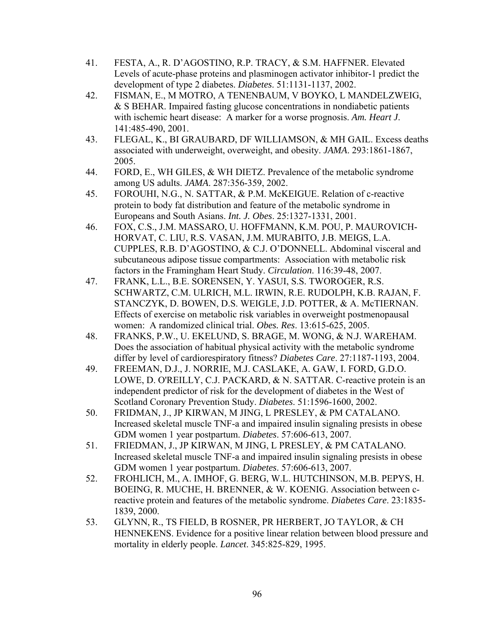- 41. FESTA, A., R. D'AGOSTINO, R.P. TRACY, & S.M. HAFFNER. Elevated Levels of acute-phase proteins and plasminogen activator inhibitor-1 predict the development of type 2 diabetes. *Diabetes*. 51:1131-1137, 2002.
- 42. FISMAN, E., M MOTRO, A TENENBAUM, V BOYKO, L MANDELZWEIG, & S BEHAR. Impaired fasting glucose concentrations in nondiabetic patients with ischemic heart disease: A marker for a worse prognosis. *Am. Heart J*. 141:485-490, 2001.
- 43. FLEGAL, K., BI GRAUBARD, DF WILLIAMSON, & MH GAIL. Excess deaths associated with underweight, overweight, and obesity. *JAMA*. 293:1861-1867, 2005.
- 44. FORD, E., WH GILES, & WH DIETZ. Prevalence of the metabolic syndrome among US adults. *JAMA*. 287:356-359, 2002.
- 45. FOROUHI, N.G., N. SATTAR, & P.M. McKEIGUE. Relation of c-reactive protein to body fat distribution and feature of the metabolic syndrome in Europeans and South Asians. *Int. J. Obes*. 25:1327-1331, 2001.
- 46. FOX, C.S., J.M. MASSARO, U. HOFFMANN, K.M. POU, P. MAUROVICH-HORVAT, C. LIU, R.S. VASAN, J.M. MURABITO, J.B. MEIGS, L.A. CUPPLES, R.B. D'AGOSTINO, & C.J. O'DONNELL. Abdominal visceral and subcutaneous adipose tissue compartments: Association with metabolic risk factors in the Framingham Heart Study. *Circulation*. 116:39-48, 2007.
- 47. FRANK, L.L., B.E. SORENSEN, Y. YASUI, S.S. TWOROGER, R.S. SCHWARTZ, C.M. ULRICH, M.L. IRWIN, R.E. RUDOLPH, K.B. RAJAN, F. STANCZYK, D. BOWEN, D.S. WEIGLE, J.D. POTTER, & A. McTIERNAN. Effects of exercise on metabolic risk variables in overweight postmenopausal women: A randomized clinical trial. *Obes. Res*. 13:615-625, 2005.
- 48. FRANKS, P.W., U. EKELUND, S. BRAGE, M. WONG, & N.J. WAREHAM. Does the association of habitual physical activity with the metabolic syndrome differ by level of cardiorespiratory fitness? *Diabetes Care*. 27:1187-1193, 2004.
- 49. FREEMAN, D.J., J. NORRIE, M.J. CASLAKE, A. GAW, I. FORD, G.D.O. LOWE, D. O'REILLY, C.J. PACKARD, & N. SATTAR. C-reactive protein is an independent predictor of risk for the development of diabetes in the West of Scotland Coronary Prevention Study. *Diabetes*. 51:1596-1600, 2002.
- 50. FRIDMAN, J., JP KIRWAN, M JING, L PRESLEY, & PM CATALANO. Increased skeletal muscle TNF-a and impaired insulin signaling presists in obese GDM women 1 year postpartum. *Diabetes*. 57:606-613, 2007.
- 51. FRIEDMAN, J., JP KIRWAN, M JING, L PRESLEY, & PM CATALANO. Increased skeletal muscle TNF-a and impaired insulin signaling presists in obese GDM women 1 year postpartum. *Diabetes*. 57:606-613, 2007.
- 52. FROHLICH, M., A. IMHOF, G. BERG, W.L. HUTCHINSON, M.B. PEPYS, H. BOEING, R. MUCHE, H. BRENNER, & W. KOENIG. Association between creactive protein and features of the metabolic syndrome. *Diabetes Care*. 23:1835- 1839, 2000.
- 53. GLYNN, R., TS FIELD, B ROSNER, PR HERBERT, JO TAYLOR, & CH HENNEKENS. Evidence for a positive linear relation between blood pressure and mortality in elderly people. *Lancet*. 345:825-829, 1995.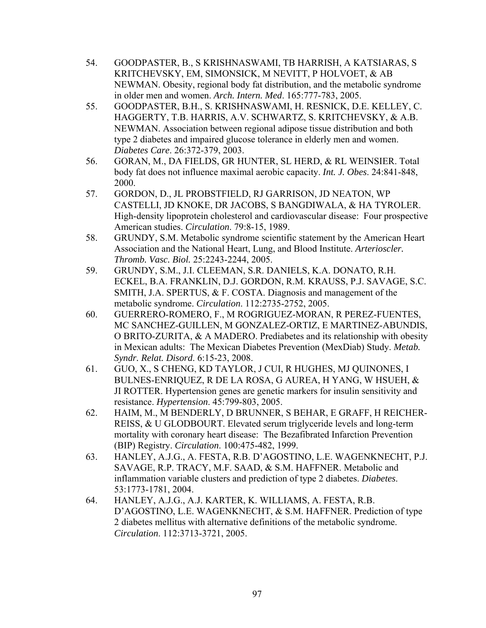- 54. GOODPASTER, B., S KRISHNASWAMI, TB HARRISH, A KATSIARAS, S KRITCHEVSKY, EM, SIMONSICK, M NEVITT, P HOLVOET, & AB NEWMAN. Obesity, regional body fat distribution, and the metabolic syndrome in older men and women. *Arch. Intern. Med*. 165:777-783, 2005.
- 55. GOODPASTER, B.H., S. KRISHNASWAMI, H. RESNICK, D.E. KELLEY, C. HAGGERTY, T.B. HARRIS, A.V. SCHWARTZ, S. KRITCHEVSKY, & A.B. NEWMAN. Association between regional adipose tissue distribution and both type 2 diabetes and impaired glucose tolerance in elderly men and women. *Diabetes Care*. 26:372-379, 2003.
- 56. GORAN, M., DA FIELDS, GR HUNTER, SL HERD, & RL WEINSIER. Total body fat does not influence maximal aerobic capacity. *Int. J. Obes*. 24:841-848, 2000.
- 57. GORDON, D., JL PROBSTFIELD, RJ GARRISON, JD NEATON, WP CASTELLI, JD KNOKE, DR JACOBS, S BANGDIWALA, & HA TYROLER. High-density lipoprotein cholesterol and cardiovascular disease: Four prospective American studies. *Circulation*. 79:8-15, 1989.
- 58. GRUNDY, S.M. Metabolic syndrome scientific statement by the American Heart Association and the National Heart, Lung, and Blood Institute. *Arterioscler. Thromb. Vasc. Biol.* 25:2243-2244, 2005.
- 59. GRUNDY, S.M., J.I. CLEEMAN, S.R. DANIELS, K.A. DONATO, R.H. ECKEL, B.A. FRANKLIN, D.J. GORDON, R.M. KRAUSS, P.J. SAVAGE, S.C. SMITH, J.A. SPERTUS, & F. COSTA. Diagnosis and management of the metabolic syndrome. *Circulation*. 112:2735-2752, 2005.
- 60. GUERRERO-ROMERO, F., M ROGRIGUEZ-MORAN, R PEREZ-FUENTES, MC SANCHEZ-GUILLEN, M GONZALEZ-ORTIZ, E MARTINEZ-ABUNDIS, O BRITO-ZURITA, & A MADERO. Prediabetes and its relationship with obesity in Mexican adults: The Mexican Diabetes Prevention (MexDiab) Study. *Metab. Syndr. Relat. Disord*. 6:15-23, 2008.
- 61. GUO, X., S CHENG, KD TAYLOR, J CUI, R HUGHES, MJ QUINONES, I BULNES-ENRIQUEZ, R DE LA ROSA, G AUREA, H YANG, W HSUEH, & JI ROTTER. Hypertension genes are genetic markers for insulin sensitivity and resistance. *Hypertension*. 45:799-803, 2005.
- 62. HAIM, M., M BENDERLY, D BRUNNER, S BEHAR, E GRAFF, H REICHER-REISS, & U GLODBOURT. Elevated serum triglyceride levels and long-term mortality with coronary heart disease: The Bezafibrated Infarction Prevention (BIP) Registry. *Circulation*. 100:475-482, 1999.
- 63. HANLEY, A.J.G., A. FESTA, R.B. D'AGOSTINO, L.E. WAGENKNECHT, P.J. SAVAGE, R.P. TRACY, M.F. SAAD, & S.M. HAFFNER. Metabolic and inflammation variable clusters and prediction of type 2 diabetes. *Diabetes*. 53:1773-1781, 2004.
- 64. HANLEY, A.J.G., A.J. KARTER, K. WILLIAMS, A. FESTA, R.B. D'AGOSTINO, L.E. WAGENKNECHT, & S.M. HAFFNER. Prediction of type 2 diabetes mellitus with alternative definitions of the metabolic syndrome. *Circulation*. 112:3713-3721, 2005.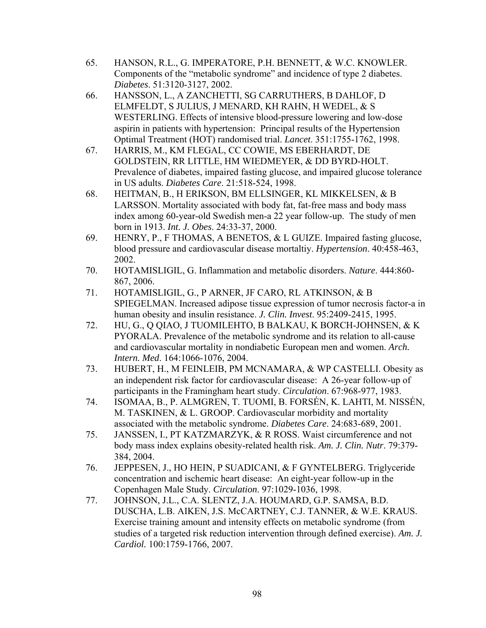- 65. HANSON, R.L., G. IMPERATORE, P.H. BENNETT, & W.C. KNOWLER. Components of the "metabolic syndrome" and incidence of type 2 diabetes. *Diabetes*. 51:3120-3127, 2002.
- 66. HANSSON, L., A ZANCHETTI, SG CARRUTHERS, B DAHLOF, D ELMFELDT, S JULIUS, J MENARD, KH RAHN, H WEDEL, & S WESTERLING. Effects of intensive blood-pressure lowering and low-dose aspirin in patients with hypertension: Principal results of the Hypertension Optimal Treatment (HOT) randomised trial. *Lancet*. 351:1755-1762, 1998.
- 67. HARRIS, M., KM FLEGAL, CC COWIE, MS EBERHARDT, DE GOLDSTEIN, RR LITTLE, HM WIEDMEYER, & DD BYRD-HOLT. Prevalence of diabetes, impaired fasting glucose, and impaired glucose tolerance in US adults. *Diabetes Care*. 21:518-524, 1998.
- 68. HEITMAN, B., H ERIKSON, BM ELLSINGER, KL MIKKELSEN, & B LARSSON. Mortality associated with body fat, fat-free mass and body mass index among 60-year-old Swedish men-a 22 year follow-up. The study of men born in 1913. *Int. J. Obes*. 24:33-37, 2000.
- 69. HENRY, P., F THOMAS, A BENETOS, & L GUIZE. Impaired fasting glucose, blood pressure and cardiovascular disease mortaltiy. *Hypertension*. 40:458-463, 2002.
- 70. HOTAMISLIGIL, G. Inflammation and metabolic disorders. *Nature*. 444:860- 867, 2006.
- 71. HOTAMISLIGIL, G., P ARNER, JF CARO, RL ATKINSON, & B SPIEGELMAN. Increased adipose tissue expression of tumor necrosis factor-a in human obesity and insulin resistance. *J. Clin. Invest*. 95:2409-2415, 1995.
- 72. HU, G., Q QIAO, J TUOMILEHTO, B BALKAU, K BORCH-JOHNSEN, & K PYORALA. Prevalence of the metabolic syndrome and its relation to all-cause and cardiovascular mortality in nondiabetic European men and women. *Arch. Intern. Med*. 164:1066-1076, 2004.
- 73. HUBERT, H., M FEINLEIB, PM MCNAMARA, & WP CASTELLI. Obesity as an independent risk factor for cardiovascular disease: A 26-year follow-up of participants in the Framingham heart study. *Circulation*. 67:968-977, 1983.
- 74. ISOMAA, B., P. ALMGREN, T. TUOMI, B. FORSÉN, K. LAHTI, M. NISSÉN, M. TASKINEN, & L. GROOP. Cardiovascular morbidity and mortality associated with the metabolic syndrome. *Diabetes Care*. 24:683-689, 2001.
- 75. JANSSEN, I., PT KATZMARZYK, & R ROSS. Waist circumference and not body mass index explains obesity-related health risk. *Am. J. Clin. Nutr*. 79:379- 384, 2004.
- 76. JEPPESEN, J., HO HEIN, P SUADICANI, & F GYNTELBERG. Triglyceride concentration and ischemic heart disease: An eight-year follow-up in the Copenhagen Male Study. *Circulation*. 97:1029-1036, 1998.
- 77. JOHNSON, J.L., C.A. SLENTZ, J.A. HOUMARD, G.P. SAMSA, B.D. DUSCHA, L.B. AIKEN, J.S. McCARTNEY, C.J. TANNER, & W.E. KRAUS. Exercise training amount and intensity effects on metabolic syndrome (from studies of a targeted risk reduction intervention through defined exercise). *Am. J. Cardiol.* 100:1759-1766, 2007.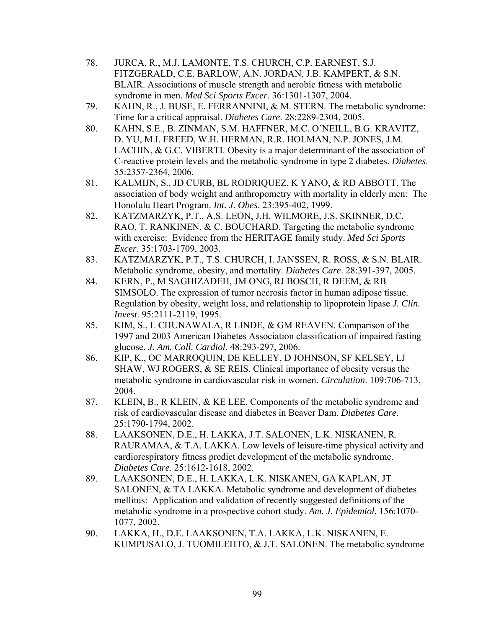- 78. JURCA, R., M.J. LAMONTE, T.S. CHURCH, C.P. EARNEST, S.J. FITZGERALD, C.E. BARLOW, A.N. JORDAN, J.B. KAMPERT, & S.N. BLAIR. Associations of muscle strength and aerobic fitness with metabolic syndrome in men. *Med Sci Sports Excer*. 36:1301-1307, 2004.
- 79. KAHN, R., J. BUSE, E. FERRANNINI, & M. STERN. The metabolic syndrome: Time for a critical appraisal. *Diabetes Care*. 28:2289-2304, 2005.
- 80. KAHN, S.E., B. ZINMAN, S.M. HAFFNER, M.C. O'NEILL, B.G. KRAVITZ, D. YU, M.I. FREED, W.H. HERMAN, R.R. HOLMAN, N.P. JONES, J.M. LACHIN, & G.C. VIBERTI. Obesity is a major determinant of the association of C-reactive protein levels and the metabolic syndrome in type 2 diabetes. *Diabetes*. 55:2357-2364, 2006.
- 81. KALMIJN, S., JD CURB, BL RODRIQUEZ, K YANO, & RD ABBOTT. The association of body weight and anthropometry with mortality in elderly men: The Honolulu Heart Program. *Int. J. Obes*. 23:395-402, 1999.
- 82. KATZMARZYK, P.T., A.S. LEON, J.H. WILMORE, J.S. SKINNER, D.C. RAO, T. RANKINEN, & C. BOUCHARD. Targeting the metabolic syndrome with exercise: Evidence from the HERITAGE family study. *Med Sci Sports Excer*. 35:1703-1709, 2003.
- 83. KATZMARZYK, P.T., T.S. CHURCH, I. JANSSEN, R. ROSS, & S.N. BLAIR. Metabolic syndrome, obesity, and mortality. *Diabetes Care*. 28:391-397, 2005.
- 84. KERN, P., M SAGHIZADEH, JM ONG, RJ BOSCH, R DEEM, & RB SIMSOLO. The expression of tumor necrosis factor in human adipose tissue. Regulation by obesity, weight loss, and relationship to lipoprotein lipase *J. Clin. Invest*. 95:2111-2119, 1995.
- 85. KIM, S., L CHUNAWALA, R LINDE, & GM REAVEN. Comparison of the 1997 and 2003 American Diabetes Association classification of impaired fasting glucose. *J. Am. Coll. Cardiol*. 48:293-297, 2006.
- 86. KIP, K., OC MARROQUIN, DE KELLEY, D JOHNSON, SF KELSEY, LJ SHAW, WJ ROGERS, & SE REIS. Clinical importance of obesity versus the metabolic syndrome in cardiovascular risk in women. *Circulation*. 109:706-713, 2004.
- 87. KLEIN, B., R KLEIN, & KE LEE. Components of the metabolic syndrome and risk of cardiovascular disease and diabetes in Beaver Dam. *Diabetes Care*. 25:1790-1794, 2002.
- 88. LAAKSONEN, D.E., H. LAKKA, J.T. SALONEN, L.K. NISKANEN, R. RAURAMAA, & T.A. LAKKA. Low levels of leisure-time physical activity and cardiorespiratory fitness predict development of the metabolic syndrome. *Diabetes Care*. 25:1612-1618, 2002.
- 89. LAAKSONEN, D.E., H. LAKKA, L.K. NISKANEN, GA KAPLAN, JT SALONEN, & TA LAKKA. Metabolic syndrome and development of diabetes mellitus: Application and validation of recently suggested definitions of the metabolic syndrome in a prospective cohort study. *Am. J. Epidemiol*. 156:1070- 1077, 2002.
- 90. LAKKA, H., D.E. LAAKSONEN, T.A. LAKKA, L.K. NISKANEN, E. KUMPUSALO, J. TUOMILEHTO, & J.T. SALONEN. The metabolic syndrome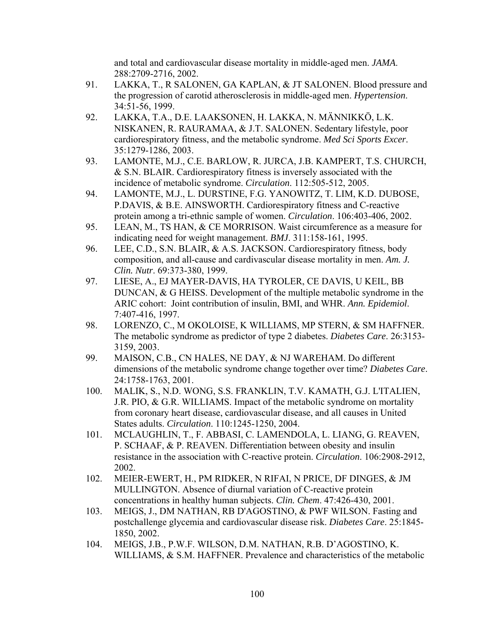and total and cardiovascular disease mortality in middle-aged men. *JAMA*. 288:2709-2716, 2002.

- 91. LAKKA, T., R SALONEN, GA KAPLAN, & JT SALONEN. Blood pressure and the progression of carotid atherosclerosis in middle-aged men. *Hypertension*. 34:51-56, 1999.
- 92. LAKKA, T.A., D.E. LAAKSONEN, H. LAKKA, N. MÄNNIKKÖ, L.K. NISKANEN, R. RAURAMAA, & J.T. SALONEN. Sedentary lifestyle, poor cardiorespiratory fitness, and the metabolic syndrome. *Med Sci Sports Excer*. 35:1279-1286, 2003.
- 93. LAMONTE, M.J., C.E. BARLOW, R. JURCA, J.B. KAMPERT, T.S. CHURCH, & S.N. BLAIR. Cardiorespiratory fitness is inversely associated with the incidence of metabolic syndrome. *Circulation*. 112:505-512, 2005.
- 94. LAMONTE, M.J., L. DURSTINE, F.G. YANOWITZ, T. LIM, K.D. DUBOSE, P.DAVIS, & B.E. AINSWORTH. Cardiorespiratory fitness and C-reactive protein among a tri-ethnic sample of women. *Circulation*. 106:403-406, 2002.
- 95. LEAN, M., TS HAN, & CE MORRISON. Waist circumference as a measure for indicating need for weight management. *BMJ*. 311:158-161, 1995.
- 96. LEE, C.D., S.N. BLAIR, & A.S. JACKSON. Cardiorespiratory fitness, body composition, and all-cause and cardivascular disease mortality in men. *Am. J. Clin. Nutr*. 69:373-380, 1999.
- 97. LIESE, A., EJ MAYER-DAVIS, HA TYROLER, CE DAVIS, U KEIL, BB DUNCAN, & G HEISS. Development of the multiple metabolic syndrome in the ARIC cohort: Joint contribution of insulin, BMI, and WHR. *Ann. Epidemiol*. 7:407-416, 1997.
- 98. LORENZO, C., M OKOLOISE, K WILLIAMS, MP STERN, & SM HAFFNER. The metabolic syndrome as predictor of type 2 diabetes. *Diabetes Care*. 26:3153- 3159, 2003.
- 99. MAISON, C.B., CN HALES, NE DAY, & NJ WAREHAM. Do different dimensions of the metabolic syndrome change together over time? *Diabetes Care*. 24:1758-1763, 2001.
- 100. MALIK, S., N.D. WONG, S.S. FRANKLIN, T.V. KAMATH, G.J. L'ITALIEN, J.R. PIO, & G.R. WILLIAMS. Impact of the metabolic syndrome on mortality from coronary heart disease, cardiovascular disease, and all causes in United States adults. *Circulation*. 110:1245-1250, 2004.
- 101. MCLAUGHLIN, T., F. ABBASI, C. LAMENDOLA, L. LIANG, G. REAVEN, P. SCHAAF, & P. REAVEN. Differentiation between obesity and insulin resistance in the association with C-reactive protein. *Circulation*. 106:2908-2912, 2002.
- 102. MEIER-EWERT, H., PM RIDKER, N RIFAI, N PRICE, DF DINGES, & JM MULLINGTON. Absence of diurnal variation of C-reactive protein concentrations in healthy human subjects. *Clin. Chem*. 47:426-430, 2001.
- 103. MEIGS, J., DM NATHAN, RB D'AGOSTINO, & PWF WILSON. Fasting and postchallenge glycemia and cardiovascular disease risk. *Diabetes Care*. 25:1845- 1850, 2002.
- 104. MEIGS, J.B., P.W.F. WILSON, D.M. NATHAN, R.B. D'AGOSTINO, K. WILLIAMS, & S.M. HAFFNER. Prevalence and characteristics of the metabolic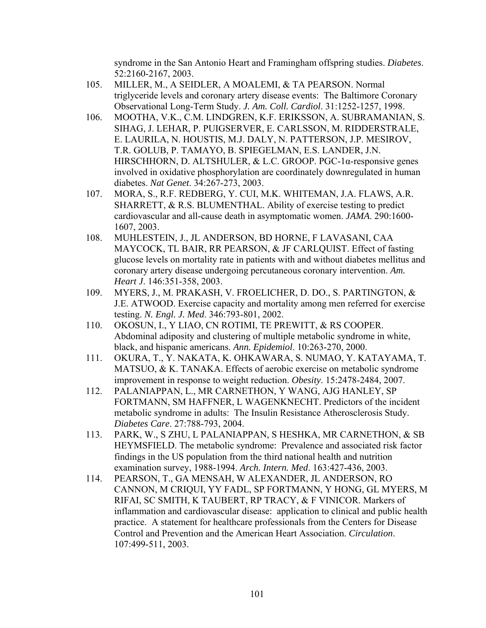syndrome in the San Antonio Heart and Framingham offspring studies. *Diabetes*. 52:2160-2167, 2003.

- 105. MILLER, M., A SEIDLER, A MOALEMI, & TA PEARSON. Normal triglyceride levels and coronary artery disease events: The Baltimore Coronary Observational Long-Term Study. *J. Am. Coll. Cardiol*. 31:1252-1257, 1998.
- 106. MOOTHA, V.K., C.M. LINDGREN, K.F. ERIKSSON, A. SUBRAMANIAN, S. SIHAG, J. LEHAR, P. PUIGSERVER, E. CARLSSON, M. RIDDERSTRALE, E. LAURILA, N. HOUSTIS, M.J. DALY, N. PATTERSON, J.P. MESIROV, T.R. GOLUB, P. TAMAYO, B. SPIEGELMAN, E.S. LANDER, J.N. HIRSCHHORN, D. ALTSHULER, & L.C. GROOP. PGC-1α-responsive genes involved in oxidative phosphorylation are coordinately downregulated in human diabetes. *Nat Genet*. 34:267-273, 2003.
- 107. MORA, S., R.F. REDBERG, Y. CUI, M.K. WHITEMAN, J.A. FLAWS, A.R. SHARRETT, & R.S. BLUMENTHAL. Ability of exercise testing to predict cardiovascular and all-cause death in asymptomatic women. *JAMA*. 290:1600- 1607, 2003.
- 108. MUHLESTEIN, J., JL ANDERSON, BD HORNE, F LAVASANI, CAA MAYCOCK, TL BAIR, RR PEARSON, & JF CARLQUIST. Effect of fasting glucose levels on mortality rate in patients with and without diabetes mellitus and coronary artery disease undergoing percutaneous coronary intervention. *Am. Heart J*. 146:351-358, 2003.
- 109. MYERS, J., M. PRAKASH, V. FROELICHER, D. DO., S. PARTINGTON, & J.E. ATWOOD. Exercise capacity and mortality among men referred for exercise testing. *N. Engl. J. Med*. 346:793-801, 2002.
- 110. OKOSUN, I., Y LIAO, CN ROTIMI, TE PREWITT, & RS COOPER. Abdominal adiposity and clustering of multiple metabolic syndrome in white, black, and hispanic americans. *Ann. Epidemiol*. 10:263-270, 2000.
- 111. OKURA, T., Y. NAKATA, K. OHKAWARA, S. NUMAO, Y. KATAYAMA, T. MATSUO, & K. TANAKA. Effects of aerobic exercise on metabolic syndrome improvement in response to weight reduction. *Obesity*. 15:2478-2484, 2007.
- 112. PALANIAPPAN, L., MR CARNETHON, Y WANG, AJG HANLEY, SP FORTMANN, SM HAFFNER, L WAGENKNECHT. Predictors of the incident metabolic syndrome in adults: The Insulin Resistance Atherosclerosis Study. *Diabetes Care*. 27:788-793, 2004.
- 113. PARK, W., S ZHU, L PALANIAPPAN, S HESHKA, MR CARNETHON, & SB HEYMSFIELD. The metabolic syndrome: Prevalence and associated risk factor findings in the US population from the third national health and nutrition examination survey, 1988-1994. *Arch. Intern. Med*. 163:427-436, 2003.
- 114. PEARSON, T., GA MENSAH, W ALEXANDER, JL ANDERSON, RO CANNON, M CRIQUI, YY FADL, SP FORTMANN, Y HONG, GL MYERS, M RIFAI, SC SMITH, K TAUBERT, RP TRACY, & F VINICOR. Markers of inflammation and cardiovascular disease: application to clinical and public health practice. A statement for healthcare professionals from the Centers for Disease Control and Prevention and the American Heart Association. *Circulation*. 107:499-511, 2003.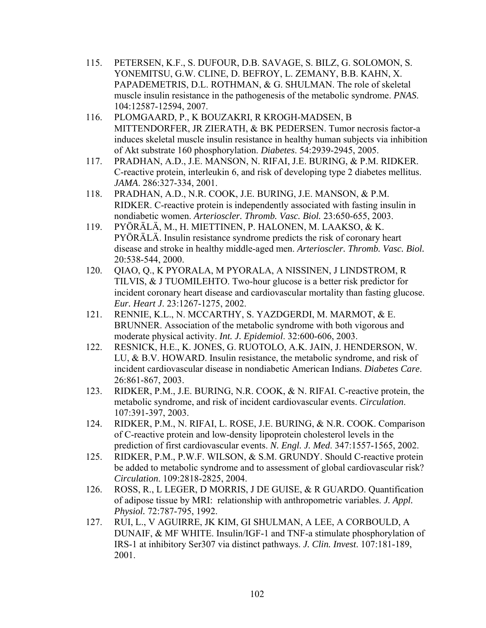- 115. PETERSEN, K.F., S. DUFOUR, D.B. SAVAGE, S. BILZ, G. SOLOMON, S. YONEMITSU, G.W. CLINE, D. BEFROY, L. ZEMANY, B.B. KAHN, X. PAPADEMETRIS, D.L. ROTHMAN, & G. SHULMAN. The role of skeletal muscle insulin resistance in the pathogenesis of the metabolic syndrome. *PNAS*. 104:12587-12594, 2007.
- 116. PLOMGAARD, P., K BOUZAKRI, R KROGH-MADSEN, B MITTENDORFER, JR ZIERATH, & BK PEDERSEN. Tumor necrosis factor-a induces skeletal muscle insulin resistance in healthy human subjects via inhibition of Akt substrate 160 phosphorylation. *Diabetes*. 54:2939-2945, 2005.
- 117. PRADHAN, A.D., J.E. MANSON, N. RIFAI, J.E. BURING, & P.M. RIDKER. C-reactive protein, interleukin 6, and risk of developing type 2 diabetes mellitus. *JAMA*. 286:327-334, 2001.
- 118. PRADHAN, A.D., N.R. COOK, J.E. BURING, J.E. MANSON, & P.M. RIDKER. C-reactive protein is independently associated with fasting insulin in nondiabetic women. *Arterioscler. Thromb. Vasc. Biol.* 23:650-655, 2003.
- 119. PYÖRÄLÄ, M., H. MIETTINEN, P. HALONEN, M. LAAKSO, & K. PYÖRÄLÄ. Insulin resistance syndrome predicts the risk of coronary heart disease and stroke in healthy middle-aged men. *Arterioscler. Thromb. Vasc. Biol.* 20:538-544, 2000.
- 120. QIAO, Q., K PYORALA, M PYORALA, A NISSINEN, J LINDSTROM, R TILVIS, & J TUOMILEHTO. Two-hour glucose is a better risk predictor for incident coronary heart disease and cardiovascular mortality than fasting glucose. *Eur. Heart J*. 23:1267-1275, 2002.
- 121. RENNIE, K.L., N. MCCARTHY, S. YAZDGERDI, M. MARMOT, & E. BRUNNER. Association of the metabolic syndrome with both vigorous and moderate physical activity. *Int. J. Epidemiol*. 32:600-606, 2003.
- 122. RESNICK, H.E., K. JONES, G. RUOTOLO, A.K. JAIN, J. HENDERSON, W. LU, & B.V. HOWARD. Insulin resistance, the metabolic syndrome, and risk of incident cardiovascular disease in nondiabetic American Indians. *Diabetes Care*. 26:861-867, 2003.
- 123. RIDKER, P.M., J.E. BURING, N.R. COOK, & N. RIFAI. C-reactive protein, the metabolic syndrome, and risk of incident cardiovascular events. *Circulation*. 107:391-397, 2003.
- 124. RIDKER, P.M., N. RIFAI, L. ROSE, J.E. BURING, & N.R. COOK. Comparison of C-reactive protein and low-density lipoprotein cholesterol levels in the prediction of first cardiovascular events. *N. Engl. J. Med*. 347:1557-1565, 2002.
- 125. RIDKER, P.M., P.W.F. WILSON, & S.M. GRUNDY. Should C-reactive protein be added to metabolic syndrome and to assessment of global cardiovascular risk? *Circulation*. 109:2818-2825, 2004.
- 126. ROSS, R., L LEGER, D MORRIS, J DE GUISE, & R GUARDO. Quantification of adipose tissue by MRI: relationship with anthropometric variables. *J. Appl. Physiol.* 72:787-795, 1992.
- 127. RUI, L., V AGUIRRE, JK KIM, GI SHULMAN, A LEE, A CORBOULD, A DUNAIF, & MF WHITE. Insulin/IGF-1 and TNF-a stimulate phosphorylation of IRS-1 at inhibitory Ser307 via distinct pathways. *J. Clin. Invest*. 107:181-189, 2001.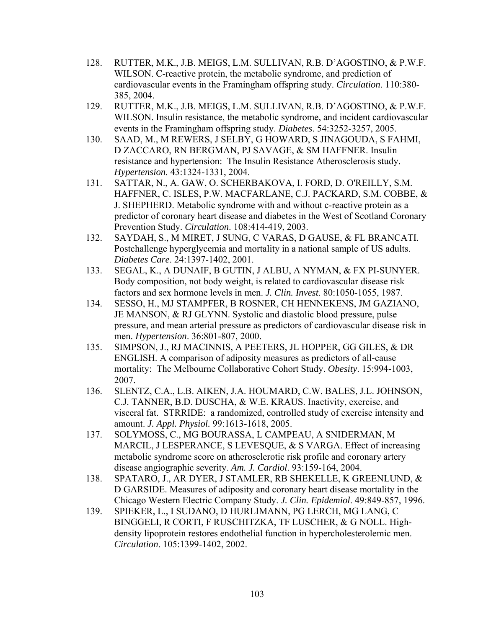- 128. RUTTER, M.K., J.B. MEIGS, L.M. SULLIVAN, R.B. D'AGOSTINO, & P.W.F. WILSON. C-reactive protein, the metabolic syndrome, and prediction of cardiovascular events in the Framingham offspring study. *Circulation*. 110:380- 385, 2004.
- 129. RUTTER, M.K., J.B. MEIGS, L.M. SULLIVAN, R.B. D'AGOSTINO, & P.W.F. WILSON. Insulin resistance, the metabolic syndrome, and incident cardiovascular events in the Framingham offspring study. *Diabetes*. 54:3252-3257, 2005.
- 130. SAAD, M., M REWERS, J SELBY, G HOWARD, S JINAGOUDA, S FAHMI, D ZACCARO, RN BERGMAN, PJ SAVAGE, & SM HAFFNER. Insulin resistance and hypertension: The Insulin Resistance Atherosclerosis study. *Hypertension*. 43:1324-1331, 2004.
- 131. SATTAR, N., A. GAW, O. SCHERBAKOVA, I. FORD, D. O'REILLY, S.M. HAFFNER, C. ISLES, P.W. MACFARLANE, C.J. PACKARD, S.M. COBBE, & J. SHEPHERD. Metabolic syndrome with and without c-reactive protein as a predictor of coronary heart disease and diabetes in the West of Scotland Coronary Prevention Study. *Circulation*. 108:414-419, 2003.
- 132. SAYDAH, S., M MIRET, J SUNG, C VARAS, D GAUSE, & FL BRANCATI. Postchallenge hyperglycemia and mortality in a national sample of US adults. *Diabetes Care*. 24:1397-1402, 2001.
- 133. SEGAL, K., A DUNAIF, B GUTIN, J ALBU, A NYMAN, & FX PI-SUNYER. Body composition, not body weight, is related to cardiovascular disease risk factors and sex hormone levels in men. *J. Clin. Invest*. 80:1050-1055, 1987.
- 134. SESSO, H., MJ STAMPFER, B ROSNER, CH HENNEKENS, JM GAZIANO, JE MANSON, & RJ GLYNN. Systolic and diastolic blood pressure, pulse pressure, and mean arterial pressure as predictors of cardiovascular disease risk in men. *Hypertension*. 36:801-807, 2000.
- 135. SIMPSON, J., RJ MACINNIS, A PEETERS, JL HOPPER, GG GILES, & DR ENGLISH. A comparison of adiposity measures as predictors of all-cause mortality: The Melbourne Collaborative Cohort Study. *Obesity*. 15:994-1003, 2007.
- 136. SLENTZ, C.A., L.B. AIKEN, J.A. HOUMARD, C.W. BALES, J.L. JOHNSON, C.J. TANNER, B.D. DUSCHA, & W.E. KRAUS. Inactivity, exercise, and visceral fat. STRRIDE: a randomized, controlled study of exercise intensity and amount. *J. Appl. Physiol.* 99:1613-1618, 2005.
- 137. SOLYMOSS, C., MG BOURASSA, L CAMPEAU, A SNIDERMAN, M MARCIL, J LESPERANCE, S LEVESOUE, & S VARGA. Effect of increasing metabolic syndrome score on atherosclerotic risk profile and coronary artery disease angiographic severity. *Am. J. Cardiol*. 93:159-164, 2004.
- 138. SPATARO, J., AR DYER, J STAMLER, RB SHEKELLE, K GREENLUND, & D GARSIDE. Measures of adiposity and coronary heart disease mortality in the Chicago Western Electric Company Study. *J. Clin. Epidemiol*. 49:849-857, 1996.
- 139. SPIEKER, L., I SUDANO, D HURLIMANN, PG LERCH, MG LANG, C BINGGELI, R CORTI, F RUSCHITZKA, TF LUSCHER, & G NOLL. Highdensity lipoprotein restores endothelial function in hypercholesterolemic men. *Circulation*. 105:1399-1402, 2002.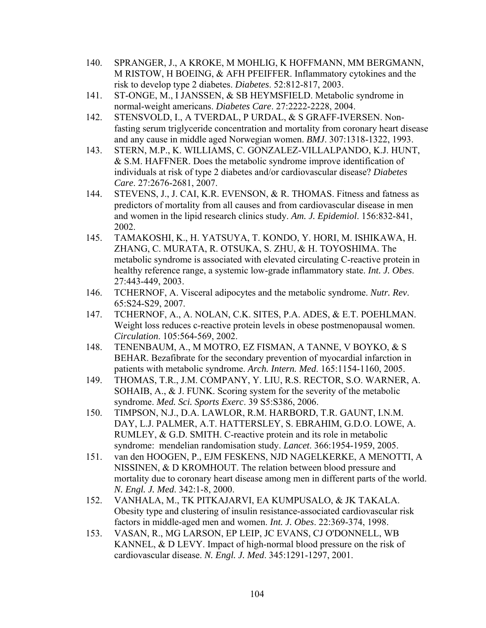- 140. SPRANGER, J., A KROKE, M MOHLIG, K HOFFMANN, MM BERGMANN, M RISTOW, H BOEING, & AFH PFEIFFER. Inflammatory cytokines and the risk to develop type 2 diabetes. *Diabetes*. 52:812-817, 2003.
- 141. ST-ONGE, M., I JANSSEN, & SB HEYMSFIELD. Metabolic syndrome in normal-weight americans. *Diabetes Care*. 27:2222-2228, 2004.
- 142. STENSVOLD, I., A TVERDAL, P URDAL, & S GRAFF-IVERSEN. Nonfasting serum triglyceride concentration and mortality from coronary heart disease and any cause in middle aged Norwegian women. *BMJ*. 307:1318-1322, 1993.
- 143. STERN, M.P., K. WILLIAMS, C. GONZALEZ-VILLALPANDO, K.J. HUNT, & S.M. HAFFNER. Does the metabolic syndrome improve identification of individuals at risk of type 2 diabetes and/or cardiovascular disease? *Diabetes Care*. 27:2676-2681, 2007.
- 144. STEVENS, J., J. CAI, K.R. EVENSON, & R. THOMAS. Fitness and fatness as predictors of mortality from all causes and from cardiovascular disease in men and women in the lipid research clinics study. *Am. J. Epidemiol*. 156:832-841, 2002.
- 145. TAMAKOSHI, K., H. YATSUYA, T. KONDO, Y. HORI, M. ISHIKAWA, H. ZHANG, C. MURATA, R. OTSUKA, S. ZHU, & H. TOYOSHIMA. The metabolic syndrome is associated with elevated circulating C-reactive protein in healthy reference range, a systemic low-grade inflammatory state. *Int. J. Obes*. 27:443-449, 2003.
- 146. TCHERNOF, A. Visceral adipocytes and the metabolic syndrome. *Nutr. Rev*. 65:S24-S29, 2007.
- 147. TCHERNOF, A., A. NOLAN, C.K. SITES, P.A. ADES, & E.T. POEHLMAN. Weight loss reduces c-reactive protein levels in obese postmenopausal women. *Circulation*. 105:564-569, 2002.
- 148. TENENBAUM, A., M MOTRO, EZ FISMAN, A TANNE, V BOYKO, & S BEHAR. Bezafibrate for the secondary prevention of myocardial infarction in patients with metabolic syndrome. *Arch. Intern. Med*. 165:1154-1160, 2005.
- 149. THOMAS, T.R., J.M. COMPANY, Y. LIU, R.S. RECTOR, S.O. WARNER, A. SOHAIB, A., & J. FUNK. Scoring system for the severity of the metabolic syndrome. *Med. Sci. Sports Exerc*. 39 S5:S386, 2006.
- 150. TIMPSON, N.J., D.A. LAWLOR, R.M. HARBORD, T.R. GAUNT, I.N.M. DAY, L.J. PALMER, A.T. HATTERSLEY, S. EBRAHIM, G.D.O. LOWE, A. RUMLEY, & G.D. SMITH. C-reactive protein and its role in metabolic syndrome: mendelian randomisation study. *Lancet*. 366:1954-1959, 2005.
- 151. van den HOOGEN, P., EJM FESKENS, NJD NAGELKERKE, A MENOTTI, A NISSINEN, & D KROMHOUT. The relation between blood pressure and mortality due to coronary heart disease among men in different parts of the world. *N. Engl. J. Med*. 342:1-8, 2000.
- 152. VANHALA, M., TK PITKAJARVI, EA KUMPUSALO, & JK TAKALA. Obesity type and clustering of insulin resistance-associated cardiovascular risk factors in middle-aged men and women. *Int. J. Obes*. 22:369-374, 1998.
- 153. VASAN, R., MG LARSON, EP LEIP, JC EVANS, CJ O'DONNELL, WB KANNEL, & D LEVY. Impact of high-normal blood pressure on the risk of cardiovascular disease. *N. Engl. J. Med*. 345:1291-1297, 2001.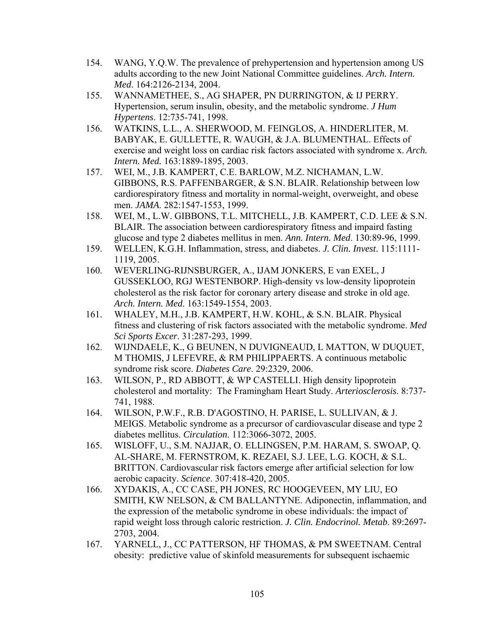- 154. WANG, Y.Q.W. The prevalence of prehypertension and hypertension among US adults according to the new Joint National Committee guidelines. *Arch. Intern. Med*. 164:2126-2134, 2004.
- 155. WANNAMETHEE, S., AG SHAPER, PN DURRINGTON, & IJ PERRY. Hypertension, serum insulin, obesity, and the metabolic syndrome. *J Hum Hypertens*. 12:735-741, 1998.
- 156. WATKINS, L.L., A. SHERWOOD, M. FEINGLOS, A. HINDERLITER, M. BABYAK, E. GULLETTE, R. WAUGH, & J.A. BLUMENTHAL. Effects of exercise and weight loss on cardiac risk factors associated with syndrome x. *Arch. Intern. Med.* 163:1889-1895, 2003.
- 157. WEI, M., J.B. KAMPERT, C.E. BARLOW, M.Z. NICHAMAN, L.W. GIBBONS, R.S. PAFFENBARGER, & S.N. BLAIR. Relationship between low cardiorespiratory fitness and mortality in normal-weight, overweight, and obese men. *JAMA*. 282:1547-1553, 1999.
- 158. WEI, M., L.W. GIBBONS, T.L. MITCHELL, J.B. KAMPERT, C.D. LEE & S.N. BLAIR. The association between cardiorespiratory fitness and impaird fasting glucose and type 2 diabetes mellitus in men. *Ann. Intern. Med*. 130:89-96, 1999.
- 159. WELLEN, K.G.H. Inflammation, stress, and diabetes. *J. Clin. Invest*. 115:1111- 1119, 2005.
- 160. WEVERLING-RIJNSBURGER, A., IJAM JONKERS, E van EXEL, J GUSSEKLOO, RGJ WESTENBORP. High-density vs low-density lipoprotein cholesterol as the risk factor for coronary artery disease and stroke in old age. *Arch. Intern. Med*. 163:1549-1554, 2003.
- 161. WHALEY, M.H., J.B. KAMPERT, H.W. KOHL, & S.N. BLAIR. Physical fitness and clustering of risk factors associated with the metabolic syndrome. *Med Sci Sports Excer*. 31:287-293, 1999.
- 162. WIJNDAELE, K., G BEUNEN, N DUVIGNEAUD, L MATTON, W DUQUET, M THOMIS, J LEFEVRE, & RM PHILIPPAERTS. A continuous metabolic syndrome risk score. *Diabetes Care*. 29:2329, 2006.
- 163. WILSON, P., RD ABBOTT, & WP CASTELLI. High density lipoprotein cholesterol and mortality: The Framingham Heart Study. *Arteriosclerosis*. 8:737- 741, 1988.
- 164. WILSON, P.W.F., R.B. D'AGOSTINO, H. PARISE, L. SULLIVAN, & J. MEIGS. Metabolic syndrome as a precursor of cardiovascular disease and type 2 diabetes mellitus. *Circulation*. 112:3066-3072, 2005.
- 165. WISLOFF, U., S.M. NAJJAR, O. ELLINGSEN, P.M. HARAM, S. SWOAP, Q. AL-SHARE, M. FERNSTROM, K. REZAEI, S.J. LEE, L.G. KOCH, & S.L. BRITTON. Cardiovascular risk factors emerge after artificial selection for low aerobic capacity. *Science*. 307:418-420, 2005.
- 166. XYDAKIS, A., CC CASE, PH JONES, RC HOOGEVEEN, MY LIU, EO SMITH, KW NELSON, & CM BALLANTYNE. Adiponectin, inflammation, and the expression of the metabolic syndrome in obese individuals: the impact of rapid weight loss through caloric restriction. *J. Clin. Endocrinol. Metab*. 89:2697- 2703, 2004.
- 167. YARNELL, J., CC PATTERSON, HF THOMAS, & PM SWEETNAM. Central obesity: predictive value of skinfold measurements for subsequent ischaemic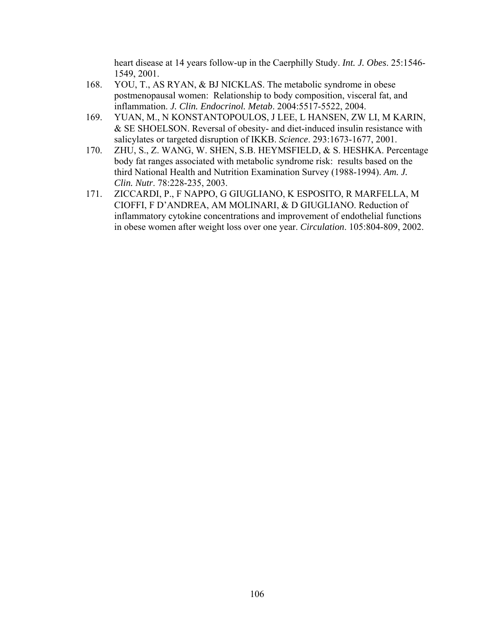heart disease at 14 years follow-up in the Caerphilly Study. *Int. J. Obes*. 25:1546- 1549, 2001.

- 168. YOU, T., AS RYAN, & BJ NICKLAS. The metabolic syndrome in obese postmenopausal women: Relationship to body composition, visceral fat, and inflammation. *J. Clin. Endocrinol. Metab*. 2004:5517-5522, 2004.
- 169. YUAN, M., N KONSTANTOPOULOS, J LEE, L HANSEN, ZW LI, M KARIN, & SE SHOELSON. Reversal of obesity- and diet-induced insulin resistance with salicylates or targeted disruption of IKKB. *Science*. 293:1673-1677, 2001.
- 170. ZHU, S., Z. WANG, W. SHEN, S.B. HEYMSFIELD, & S. HESHKA. Percentage body fat ranges associated with metabolic syndrome risk: results based on the third National Health and Nutrition Examination Survey (1988-1994). *Am. J. Clin. Nutr*. 78:228-235, 2003.
- 171. ZICCARDI, P., F NAPPO, G GIUGLIANO, K ESPOSITO, R MARFELLA, M CIOFFI, F D'ANDREA, AM MOLINARI, & D GIUGLIANO. Reduction of inflammatory cytokine concentrations and improvement of endothelial functions in obese women after weight loss over one year. *Circulation*. 105:804-809, 2002.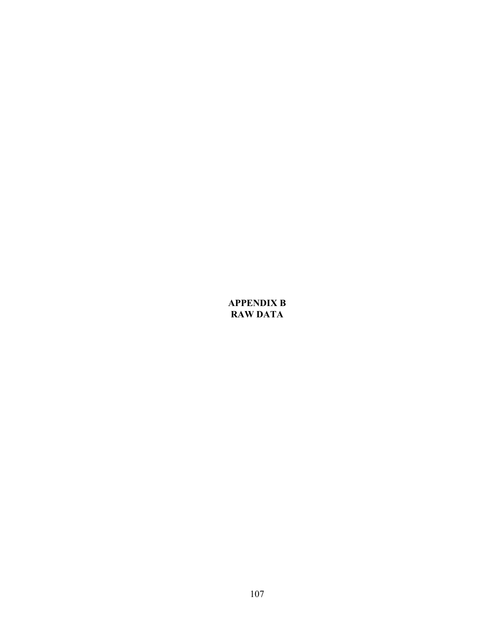## **APPENDIX B RAW DATA**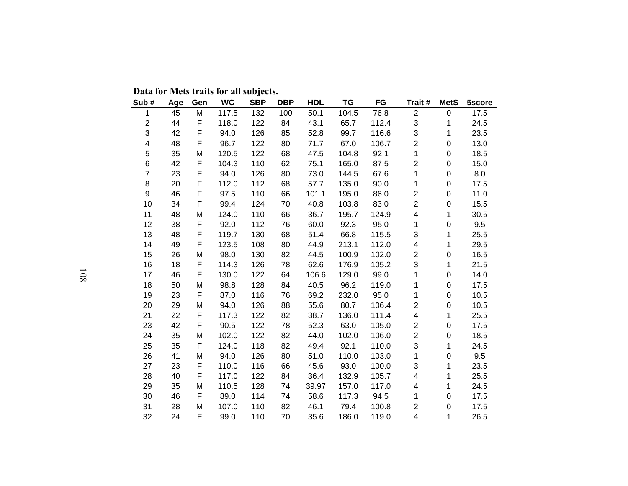**Data for Mets traits for all subjects.** 

| Sub#                    | Age | Gen | <b>WC</b> | <b>SBP</b> | <b>DBP</b> | <b>HDL</b> | <b>TG</b> | FG    | Trait #                 | <b>MetS</b>  | 5score |
|-------------------------|-----|-----|-----------|------------|------------|------------|-----------|-------|-------------------------|--------------|--------|
| 1                       | 45  | M   | 117.5     | 132        | 100        | 50.1       | 104.5     | 76.8  | $\overline{c}$          | $\pmb{0}$    | 17.5   |
| $\overline{c}$          | 44  | F   | 118.0     | 122        | 84         | 43.1       | 65.7      | 112.4 | 3                       | 1            | 24.5   |
| 3                       | 42  | F   | 94.0      | 126        | 85         | 52.8       | 99.7      | 116.6 | 3                       | 1            | 23.5   |
| $\overline{\mathbf{4}}$ | 48  | F   | 96.7      | 122        | 80         | 71.7       | 67.0      | 106.7 | $\overline{2}$          | $\pmb{0}$    | 13.0   |
| 5                       | 35  | M   | 120.5     | 122        | 68         | 47.5       | 104.8     | 92.1  | $\mathbf{1}$            | $\pmb{0}$    | 18.5   |
| 6                       | 42  | F   | 104.3     | 110        | 62         | 75.1       | 165.0     | 87.5  | $\overline{c}$          | $\pmb{0}$    | 15.0   |
| $\overline{7}$          | 23  | F   | 94.0      | 126        | 80         | 73.0       | 144.5     | 67.6  | 1                       | $\pmb{0}$    | 8.0    |
| $\bf 8$                 | 20  | F   | 112.0     | 112        | 68         | 57.7       | 135.0     | 90.0  | 1                       | $\pmb{0}$    | 17.5   |
| 9                       | 46  | F   | 97.5      | 110        | 66         | 101.1      | 195.0     | 86.0  | $\overline{2}$          | 0            | 11.0   |
| 10                      | 34  | F   | 99.4      | 124        | 70         | 40.8       | 103.8     | 83.0  | $\overline{2}$          | $\pmb{0}$    | 15.5   |
| 11                      | 48  | M   | 124.0     | 110        | 66         | 36.7       | 195.7     | 124.9 | 4                       | $\mathbf{1}$ | 30.5   |
| 12                      | 38  | F   | 92.0      | 112        | 76         | 60.0       | 92.3      | 95.0  | $\mathbf{1}$            | $\pmb{0}$    | 9.5    |
| 13                      | 48  | F   | 119.7     | 130        | 68         | 51.4       | 66.8      | 115.5 | 3                       | 1            | 25.5   |
| 14                      | 49  | F   | 123.5     | 108        | 80         | 44.9       | 213.1     | 112.0 | $\overline{\mathbf{4}}$ | 1            | 29.5   |
| 15                      | 26  | M   | 98.0      | 130        | 82         | 44.5       | 100.9     | 102.0 | $\overline{2}$          | $\pmb{0}$    | 16.5   |
| 16                      | 18  | F   | 114.3     | 126        | 78         | 62.6       | 176.9     | 105.2 | 3                       | 1            | 21.5   |
| 17                      | 46  | F   | 130.0     | 122        | 64         | 106.6      | 129.0     | 99.0  | $\mathbf{1}$            | $\pmb{0}$    | 14.0   |
| 18                      | 50  | M   | 98.8      | 128        | 84         | 40.5       | 96.2      | 119.0 | 1                       | 0            | 17.5   |
| 19                      | 23  | F   | 87.0      | 116        | 76         | 69.2       | 232.0     | 95.0  | 1                       | $\pmb{0}$    | 10.5   |
| 20                      | 29  | M   | 94.0      | 126        | 88         | 55.6       | 80.7      | 106.4 | $\overline{2}$          | $\pmb{0}$    | 10.5   |
| 21                      | 22  | F   | 117.3     | 122        | 82         | 38.7       | 136.0     | 111.4 | $\overline{\mathbf{4}}$ | 1            | 25.5   |
| 23                      | 42  | F   | 90.5      | 122        | 78         | 52.3       | 63.0      | 105.0 | $\overline{2}$          | $\pmb{0}$    | 17.5   |
| 24                      | 35  | M   | 102.0     | 122        | 82         | 44.0       | 102.0     | 106.0 | $\overline{2}$          | $\pmb{0}$    | 18.5   |
| 25                      | 35  | F   | 124.0     | 118        | 82         | 49.4       | 92.1      | 110.0 | 3                       | 1            | 24.5   |
| 26                      | 41  | M   | 94.0      | 126        | 80         | 51.0       | 110.0     | 103.0 | $\mathbf 1$             | $\pmb{0}$    | 9.5    |
| 27                      | 23  | F   | 110.0     | 116        | 66         | 45.6       | 93.0      | 100.0 | 3                       | 1            | 23.5   |
| 28                      | 40  | F   | 117.0     | 122        | 84         | 36.4       | 132.9     | 105.7 | 4                       | 1            | 25.5   |
| 29                      | 35  | M   | 110.5     | 128        | 74         | 39.97      | 157.0     | 117.0 | 4                       | 1            | 24.5   |
| 30                      | 46  | F   | 89.0      | 114        | 74         | 58.6       | 117.3     | 94.5  | 1                       | $\pmb{0}$    | 17.5   |
| 31                      | 28  | M   | 107.0     | 110        | 82         | 46.1       | 79.4      | 100.8 | $\overline{c}$          | $\pmb{0}$    | 17.5   |
| 32                      | 24  | F   | 99.0      | 110        | 70         | 35.6       | 186.0     | 119.0 | $\overline{4}$          | 1            | 26.5   |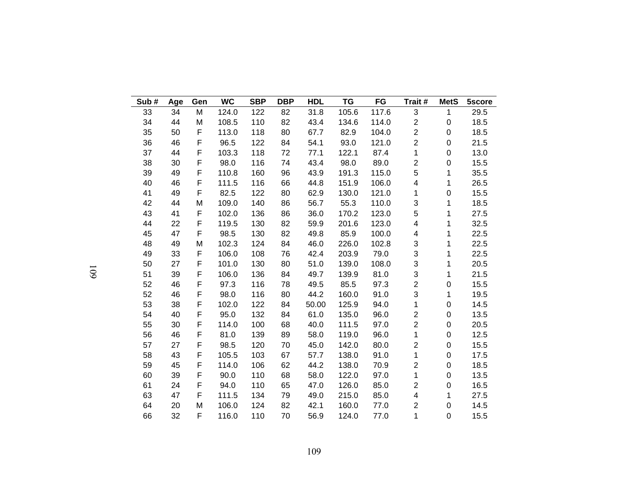| Sub# | Age | Gen | <b>WC</b> | <b>SBP</b> | <b>DBP</b> | <b>HDL</b> | <b>TG</b> | FG    | Trait#                  | <b>MetS</b>      | 5score |
|------|-----|-----|-----------|------------|------------|------------|-----------|-------|-------------------------|------------------|--------|
| 33   | 34  | M   | 124.0     | 122        | 82         | 31.8       | 105.6     | 117.6 | 3                       | $\mathbf{1}$     | 29.5   |
| 34   | 44  | M   | 108.5     | 110        | 82         | 43.4       | 134.6     | 114.0 | $\overline{2}$          | 0                | 18.5   |
| 35   | 50  | F   | 113.0     | 118        | 80         | 67.7       | 82.9      | 104.0 | $\overline{\mathbf{c}}$ | $\mathbf 0$      | 18.5   |
| 36   | 46  | F   | 96.5      | 122        | 84         | 54.1       | 93.0      | 121.0 | $\overline{2}$          | $\mathsf 0$      | 21.5   |
| 37   | 44  | F   | 103.3     | 118        | 72         | 77.1       | 122.1     | 87.4  | 1                       | $\pmb{0}$        | 13.0   |
| 38   | 30  | F   | 98.0      | 116        | 74         | 43.4       | 98.0      | 89.0  | $\overline{\mathbf{c}}$ | $\mathbf 0$      | 15.5   |
| 39   | 49  | F   | 110.8     | 160        | 96         | 43.9       | 191.3     | 115.0 | 5                       | 1                | 35.5   |
| 40   | 46  | F   | 111.5     | 116        | 66         | 44.8       | 151.9     | 106.0 | 4                       | 1                | 26.5   |
| 41   | 49  | F   | 82.5      | 122        | 80         | 62.9       | 130.0     | 121.0 | 1                       | $\pmb{0}$        | 15.5   |
| 42   | 44  | M   | 109.0     | 140        | 86         | 56.7       | 55.3      | 110.0 | 3                       | 1                | 18.5   |
| 43   | 41  | F   | 102.0     | 136        | 86         | 36.0       | 170.2     | 123.0 | 5                       | 1                | 27.5   |
| 44   | 22  | F   | 119.5     | 130        | 82         | 59.9       | 201.6     | 123.0 | 4                       | 1                | 32.5   |
| 45   | 47  | F   | 98.5      | 130        | 82         | 49.8       | 85.9      | 100.0 | 4                       | 1                | 22.5   |
| 48   | 49  | M   | 102.3     | 124        | 84         | 46.0       | 226.0     | 102.8 | 3                       | 1                | 22.5   |
| 49   | 33  | F   | 106.0     | 108        | 76         | 42.4       | 203.9     | 79.0  | 3                       | 1                | 22.5   |
| 50   | 27  | F   | 101.0     | 130        | 80         | 51.0       | 139.0     | 108.0 | 3                       | 1                | 20.5   |
| 51   | 39  | F   | 106.0     | 136        | 84         | 49.7       | 139.9     | 81.0  | 3                       | 1                | 21.5   |
| 52   | 46  | F   | 97.3      | 116        | 78         | 49.5       | 85.5      | 97.3  | $\overline{\mathbf{c}}$ | $\pmb{0}$        | 15.5   |
| 52   | 46  | F   | 98.0      | 116        | 80         | 44.2       | 160.0     | 91.0  | 3                       | 1                | 19.5   |
| 53   | 38  | F   | 102.0     | 122        | 84         | 50.00      | 125.9     | 94.0  | 1                       | $\mathbf 0$      | 14.5   |
| 54   | 40  | F   | 95.0      | 132        | 84         | 61.0       | 135.0     | 96.0  | $\overline{\mathbf{c}}$ | $\pmb{0}$        | 13.5   |
| 55   | 30  | F   | 114.0     | 100        | 68         | 40.0       | 111.5     | 97.0  | $\overline{2}$          | $\boldsymbol{0}$ | 20.5   |
| 56   | 46  | F   | 81.0      | 139        | 89         | 58.0       | 119.0     | 96.0  | 1                       | $\mathbf 0$      | 12.5   |
| 57   | 27  | F   | 98.5      | 120        | 70         | 45.0       | 142.0     | 80.0  | $\overline{c}$          | $\mathbf 0$      | 15.5   |
| 58   | 43  | F   | 105.5     | 103        | 67         | 57.7       | 138.0     | 91.0  | 1                       | $\boldsymbol{0}$ | 17.5   |
| 59   | 45  | F   | 114.0     | 106        | 62         | 44.2       | 138.0     | 70.9  | $\overline{c}$          | 0                | 18.5   |
| 60   | 39  | F   | 90.0      | 110        | 68         | 58.0       | 122.0     | 97.0  | 1                       | $\mathbf 0$      | 13.5   |
| 61   | 24  | F   | 94.0      | 110        | 65         | 47.0       | 126.0     | 85.0  | $\overline{2}$          | $\pmb{0}$        | 16.5   |
| 63   | 47  | F   | 111.5     | 134        | 79         | 49.0       | 215.0     | 85.0  | $\overline{\mathbf{4}}$ | 1                | 27.5   |
| 64   | 20  | M   | 106.0     | 124        | 82         | 42.1       | 160.0     | 77.0  | $\overline{c}$          | $\mathbf 0$      | 14.5   |
| 66   | 32  | F   | 116.0     | 110        | 70         | 56.9       | 124.0     | 77.0  | 1                       | $\mathbf 0$      | 15.5   |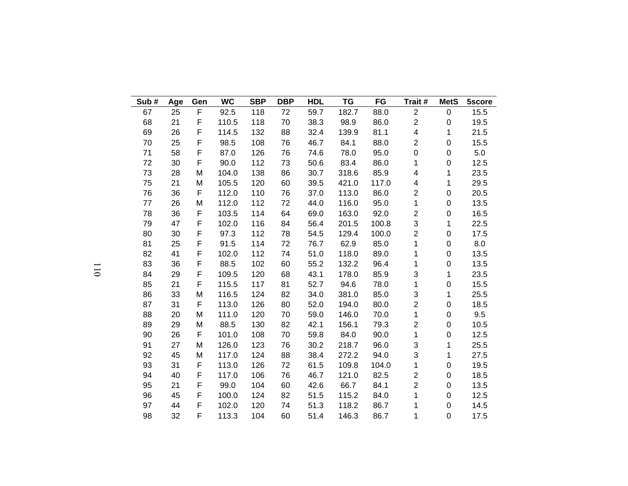| Sub# | Age | Gen         | <b>WC</b> | <b>SBP</b> | <b>DBP</b> | <b>HDL</b> | TG    | FG    | Trait #                 | <b>MetS</b>  | 5score |
|------|-----|-------------|-----------|------------|------------|------------|-------|-------|-------------------------|--------------|--------|
| 67   | 25  | F           | 92.5      | 118        | 72         | 59.7       | 182.7 | 88.0  | $\overline{c}$          | $\pmb{0}$    | 15.5   |
| 68   | 21  | F           | 110.5     | 118        | 70         | 38.3       | 98.9  | 86.0  | $\boldsymbol{2}$        | 0            | 19.5   |
| 69   | 26  | F           | 114.5     | 132        | 88         | 32.4       | 139.9 | 81.1  | 4                       | 1            | 21.5   |
| 70   | 25  | F           | 98.5      | 108        | 76         | 46.7       | 84.1  | 88.0  | $\overline{2}$          | 0            | 15.5   |
| 71   | 58  | F           | 87.0      | 126        | 76         | 74.6       | 78.0  | 95.0  | $\mathbf 0$             | 0            | 5.0    |
| 72   | 30  | F           | 90.0      | 112        | 73         | 50.6       | 83.4  | 86.0  | 1                       | 0            | 12.5   |
| 73   | 28  | M           | 104.0     | 138        | 86         | 30.7       | 318.6 | 85.9  | 4                       | 1            | 23.5   |
| 75   | 21  | M           | 105.5     | 120        | 60         | 39.5       | 421.0 | 117.0 | 4                       | 1            | 29.5   |
| 76   | 36  | F           | 112.0     | 110        | 76         | 37.0       | 113.0 | 86.0  | $\overline{2}$          | 0            | 20.5   |
| 77   | 26  | M           | 112.0     | 112        | 72         | 44.0       | 116.0 | 95.0  | $\mathbf 1$             | 0            | 13.5   |
| 78   | 36  | F           | 103.5     | 114        | 64         | 69.0       | 163.0 | 92.0  | $\overline{\mathbf{c}}$ | 0            | 16.5   |
| 79   | 47  | F           | 102.0     | 116        | 84         | 56.4       | 201.5 | 100.8 | 3                       | $\mathbf{1}$ | 22.5   |
| 80   | 30  | F           | 97.3      | 112        | 78         | 54.5       | 129.4 | 100.0 | $\overline{c}$          | 0            | 17.5   |
| 81   | 25  | F           | 91.5      | 114        | 72         | 76.7       | 62.9  | 85.0  | 1                       | 0            | 8.0    |
| 82   | 41  | F           | 102.0     | 112        | 74         | 51.0       | 118.0 | 89.0  | 1                       | 0            | 13.5   |
| 83   | 36  | $\mathsf F$ | 88.5      | 102        | 60         | 55.2       | 132.2 | 96.4  | 1                       | $\mathbf 0$  | 13.5   |
| 84   | 29  | F           | 109.5     | 120        | 68         | 43.1       | 178.0 | 85.9  | 3                       | $\mathbf{1}$ | 23.5   |
| 85   | 21  | F           | 115.5     | 117        | 81         | 52.7       | 94.6  | 78.0  | 1                       | 0            | 15.5   |
| 86   | 33  | M           | 116.5     | 124        | 82         | 34.0       | 381.0 | 85.0  | 3                       | 1            | 25.5   |
| 87   | 31  | F           | 113.0     | 126        | 80         | 52.0       | 194.0 | 80.0  | $\overline{c}$          | 0            | 18.5   |
| 88   | 20  | M           | 111.0     | 120        | 70         | 59.0       | 146.0 | 70.0  | 1                       | 0            | 9.5    |
| 89   | 29  | M           | 88.5      | 130        | 82         | 42.1       | 156.1 | 79.3  | $\overline{\mathbf{c}}$ | 0            | 10.5   |
| 90   | 26  | F           | 101.0     | 108        | 70         | 59.8       | 84.0  | 90.0  | 1                       | 0            | 12.5   |
| 91   | 27  | M           | 126.0     | 123        | 76         | 30.2       | 218.7 | 96.0  | 3                       | 1            | 25.5   |
| 92   | 45  | M           | 117.0     | 124        | 88         | 38.4       | 272.2 | 94.0  | 3                       | 1            | 27.5   |
| 93   | 31  | F           | 113.0     | 126        | 72         | 61.5       | 109.8 | 104.0 | 1                       | 0            | 19.5   |
| 94   | 40  | F           | 117.0     | 106        | 76         | 46.7       | 121.0 | 82.5  | $\overline{c}$          | 0            | 18.5   |
| 95   | 21  | F           | 99.0      | 104        | 60         | 42.6       | 66.7  | 84.1  | $\overline{2}$          | 0            | 13.5   |
| 96   | 45  | F           | 100.0     | 124        | 82         | 51.5       | 115.2 | 84.0  | 1                       | 0            | 12.5   |
| 97   | 44  | F           | 102.0     | 120        | 74         | 51.3       | 118.2 | 86.7  | 1                       | 0            | 14.5   |
| 98   | 32  | F           | 113.3     | 104        | 60         | 51.4       | 146.3 | 86.7  | 1                       | 0            | 17.5   |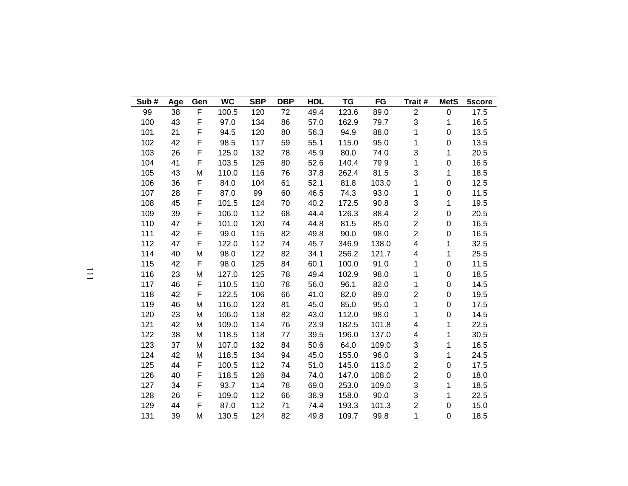| Sub# | Age | Gen | <b>WC</b> | <b>SBP</b> | <b>DBP</b> | <b>HDL</b> | <b>TG</b> | FG    | Trait #                 | <b>MetS</b>      | 5score |
|------|-----|-----|-----------|------------|------------|------------|-----------|-------|-------------------------|------------------|--------|
| 99   | 38  | F   | 100.5     | 120        | 72         | 49.4       | 123.6     | 89.0  | $\boldsymbol{2}$        | 0                | 17.5   |
| 100  | 43  | F   | 97.0      | 134        | 86         | 57.0       | 162.9     | 79.7  | 3                       | 1                | 16.5   |
| 101  | 21  | F   | 94.5      | 120        | 80         | 56.3       | 94.9      | 88.0  | 1                       | $\boldsymbol{0}$ | 13.5   |
| 102  | 42  | F   | 98.5      | 117        | 59         | 55.1       | 115.0     | 95.0  | 1                       | $\pmb{0}$        | 13.5   |
| 103  | 26  | F   | 125.0     | 132        | 78         | 45.9       | 80.0      | 74.0  | 3                       | 1                | 20.5   |
| 104  | 41  | F   | 103.5     | 126        | 80         | 52.6       | 140.4     | 79.9  | 1                       | 0                | 16.5   |
| 105  | 43  | M   | 110.0     | 116        | 76         | 37.8       | 262.4     | 81.5  | 3                       | 1                | 18.5   |
| 106  | 36  | F   | 84.0      | 104        | 61         | 52.1       | 81.8      | 103.0 | 1                       | $\boldsymbol{0}$ | 12.5   |
| 107  | 28  | F   | 87.0      | 99         | 60         | 46.5       | 74.3      | 93.0  | 1                       | $\pmb{0}$        | 11.5   |
| 108  | 45  | F   | 101.5     | 124        | 70         | 40.2       | 172.5     | 90.8  | 3                       | 1                | 19.5   |
| 109  | 39  | F   | 106.0     | 112        | 68         | 44.4       | 126.3     | 88.4  | $\overline{c}$          | 0                | 20.5   |
| 110  | 47  | F   | 101.0     | 120        | 74         | 44.8       | 81.5      | 85.0  | $\overline{c}$          | $\pmb{0}$        | 16.5   |
| 111  | 42  | F   | 99.0      | 115        | 82         | 49.8       | 90.0      | 98.0  | $\overline{c}$          | $\pmb{0}$        | 16.5   |
| 112  | 47  | F   | 122.0     | 112        | 74         | 45.7       | 346.9     | 138.0 | $\overline{\mathbf{4}}$ | 1                | 32.5   |
| 114  | 40  | M   | 98.0      | 122        | 82         | 34.1       | 256.2     | 121.7 | 4                       | 1                | 25.5   |
| 115  | 42  | F   | 98.0      | 125        | 84         | 60.1       | 100.0     | 91.0  | 1                       | $\pmb{0}$        | 11.5   |
| 116  | 23  | M   | 127.0     | 125        | 78         | 49.4       | 102.9     | 98.0  | 1                       | 0                | 18.5   |
| 117  | 46  | F   | 110.5     | 110        | 78         | 56.0       | 96.1      | 82.0  | 1                       | 0                | 14.5   |
| 118  | 42  | F   | 122.5     | 106        | 66         | 41.0       | 82.0      | 89.0  | $\overline{c}$          | $\pmb{0}$        | 19.5   |
| 119  | 46  | M   | 116.0     | 123        | 81         | 45.0       | 85.0      | 95.0  | 1                       | $\pmb{0}$        | 17.5   |
| 120  | 23  | M   | 106.0     | 118        | 82         | 43.0       | 112.0     | 98.0  | 1                       | $\pmb{0}$        | 14.5   |
| 121  | 42  | M   | 109.0     | 114        | 76         | 23.9       | 182.5     | 101.8 | 4                       | 1                | 22.5   |
| 122  | 38  | M   | 118.5     | 118        | 77         | 39.5       | 196.0     | 137.0 | 4                       | 1                | 30.5   |
| 123  | 37  | M   | 107.0     | 132        | 84         | 50.6       | 64.0      | 109.0 | 3                       | 1                | 16.5   |
| 124  | 42  | M   | 118.5     | 134        | 94         | 45.0       | 155.0     | 96.0  | 3                       | 1                | 24.5   |
| 125  | 44  | F   | 100.5     | 112        | 74         | 51.0       | 145.0     | 113.0 | $\overline{2}$          | $\boldsymbol{0}$ | 17.5   |
| 126  | 40  | F   | 118.5     | 126        | 84         | 74.0       | 147.0     | 108.0 | $\overline{\mathbf{c}}$ | 0                | 18.0   |
| 127  | 34  | F   | 93.7      | 114        | 78         | 69.0       | 253.0     | 109.0 | 3                       | 1                | 18.5   |
| 128  | 26  | F   | 109.0     | 112        | 66         | 38.9       | 158.0     | 90.0  | 3                       | 1                | 22.5   |
| 129  | 44  | F   | 87.0      | 112        | 71         | 74.4       | 193.3     | 101.3 | $\overline{2}$          | 0                | 15.0   |
| 131  | 39  | M   | 130.5     | 124        | 82         | 49.8       | 109.7     | 99.8  | 1                       | $\overline{0}$   | 18.5   |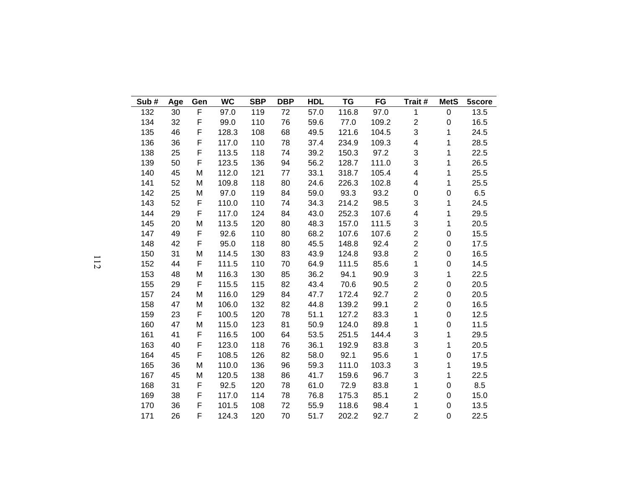| Sub# | Age | Gen | <b>WC</b> | <b>SBP</b> | <b>DBP</b> | <b>HDL</b> | <b>TG</b> | FG    | Trait #                 | <b>MetS</b>      | 5score |
|------|-----|-----|-----------|------------|------------|------------|-----------|-------|-------------------------|------------------|--------|
| 132  | 30  | F   | 97.0      | 119        | 72         | 57.0       | 116.8     | 97.0  | 1                       | $\pmb{0}$        | 13.5   |
| 134  | 32  | F   | 99.0      | 110        | 76         | 59.6       | 77.0      | 109.2 | 2                       | $\boldsymbol{0}$ | 16.5   |
| 135  | 46  | F   | 128.3     | 108        | 68         | 49.5       | 121.6     | 104.5 | 3                       | 1                | 24.5   |
| 136  | 36  | F   | 117.0     | 110        | 78         | 37.4       | 234.9     | 109.3 | 4                       | 1                | 28.5   |
| 138  | 25  | F   | 113.5     | 118        | 74         | 39.2       | 150.3     | 97.2  | 3                       | 1                | 22.5   |
| 139  | 50  | F   | 123.5     | 136        | 94         | 56.2       | 128.7     | 111.0 | 3                       | 1                | 26.5   |
| 140  | 45  | M   | 112.0     | 121        | 77         | 33.1       | 318.7     | 105.4 | 4                       | 1                | 25.5   |
| 141  | 52  | M   | 109.8     | 118        | 80         | 24.6       | 226.3     | 102.8 | 4                       | $\mathbf{1}$     | 25.5   |
| 142  | 25  | M   | 97.0      | 119        | 84         | 59.0       | 93.3      | 93.2  | 0                       | $\pmb{0}$        | 6.5    |
| 143  | 52  | F   | 110.0     | 110        | 74         | 34.3       | 214.2     | 98.5  | 3                       | 1                | 24.5   |
| 144  | 29  | F   | 117.0     | 124        | 84         | 43.0       | 252.3     | 107.6 | 4                       | 1                | 29.5   |
| 145  | 20  | M   | 113.5     | 120        | 80         | 48.3       | 157.0     | 111.5 | 3                       | 1                | 20.5   |
| 147  | 49  | F   | 92.6      | 110        | 80         | 68.2       | 107.6     | 107.6 | $\overline{c}$          | 0                | 15.5   |
| 148  | 42  | F   | 95.0      | 118        | 80         | 45.5       | 148.8     | 92.4  | $\overline{c}$          | $\pmb{0}$        | 17.5   |
| 150  | 31  | M   | 114.5     | 130        | 83         | 43.9       | 124.8     | 93.8  | $\overline{\mathbf{c}}$ | 0                | 16.5   |
| 152  | 44  | F   | 111.5     | 110        | 70         | 64.9       | 111.5     | 85.6  | 1                       | 0                | 14.5   |
| 153  | 48  | M   | 116.3     | 130        | 85         | 36.2       | 94.1      | 90.9  | 3                       | $\mathbf{1}$     | 22.5   |
| 155  | 29  | F   | 115.5     | 115        | 82         | 43.4       | 70.6      | 90.5  | $\overline{c}$          | 0                | 20.5   |
| 157  | 24  | M   | 116.0     | 129        | 84         | 47.7       | 172.4     | 92.7  | $\overline{c}$          | $\pmb{0}$        | 20.5   |
| 158  | 47  | M   | 106.0     | 132        | 82         | 44.8       | 139.2     | 99.1  | $\overline{c}$          | 0                | 16.5   |
| 159  | 23  | F   | 100.5     | 120        | 78         | 51.1       | 127.2     | 83.3  | 1                       | 0                | 12.5   |
| 160  | 47  | M   | 115.0     | 123        | 81         | 50.9       | 124.0     | 89.8  | 1                       | $\pmb{0}$        | 11.5   |
| 161  | 41  | F   | 116.5     | 100        | 64         | 53.5       | 251.5     | 144.4 | 3                       | 1                | 29.5   |
| 163  | 40  | F   | 123.0     | 118        | 76         | 36.1       | 192.9     | 83.8  | 3                       | 1                | 20.5   |
| 164  | 45  | F   | 108.5     | 126        | 82         | 58.0       | 92.1      | 95.6  | 1                       | $\pmb{0}$        | 17.5   |
| 165  | 36  | M   | 110.0     | 136        | 96         | 59.3       | 111.0     | 103.3 | 3                       | 1                | 19.5   |
| 167  | 45  | M   | 120.5     | 138        | 86         | 41.7       | 159.6     | 96.7  | 3                       | $\mathbf{1}$     | 22.5   |
| 168  | 31  | F   | 92.5      | 120        | 78         | 61.0       | 72.9      | 83.8  | 1                       | $\pmb{0}$        | 8.5    |
| 169  | 38  | F   | 117.0     | 114        | 78         | 76.8       | 175.3     | 85.1  | $\overline{2}$          | 0                | 15.0   |
| 170  | 36  | F   | 101.5     | 108        | 72         | 55.9       | 118.6     | 98.4  | 1                       | 0                | 13.5   |
| 171  | 26  | F   | 124.3     | 120        | 70         | 51.7       | 202.2     | 92.7  | $\overline{2}$          | $\mathbf 0$      | 22.5   |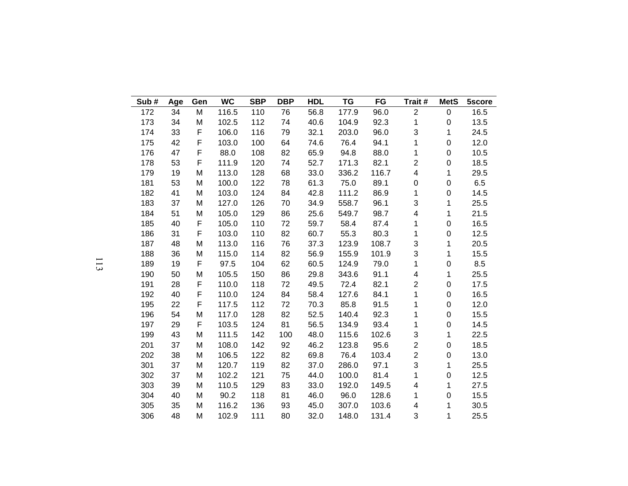| Sub# | Age | Gen | <b>WC</b> | <b>SBP</b> | <b>DBP</b> | <b>HDL</b> | <b>TG</b> | FG    | Trait #                 | <b>MetS</b>      | 5score |
|------|-----|-----|-----------|------------|------------|------------|-----------|-------|-------------------------|------------------|--------|
| 172  | 34  | M   | 116.5     | 110        | 76         | 56.8       | 177.9     | 96.0  | $\overline{c}$          | $\pmb{0}$        | 16.5   |
| 173  | 34  | M   | 102.5     | 112        | 74         | 40.6       | 104.9     | 92.3  | 1                       | $\boldsymbol{0}$ | 13.5   |
| 174  | 33  | F   | 106.0     | 116        | 79         | 32.1       | 203.0     | 96.0  | 3                       | 1                | 24.5   |
| 175  | 42  | F   | 103.0     | 100        | 64         | 74.6       | 76.4      | 94.1  | 1                       | $\pmb{0}$        | 12.0   |
| 176  | 47  | F   | 88.0      | 108        | 82         | 65.9       | 94.8      | 88.0  | 1                       | $\mathbf 0$      | 10.5   |
| 178  | 53  | F   | 111.9     | 120        | 74         | 52.7       | 171.3     | 82.1  | $\overline{c}$          | 0                | 18.5   |
| 179  | 19  | M   | 113.0     | 128        | 68         | 33.0       | 336.2     | 116.7 | 4                       | 1                | 29.5   |
| 181  | 53  | M   | 100.0     | 122        | 78         | 61.3       | 75.0      | 89.1  | $\mathbf 0$             | $\pmb{0}$        | 6.5    |
| 182  | 41  | M   | 103.0     | 124        | 84         | 42.8       | 111.2     | 86.9  | 1                       | $\pmb{0}$        | 14.5   |
| 183  | 37  | M   | 127.0     | 126        | 70         | 34.9       | 558.7     | 96.1  | 3                       | 1                | 25.5   |
| 184  | 51  | M   | 105.0     | 129        | 86         | 25.6       | 549.7     | 98.7  | $\overline{\mathbf{4}}$ | 1                | 21.5   |
| 185  | 40  | F   | 105.0     | 110        | 72         | 59.7       | 58.4      | 87.4  | 1                       | $\pmb{0}$        | 16.5   |
| 186  | 31  | F   | 103.0     | 110        | 82         | 60.7       | 55.3      | 80.3  | 1                       | $\pmb{0}$        | 12.5   |
| 187  | 48  | M   | 113.0     | 116        | 76         | 37.3       | 123.9     | 108.7 | 3                       | 1                | 20.5   |
| 188  | 36  | M   | 115.0     | 114        | 82         | 56.9       | 155.9     | 101.9 | 3                       | 1                | 15.5   |
| 189  | 19  | F   | 97.5      | 104        | 62         | 60.5       | 124.9     | 79.0  | 1                       | $\pmb{0}$        | 8.5    |
| 190  | 50  | M   | 105.5     | 150        | 86         | 29.8       | 343.6     | 91.1  | $\overline{\mathbf{4}}$ | 1                | 25.5   |
| 191  | 28  | F   | 110.0     | 118        | 72         | 49.5       | 72.4      | 82.1  | $\overline{2}$          | 0                | 17.5   |
| 192  | 40  | F   | 110.0     | 124        | 84         | 58.4       | 127.6     | 84.1  | 1                       | $\mathsf 0$      | 16.5   |
| 195  | 22  | F   | 117.5     | 112        | 72         | 70.3       | 85.8      | 91.5  | 1                       | $\pmb{0}$        | 12.0   |
| 196  | 54  | M   | 117.0     | 128        | 82         | 52.5       | 140.4     | 92.3  | 1                       | 0                | 15.5   |
| 197  | 29  | F   | 103.5     | 124        | 81         | 56.5       | 134.9     | 93.4  | 1                       | $\mathsf 0$      | 14.5   |
| 199  | 43  | M   | 111.5     | 142        | 100        | 48.0       | 115.6     | 102.6 | 3                       | 1                | 22.5   |
| 201  | 37  | M   | 108.0     | 142        | 92         | 46.2       | 123.8     | 95.6  | $\overline{c}$          | 0                | 18.5   |
| 202  | 38  | M   | 106.5     | 122        | 82         | 69.8       | 76.4      | 103.4 | $\overline{c}$          | $\pmb{0}$        | 13.0   |
| 301  | 37  | M   | 120.7     | 119        | 82         | 37.0       | 286.0     | 97.1  | 3                       | 1                | 25.5   |
| 302  | 37  | M   | 102.2     | 121        | 75         | 44.0       | 100.0     | 81.4  | 1                       | $\pmb{0}$        | 12.5   |
| 303  | 39  | M   | 110.5     | 129        | 83         | 33.0       | 192.0     | 149.5 | 4                       | 1                | 27.5   |
| 304  | 40  | M   | 90.2      | 118        | 81         | 46.0       | 96.0      | 128.6 | 1                       | $\pmb{0}$        | 15.5   |
| 305  | 35  | M   | 116.2     | 136        | 93         | 45.0       | 307.0     | 103.6 | 4                       | 1                | 30.5   |
| 306  | 48  | M   | 102.9     | 111        | 80         | 32.0       | 148.0     | 131.4 | 3                       | 1                | 25.5   |